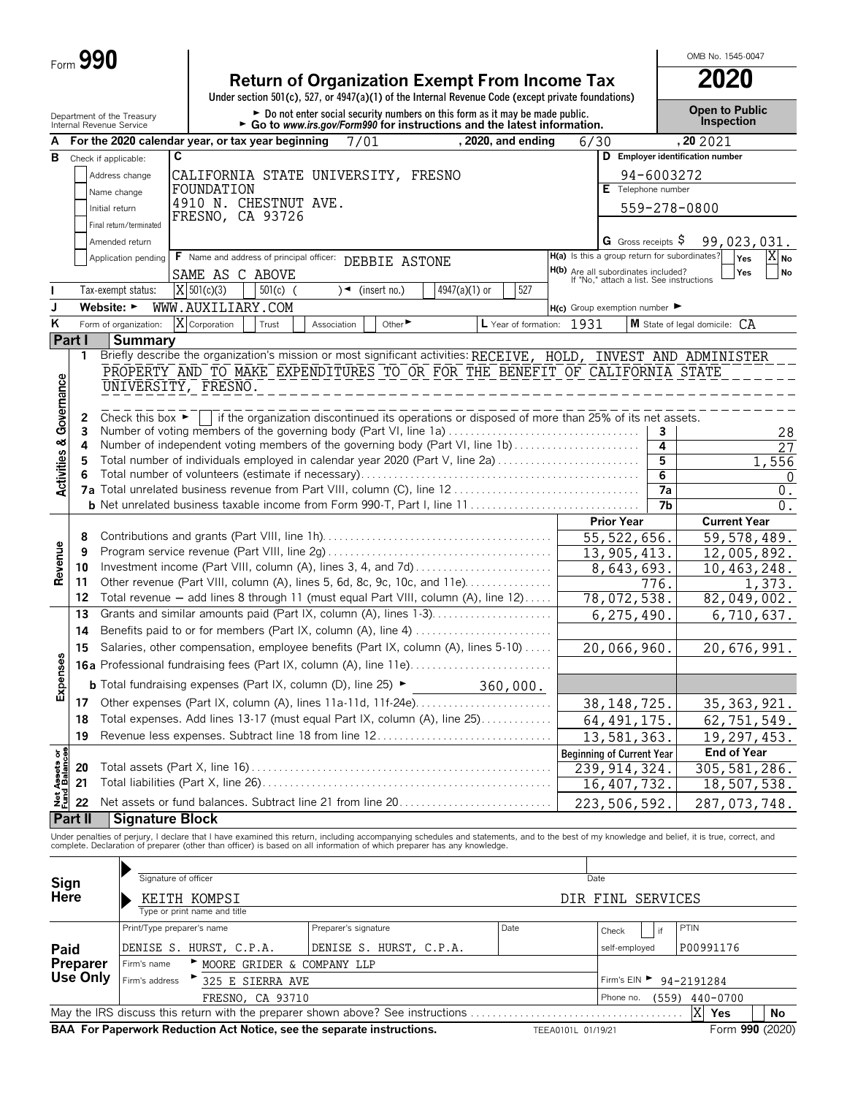| $Form$ $\bar{v}$ | 990 |
|------------------|-----|
|------------------|-----|

| <b>Return of Organization Exempt From Income Tax</b>                                               | 2020 |
|----------------------------------------------------------------------------------------------------|------|
| Under section 501(c), 527, or 4947(a)(1) of the Internal Revenue Code (except private foundations) |      |
|                                                                                                    |      |

G CORP OF THE CORPORT OF THE CORPORT OF THE CORPORT OF THE CORPORT OF THE CORPORT OF THE CORPORT OF THE CORPORT OF DEPITTED OPEN **Depen to Public** 

OMB No. 1545-0047

|                                  |                             | Department or the Treasury<br>Internal Revenue Service                                                                                    |                                              |                  | Go to www.irs.gov/Form990 for instructions and the latest information.                          |                               |                 |                           |                    |                                                                                 |                | Inspection                                                                                                                                                                                                                        |
|----------------------------------|-----------------------------|-------------------------------------------------------------------------------------------------------------------------------------------|----------------------------------------------|------------------|-------------------------------------------------------------------------------------------------|-------------------------------|-----------------|---------------------------|--------------------|---------------------------------------------------------------------------------|----------------|-----------------------------------------------------------------------------------------------------------------------------------------------------------------------------------------------------------------------------------|
|                                  |                             | For the 2020 calendar year, or tax year beginning                                                                                         |                                              |                  | 7/01                                                                                            |                               |                 | , 2020, and ending        | 6/30               |                                                                                 |                | , 202021                                                                                                                                                                                                                          |
| В                                |                             | Check if applicable:                                                                                                                      | C                                            |                  |                                                                                                 |                               |                 |                           |                    | D                                                                               |                | <b>Employer identification number</b>                                                                                                                                                                                             |
|                                  |                             | Address change                                                                                                                            | CALIFORNIA STATE UNIVERSITY, FRESNO          |                  |                                                                                                 |                               |                 |                           |                    |                                                                                 | 94-6003272     |                                                                                                                                                                                                                                   |
|                                  |                             | Name change                                                                                                                               | FOUNDATION                                   |                  |                                                                                                 |                               |                 |                           |                    | E Telephone number                                                              |                |                                                                                                                                                                                                                                   |
|                                  |                             | Initial return                                                                                                                            | 4910 N. CHESTNUT AVE.                        |                  |                                                                                                 |                               |                 |                           |                    |                                                                                 |                | 559-278-0800                                                                                                                                                                                                                      |
|                                  |                             | Final return/terminated                                                                                                                   | FRESNO, CA 93726                             |                  |                                                                                                 |                               |                 |                           |                    |                                                                                 |                |                                                                                                                                                                                                                                   |
|                                  |                             | Amended return                                                                                                                            |                                              |                  |                                                                                                 |                               |                 |                           |                    | G Gross receipts $\$$                                                           |                | 99,023,031.                                                                                                                                                                                                                       |
|                                  |                             | Application pending                                                                                                                       | F Name and address of principal officer:     |                  |                                                                                                 | DEBBIE ASTONE                 |                 |                           |                    | H(a) Is this a group return for subordinates?                                   |                | $X_{\mathsf{No}}$<br>Yes                                                                                                                                                                                                          |
|                                  |                             |                                                                                                                                           | SAME AS C ABOVE                              |                  |                                                                                                 |                               |                 |                           |                    | H(b) Are all subordinates included?<br>If "No," attach a list. See instructions |                | Yes<br>No                                                                                                                                                                                                                         |
|                                  |                             | Tax-exempt status:                                                                                                                        | $X$ 501(c)(3)                                | $501(c)$ (       |                                                                                                 | $\sqrt{\bullet}$ (insert no.) | $4947(a)(1)$ or | 527                       |                    |                                                                                 |                |                                                                                                                                                                                                                                   |
| J                                |                             | Website: $\blacktriangleright$                                                                                                            | WWW.AUXILIARY.COM                            |                  |                                                                                                 |                               |                 |                           |                    | $H(c)$ Group exemption number                                                   |                |                                                                                                                                                                                                                                   |
| ĸ                                |                             | Form of organization:                                                                                                                     | X Corporation                                | Trust            | Association                                                                                     | Other $\blacktriangleright$   |                 | L Year of formation: 1931 |                    |                                                                                 |                | <b>M</b> State of legal domicile: $CA$                                                                                                                                                                                            |
| Part I                           |                             | <b>Summary</b>                                                                                                                            |                                              |                  |                                                                                                 |                               |                 |                           |                    |                                                                                 |                |                                                                                                                                                                                                                                   |
|                                  | 1                           |                                                                                                                                           |                                              |                  |                                                                                                 |                               |                 |                           |                    |                                                                                 |                | Briefly describe the organization's mission or most significant activities: RECEIVE, HOLD, INVEST AND ADMINISTER                                                                                                                  |
|                                  |                             | PROPERTY AND TO MAKE EXPENDITURES TO OR FOR THE BENEFIT OF CALIFORNIA STATE                                                               |                                              |                  |                                                                                                 |                               |                 |                           |                    |                                                                                 |                |                                                                                                                                                                                                                                   |
|                                  |                             | UNIVERSITY, FRESNO.                                                                                                                       |                                              |                  |                                                                                                 |                               |                 |                           |                    |                                                                                 |                |                                                                                                                                                                                                                                   |
|                                  |                             |                                                                                                                                           |                                              |                  |                                                                                                 |                               |                 |                           |                    |                                                                                 |                |                                                                                                                                                                                                                                   |
| Governance                       | 2<br>3                      | Check this box $\blacktriangleright$  <br>Number of voting members of the governing body (Part VI, line 1a)                               |                                              |                  | if the organization discontinued its operations or disposed of more than 25% of its net assets. |                               |                 |                           |                    |                                                                                 | 3              | 28                                                                                                                                                                                                                                |
|                                  | 4                           |                                                                                                                                           |                                              |                  |                                                                                                 |                               |                 |                           |                    |                                                                                 | 4              | 27                                                                                                                                                                                                                                |
|                                  | 5                           | Total number of individuals employed in calendar year 2020 (Part V, line 2a)                                                              |                                              |                  |                                                                                                 |                               |                 |                           |                    |                                                                                 | 5              | 1,556                                                                                                                                                                                                                             |
| <b>Activities &amp;</b>          |                             |                                                                                                                                           |                                              |                  |                                                                                                 |                               |                 |                           |                    |                                                                                 | $\overline{6}$ | $\Omega$                                                                                                                                                                                                                          |
|                                  |                             |                                                                                                                                           |                                              |                  |                                                                                                 |                               |                 |                           |                    |                                                                                 | 7a             | $0$ .                                                                                                                                                                                                                             |
|                                  |                             |                                                                                                                                           |                                              |                  |                                                                                                 |                               |                 |                           |                    |                                                                                 | 7b             | 0.                                                                                                                                                                                                                                |
|                                  |                             |                                                                                                                                           |                                              |                  |                                                                                                 |                               |                 |                           |                    | <b>Prior Year</b>                                                               |                | <b>Current Year</b>                                                                                                                                                                                                               |
|                                  | 8<br>9                      |                                                                                                                                           |                                              |                  |                                                                                                 |                               |                 |                           |                    | 55, 522, 656.<br>13,905,413.                                                    |                | 59,578,489.                                                                                                                                                                                                                       |
| Revenue                          | 10                          |                                                                                                                                           |                                              |                  |                                                                                                 |                               |                 |                           |                    |                                                                                 |                | 12,005,892.<br>10,463,248.                                                                                                                                                                                                        |
|                                  | 11                          | Investment income (Part VIII, column (A), lines 3, 4, and 7d)<br>Other revenue (Part VIII, column (A), lines 5, 6d, 8c, 9c, 10c, and 11e) |                                              |                  |                                                                                                 |                               |                 |                           | 8,643,693.<br>776. |                                                                                 | 1,373.         |                                                                                                                                                                                                                                   |
|                                  | 12                          | Total revenue - add lines 8 through 11 (must equal Part VIII, column (A), line 12)                                                        |                                              |                  |                                                                                                 |                               |                 |                           |                    | 78,072,538.                                                                     |                | $\overline{82,049,002}$ .                                                                                                                                                                                                         |
|                                  | 13                          | Grants and similar amounts paid (Part IX, column (A), lines 1-3)                                                                          |                                              |                  |                                                                                                 |                               |                 |                           |                    | 6, 275, 490.                                                                    |                | 6,710,637.                                                                                                                                                                                                                        |
|                                  | 14                          |                                                                                                                                           |                                              |                  |                                                                                                 |                               |                 |                           |                    |                                                                                 |                |                                                                                                                                                                                                                                   |
|                                  | 15                          | Salaries, other compensation, employee benefits (Part IX, column (A), lines 5-10)                                                         |                                              |                  |                                                                                                 |                               |                 |                           | 20,066,960.        |                                                                                 | 20,676,991.    |                                                                                                                                                                                                                                   |
|                                  |                             | <b>16a</b> Professional fundraising fees (Part IX, column (A), line 11e)                                                                  |                                              |                  |                                                                                                 |                               |                 |                           |                    |                                                                                 |                |                                                                                                                                                                                                                                   |
| Expenses                         |                             | <b>b</b> Total fundraising expenses (Part IX, column (D), line 25) $\blacktriangleright$                                                  |                                              |                  |                                                                                                 |                               |                 | 360,000.                  |                    |                                                                                 |                |                                                                                                                                                                                                                                   |
|                                  | 17                          | Other expenses (Part IX, column (A), lines 11a-11d, 11f-24e)<br>38, 148, 725.                                                             |                                              |                  |                                                                                                 |                               |                 |                           |                    | 35, 363, 921.                                                                   |                |                                                                                                                                                                                                                                   |
|                                  | 18                          | Total expenses. Add lines 13-17 (must equal Part IX, column (A), line 25)                                                                 |                                              |                  |                                                                                                 |                               |                 |                           |                    | 64, 491, 175.                                                                   |                | 62,751,549.                                                                                                                                                                                                                       |
|                                  | 19                          | Revenue less expenses. Subtract line 18 from line 12                                                                                      |                                              |                  |                                                                                                 |                               |                 |                           |                    | 13,581,363.                                                                     |                | 19,297,453.                                                                                                                                                                                                                       |
| ბ 8                              |                             |                                                                                                                                           |                                              |                  |                                                                                                 |                               |                 |                           |                    | <b>Beginning of Current Year</b>                                                |                | <b>End of Year</b>                                                                                                                                                                                                                |
| Net Assets<br><u>Fund Balanc</u> | 20                          |                                                                                                                                           |                                              |                  |                                                                                                 |                               |                 |                           |                    | 239, 914, 324.                                                                  |                | 305, 581, 286.                                                                                                                                                                                                                    |
|                                  | 21                          |                                                                                                                                           |                                              |                  |                                                                                                 |                               |                 |                           |                    | 16, 407, 732.                                                                   |                | 18,507,538.                                                                                                                                                                                                                       |
|                                  | 22                          | Net assets or fund balances. Subtract line 21 from line 20                                                                                |                                              |                  |                                                                                                 |                               |                 |                           |                    | 223,506,592.                                                                    |                | 287,073,748.                                                                                                                                                                                                                      |
|                                  | <b>Part II</b>              | <b>Signature Block</b>                                                                                                                    |                                              |                  |                                                                                                 |                               |                 |                           |                    |                                                                                 |                |                                                                                                                                                                                                                                   |
|                                  |                             |                                                                                                                                           |                                              |                  |                                                                                                 |                               |                 |                           |                    |                                                                                 |                | Under penalties of perjury, I declare that I have examined this return, including accompanying schedules and statements, and to the best of my knowledge and belief, it is true, correct, and<br>complete. Declaration of prepare |
|                                  |                             |                                                                                                                                           |                                              |                  |                                                                                                 |                               |                 |                           |                    |                                                                                 |                |                                                                                                                                                                                                                                   |
|                                  |                             |                                                                                                                                           | Signature of officer                         |                  |                                                                                                 |                               |                 |                           | Date               |                                                                                 |                |                                                                                                                                                                                                                                   |
| Sign                             |                             |                                                                                                                                           |                                              |                  |                                                                                                 |                               |                 |                           |                    |                                                                                 |                |                                                                                                                                                                                                                                   |
| <b>Here</b>                      |                             |                                                                                                                                           | KEITH KOMPSI<br>Type or print name and title |                  |                                                                                                 |                               |                 |                           |                    | DIR FINL SERVICES                                                               |                |                                                                                                                                                                                                                                   |
|                                  |                             |                                                                                                                                           | Print/Type preparer's name                   |                  | Preparer's signature                                                                            |                               |                 | Date                      |                    |                                                                                 |                | PTIN                                                                                                                                                                                                                              |
|                                  |                             |                                                                                                                                           |                                              |                  |                                                                                                 |                               |                 |                           |                    | Check                                                                           | if             |                                                                                                                                                                                                                                   |
| Paid                             |                             |                                                                                                                                           | DENISE S. HURST, C.P.A.                      |                  | DENISE S. HURST, C.P.A.                                                                         |                               |                 |                           |                    | self-employed                                                                   |                | P00991176                                                                                                                                                                                                                         |
|                                  | <b>Preparer</b><br>Use Only | Firm's name                                                                                                                               |                                              |                  | MOORE GRIDER & COMPANY LLP                                                                      |                               |                 |                           |                    |                                                                                 |                |                                                                                                                                                                                                                                   |
|                                  |                             | Firm's address                                                                                                                            |                                              | 325 E SIERRA AVE |                                                                                                 |                               |                 |                           |                    | Firm's $EIN$                                                                    |                | 94-2191284                                                                                                                                                                                                                        |

FRESNO, CA 93710 **Phone no.** (559) 440-0700 May the IRS discuss this return with the preparer shown above? See instructions . . . . . . . . . . . . . . . . . . . . . . . . . . . . . . . . . . . . . . . **Yes No BAA For Paperwork Reduction Act Notice, see the separate instructions.** TEEA0101L 01/19/21 Form 990 (2020) X Yes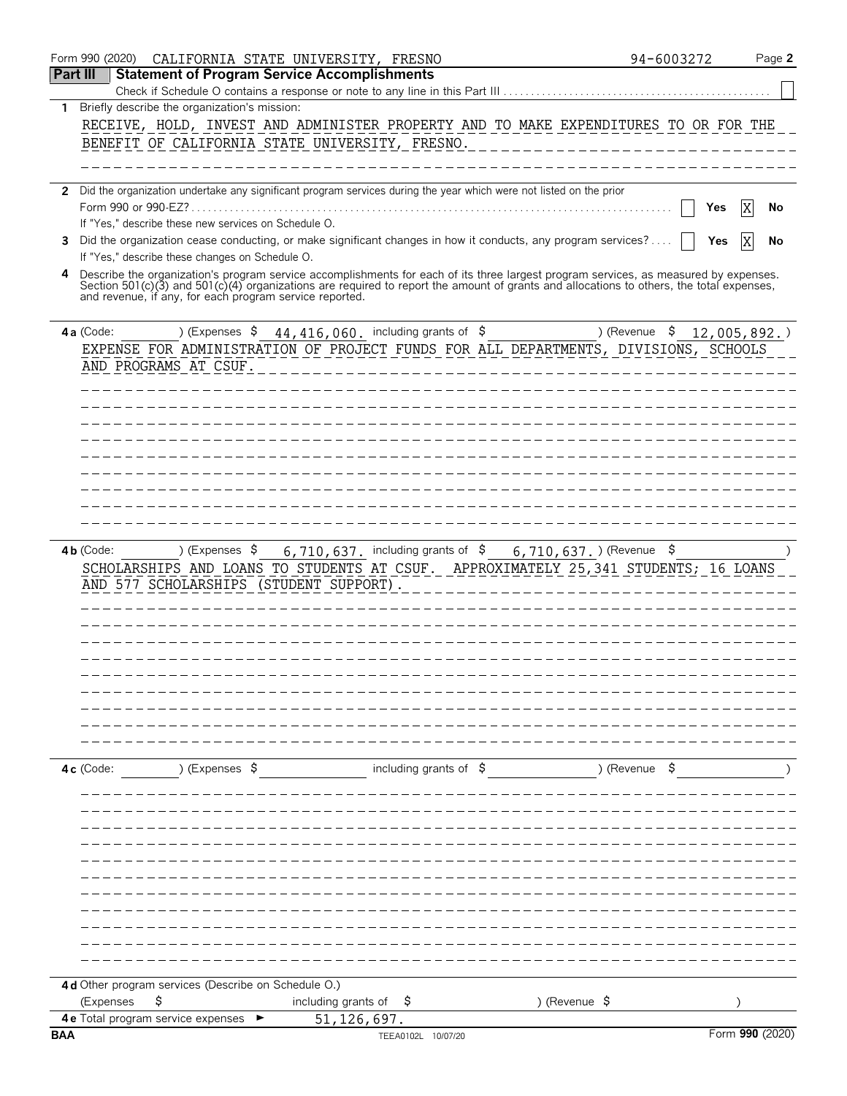|                 | Form 990 (2020)<br>CALIFORNIA STATE UNIVERSITY, FRESNO                                                                                                                                                                                                                                       | 94-6003272        | Page 2          |
|-----------------|----------------------------------------------------------------------------------------------------------------------------------------------------------------------------------------------------------------------------------------------------------------------------------------------|-------------------|-----------------|
| <b>Part III</b> | <b>Statement of Program Service Accomplishments</b>                                                                                                                                                                                                                                          |                   |                 |
|                 | Check if Schedule O contains a response or note to any line in this Part III                                                                                                                                                                                                                 |                   |                 |
| 1               | Briefly describe the organization's mission:                                                                                                                                                                                                                                                 |                   |                 |
|                 | RECEIVE, HOLD, INVEST AND ADMINISTER PROPERTY AND TO MAKE EXPENDITURES TO OR FOR THE                                                                                                                                                                                                         |                   |                 |
|                 | BENEFIT OF CALIFORNIA STATE UNIVERSITY, FRESNO.                                                                                                                                                                                                                                              |                   |                 |
|                 |                                                                                                                                                                                                                                                                                              |                   |                 |
|                 | 2 Did the organization undertake any significant program services during the year which were not listed on the prior                                                                                                                                                                         |                   |                 |
|                 | Form 990 or 990-EZ?.                                                                                                                                                                                                                                                                         | Yes               | No              |
|                 | If "Yes," describe these new services on Schedule O.                                                                                                                                                                                                                                         |                   |                 |
| 3               | Did the organization cease conducting, or make significant changes in how it conducts, any program services?                                                                                                                                                                                 | Yes               | No              |
|                 | If "Yes," describe these changes on Schedule O.                                                                                                                                                                                                                                              |                   |                 |
| 4               | Describe the organization's program service accomplishments for each of its three largest program services, as measured by expenses.<br>Section 501(c)(3) and 501(c)(4) organizations are required to report the amount of grants<br>and revenue, if any, for each program service reported. |                   |                 |
|                 | ) (Expenses $\frac{1}{2}$ 44, 416, 060. including grants of $\frac{1}{2}$<br>4a (Code:                                                                                                                                                                                                       | ) (Revenue<br>- Ş | 12,005,892.     |
|                 | EXPENSE FOR ADMINISTRATION OF PROJECT FUNDS FOR ALL DEPARTMENTS, DIVISIONS, SCHOOLS                                                                                                                                                                                                          |                   |                 |
|                 | AND PROGRAMS AT CSUF.                                                                                                                                                                                                                                                                        |                   |                 |
|                 |                                                                                                                                                                                                                                                                                              |                   |                 |
|                 |                                                                                                                                                                                                                                                                                              |                   |                 |
|                 |                                                                                                                                                                                                                                                                                              |                   |                 |
|                 |                                                                                                                                                                                                                                                                                              |                   |                 |
|                 |                                                                                                                                                                                                                                                                                              |                   |                 |
|                 |                                                                                                                                                                                                                                                                                              |                   |                 |
|                 |                                                                                                                                                                                                                                                                                              |                   |                 |
|                 |                                                                                                                                                                                                                                                                                              |                   |                 |
|                 |                                                                                                                                                                                                                                                                                              |                   |                 |
|                 | ) (Expenses $\frac{1}{2}$<br>6, 710, 637. including grants of $\frac{1}{5}$ 6, 710, 637. ) (Revenue $\frac{1}{5}$<br>$4b$ (Code:                                                                                                                                                             |                   |                 |
|                 | SCHOLARSHIPS AND LOANS TO STUDENTS AT CSUF. APPROXIMATELY 25,341 STUDENTS; 16 LOANS<br>AND 577 SCHOLARSHIPS (STUDENT SUPPORT).                                                                                                                                                               |                   |                 |
|                 |                                                                                                                                                                                                                                                                                              |                   |                 |
|                 |                                                                                                                                                                                                                                                                                              |                   |                 |
|                 |                                                                                                                                                                                                                                                                                              |                   |                 |
|                 |                                                                                                                                                                                                                                                                                              |                   |                 |
|                 |                                                                                                                                                                                                                                                                                              |                   |                 |
|                 |                                                                                                                                                                                                                                                                                              |                   |                 |
|                 |                                                                                                                                                                                                                                                                                              |                   |                 |
|                 |                                                                                                                                                                                                                                                                                              |                   |                 |
|                 |                                                                                                                                                                                                                                                                                              |                   |                 |
|                 | including grants of \$<br>) (Expenses \$<br>4c (Code:                                                                                                                                                                                                                                        | ) (Revenue \$     |                 |
|                 |                                                                                                                                                                                                                                                                                              |                   |                 |
|                 |                                                                                                                                                                                                                                                                                              |                   |                 |
|                 |                                                                                                                                                                                                                                                                                              |                   |                 |
|                 |                                                                                                                                                                                                                                                                                              |                   |                 |
|                 |                                                                                                                                                                                                                                                                                              |                   |                 |
|                 |                                                                                                                                                                                                                                                                                              |                   |                 |
|                 |                                                                                                                                                                                                                                                                                              |                   |                 |
|                 |                                                                                                                                                                                                                                                                                              |                   |                 |
|                 |                                                                                                                                                                                                                                                                                              |                   |                 |
|                 |                                                                                                                                                                                                                                                                                              |                   |                 |
|                 |                                                                                                                                                                                                                                                                                              |                   |                 |
|                 | 4 d Other program services (Describe on Schedule O.)                                                                                                                                                                                                                                         |                   |                 |
|                 | \$<br>including grants of<br>) (Revenue $\frac{1}{2}$<br>(Expenses<br>-Ş                                                                                                                                                                                                                     |                   |                 |
| <b>BAA</b>      | 51, 126, 697.<br>4e Total program service expenses<br>TEEA0102L 10/07/20                                                                                                                                                                                                                     |                   | Form 990 (2020) |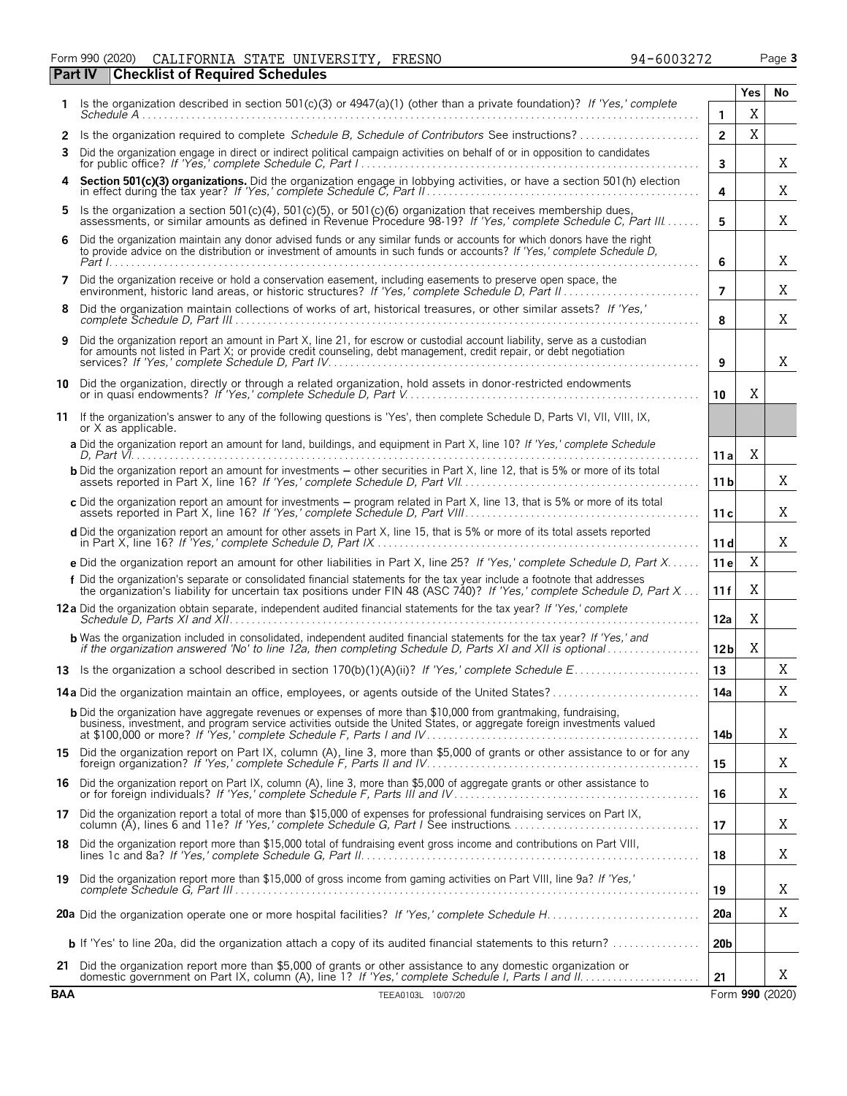#### Form 990 (2020) Page **3** CALIFORNIA STATE UNIVERSITY, FRESNO 94-6003272 **Part IV Checklist of Required Schedules**

|            |                                                                                                                                                                                                                                                     |                 | Yes | No.             |  |  |  |
|------------|-----------------------------------------------------------------------------------------------------------------------------------------------------------------------------------------------------------------------------------------------------|-----------------|-----|-----------------|--|--|--|
| 1.         | Is the organization described in section 501(c)(3) or 4947(a)(1) (other than a private foundation)? If 'Yes,' complete                                                                                                                              | 1               | X   |                 |  |  |  |
| 2          | Is the organization required to complete Schedule B, Schedule of Contributors See instructions?                                                                                                                                                     | $\overline{2}$  | X   |                 |  |  |  |
| 3          | Did the organization engage in direct or indirect political campaign activities on behalf of or in opposition to candidates                                                                                                                         | $\mathbf{3}$    |     | X               |  |  |  |
| 4          | Section 501(c)(3) organizations. Did the organization engage in lobbying activities, or have a section 501(h) election                                                                                                                              | 4               |     | Χ               |  |  |  |
| 5          | Is the organization a section 501(c)(4), 501(c)(5), or 501(c)(6) organization that receives membership dues,<br>assessments, or similar amounts as defined in Revenue Procedure 98-19? If 'Yes,' complete Schedule C, Part III                      | 5               |     | X               |  |  |  |
| 6          | Did the organization maintain any donor advised funds or any similar funds or accounts for which donors have the right<br>to provide advice on the distribution or investment of amounts in such funds or accounts? If 'Yes,' complete Schedule D,  | 6               |     | X               |  |  |  |
| 7          | Did the organization receive or hold a conservation easement, including easements to preserve open space, the<br>environment, historic land areas, or historic structures? If 'Yes,' complete Schedule D, Part II.                                  | 7               |     | X               |  |  |  |
| 8          | Did the organization maintain collections of works of art, historical treasures, or other similar assets? If 'Yes,'                                                                                                                                 |                 |     |                 |  |  |  |
| 9          | Did the organization report an amount in Part X, line 21, for escrow or custodial account liability, serve as a custodian<br>for amounts not listed in Part X; or provide credit counseling, debt management, credit repair, or debt negotiation    |                 |     |                 |  |  |  |
|            | 10 Did the organization, directly or through a related organization, hold assets in donor-restricted endowments                                                                                                                                     | 10              | X   |                 |  |  |  |
|            | 11 If the organization's answer to any of the following questions is 'Yes', then complete Schedule D, Parts VI, VII, VIII, IX,<br>or X as applicable.                                                                                               |                 |     |                 |  |  |  |
|            | a Did the organization report an amount for land, buildings, and equipment in Part X, line 10? If 'Yes,' complete Schedule                                                                                                                          | 11 a            | X   |                 |  |  |  |
|            | <b>b</b> Did the organization report an amount for investments - other securities in Part X, line 12, that is 5% or more of its total                                                                                                               | 11 <sub>b</sub> |     | X               |  |  |  |
|            | c Did the organization report an amount for investments – program related in Part X, line 13, that is 5% or more of its total<br>assets reported in Part X, line 16? If 'Yes,' complete Schedule D, Part VIII                                       | 11c             |     | X               |  |  |  |
|            | d Did the organization report an amount for other assets in Part X, line 15, that is 5% or more of its total assets reported                                                                                                                        | 11d             |     | X               |  |  |  |
|            | e Did the organization report an amount for other liabilities in Part X, line 25? If 'Yes,' complete Schedule D, Part X                                                                                                                             | 11 e            | X   |                 |  |  |  |
|            | f Did the organization's separate or consolidated financial statements for the tax year include a footnote that addresses<br>the organization's liability for uncertain tax positions under FIN 48 (ASC 740)? If 'Yes,' complete Schedule D, Part X | 11f             | Χ   |                 |  |  |  |
|            | 12a Did the organization obtain separate, independent audited financial statements for the tax year? If 'Yes,' complete                                                                                                                             | 12a             | X   |                 |  |  |  |
|            | <b>b</b> Was the organization included in consolidated, independent audited financial statements for the tax year? If 'Yes,' and<br>if the organization answered 'No' to line 12a, then completing Schedule D, Parts XI and XII is optional         | 12 <sub>b</sub> | Χ   |                 |  |  |  |
|            |                                                                                                                                                                                                                                                     | 13              |     | Χ               |  |  |  |
|            | 14a Did the organization maintain an office, employees, or agents outside of the United States?                                                                                                                                                     | 14a             |     | Χ               |  |  |  |
|            | <b>b</b> Did the organization have aggregate revenues or expenses of more than \$10,000 from grantmaking, fundraising,<br>business, investment, and program service activities outside the United States, or aggregate foreign investments valued   | 14b             |     | X               |  |  |  |
|            | 15 Did the organization report on Part IX, column (A), line 3, more than \$5,000 of grants or other assistance to or for any                                                                                                                        | 15              |     | X               |  |  |  |
| 16.        | Did the organization report on Part IX, column (A), line 3, more than \$5,000 of aggregate grants or other assistance to                                                                                                                            | 16              |     | X               |  |  |  |
| 17         | Did the organization report a total of more than \$15,000 of expenses for professional fundraising services on Part IX,<br>column (A), lines 6 and 11e? If 'Yes,' complete Schedule G, Part I See instructions                                      | 17              |     | Χ               |  |  |  |
| 18.        | Did the organization report more than \$15,000 total of fundraising event gross income and contributions on Part VIII,                                                                                                                              | 18              |     | Χ               |  |  |  |
|            | 19 Did the organization report more than \$15,000 of gross income from gaming activities on Part VIII, line 9a? If 'Yes,'                                                                                                                           |                 |     | X               |  |  |  |
|            |                                                                                                                                                                                                                                                     | 19<br>20a       |     | Χ               |  |  |  |
|            | <b>b</b> If 'Yes' to line 20a, did the organization attach a copy of its audited financial statements to this return?                                                                                                                               | 20 <sub>b</sub> |     |                 |  |  |  |
| 21         | Did the organization report more than \$5,000 of grants or other assistance to any domestic organization or                                                                                                                                         |                 |     | X               |  |  |  |
| <b>BAA</b> | TEEA0103L 10/07/20                                                                                                                                                                                                                                  | 21              |     | Form 990 (2020) |  |  |  |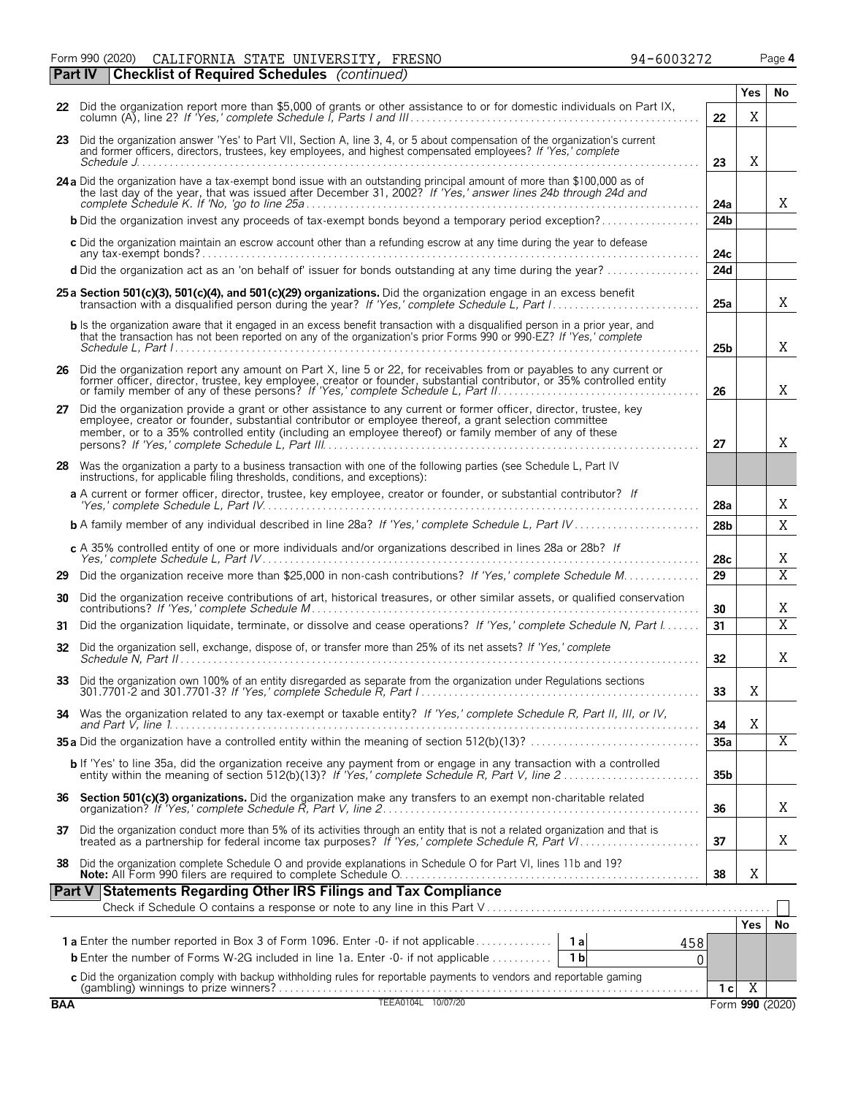Form 990 (2020) Page **4** CALIFORNIA STATE UNIVERSITY, FRESNO 94-6003272

|            | <b>Checklist of Required Schedules</b> (continued)<br><b>Part IV</b>                                                                                                                                                                                                                                                                     |                 |                |                 |
|------------|------------------------------------------------------------------------------------------------------------------------------------------------------------------------------------------------------------------------------------------------------------------------------------------------------------------------------------------|-----------------|----------------|-----------------|
|            |                                                                                                                                                                                                                                                                                                                                          |                 | <b>Yes</b>     | No.             |
|            | 22 Did the organization report more than \$5,000 of grants or other assistance to or for domestic individuals on Part IX,                                                                                                                                                                                                                | 22              | Χ              |                 |
|            | 23 Did the organization answer 'Yes' to Part VII, Section A, line 3, 4, or 5 about compensation of the organization's current<br>and former officers, directors, trustees, key employees, and highest compensated employees? If 'Yes,' complete                                                                                          | 23              | Χ              |                 |
|            | 24 a Did the organization have a tax-exempt bond issue with an outstanding principal amount of more than \$100,000 as of<br>the last day of the year, that was issued after December 31, 2002? If 'Yes,' answer lines 24b through 24d and                                                                                                | 24a             |                | X               |
|            | <b>b</b> Did the organization invest any proceeds of tax-exempt bonds beyond a temporary period exception?                                                                                                                                                                                                                               | 24b             |                |                 |
|            | c Did the organization maintain an escrow account other than a refunding escrow at any time during the year to defease<br>$any tax\text{-}exempt bonds?$                                                                                                                                                                                 | 24c             |                |                 |
|            | d Did the organization act as an 'on behalf of' issuer for bonds outstanding at any time during the year?                                                                                                                                                                                                                                | 24d             |                |                 |
|            | 25 a Section 501(c)(3), 501(c)(4), and 501(c)(29) organizations. Did the organization engage in an excess benefit                                                                                                                                                                                                                        | 25a             |                | X               |
|            | <b>b</b> Is the organization aware that it engaged in an excess benefit transaction with a disqualified person in a prior year, and<br>that the transaction has not been reported on any of the organization's prior Forms 990 or 990-EZ? If 'Yes,' complete                                                                             | 25 <sub>b</sub> |                | X               |
|            |                                                                                                                                                                                                                                                                                                                                          |                 |                |                 |
|            | 26 Did the organization report any amount on Part X, line 5 or 22, for receivables from or payables to any current or<br>former officer, director, trustee, key employee, creator or founder, substantial contributor, or 35% controlled entity or family member of any of these persons? If 'Yes,' complete Schedule L, Part II.        | 26              |                | X               |
|            | 27 Did the organization provide a grant or other assistance to any current or former officer, director, trustee, key<br>employee, creator or founder, substantial contributor or employee thereof, a grant selection committee<br>member, or to a 35% controlled entity (including an employee thereof) or family member of any of these | 27              |                | X               |
|            | 28 Was the organization a party to a business transaction with one of the following parties (see Schedule L, Part IV<br>instructions, for applicable filing thresholds, conditions, and exceptions):                                                                                                                                     |                 |                |                 |
|            | a A current or former officer, director, trustee, key employee, creator or founder, or substantial contributor? If                                                                                                                                                                                                                       | 28a             |                | Χ               |
|            |                                                                                                                                                                                                                                                                                                                                          | 28 <sub>b</sub> |                | X               |
|            | c A 35% controlled entity of one or more individuals and/or organizations described in lines 28a or 28b? If                                                                                                                                                                                                                              | 28c             |                | Χ               |
| 29         |                                                                                                                                                                                                                                                                                                                                          | 29              |                | $\overline{X}$  |
| 30         | Did the organization receive contributions of art, historical treasures, or other similar assets, or qualified conservation                                                                                                                                                                                                              | 30              |                | Χ               |
| 31         | Did the organization liquidate, terminate, or dissolve and cease operations? If 'Yes,' complete Schedule N, Part I                                                                                                                                                                                                                       | 31              |                | $\overline{X}$  |
|            | 32 Did the organization sell, exchange, dispose of, or transfer more than 25% of its net assets? If 'Yes,' complete                                                                                                                                                                                                                      | 32              |                | X               |
|            | 33 Did the organization own 100% of an entity disregarded as separate from the organization under Regulations sections                                                                                                                                                                                                                   | 33              | Χ              |                 |
| 34         | Was the organization related to any tax-exempt or taxable entity? If 'Yes,' complete Schedule R, Part II, III, or IV,                                                                                                                                                                                                                    | 34              | X              |                 |
|            |                                                                                                                                                                                                                                                                                                                                          | 35a             |                | Χ               |
|            | <b>b</b> If 'Yes' to line 35a, did the organization receive any payment from or engage in any transaction with a controlled entity within the meaning of section 512(b)(13)? If 'Yes,' complete Schedule R, Part V, line 2                                                                                                               | 35 <sub>b</sub> |                |                 |
|            | 36 Section 501(c)(3) organizations. Did the organization make any transfers to an exempt non-charitable related                                                                                                                                                                                                                          | 36              |                | X               |
| 37         | Did the organization conduct more than 5% of its activities through an entity that is not a related organization and that is                                                                                                                                                                                                             | 37              |                | X               |
| 38         | Did the organization complete Schedule O and provide explanations in Schedule O for Part VI, lines 11b and 19?                                                                                                                                                                                                                           | 38              | X              |                 |
|            | Part V Statements Regarding Other IRS Filings and Tax Compliance                                                                                                                                                                                                                                                                         |                 |                |                 |
|            |                                                                                                                                                                                                                                                                                                                                          |                 |                |                 |
|            |                                                                                                                                                                                                                                                                                                                                          |                 | Yes.           | No              |
|            | 458<br><b>b</b> Enter the number of Forms W-2G included in line 1a. Enter -0- if not applicable<br>1 <sub>b</sub><br>0                                                                                                                                                                                                                   |                 |                |                 |
|            |                                                                                                                                                                                                                                                                                                                                          |                 |                |                 |
|            |                                                                                                                                                                                                                                                                                                                                          | 1 <sup>c</sup>  | $\overline{X}$ |                 |
| <b>BAA</b> | TEEA0104L 10/07/20                                                                                                                                                                                                                                                                                                                       |                 |                | Form 990 (2020) |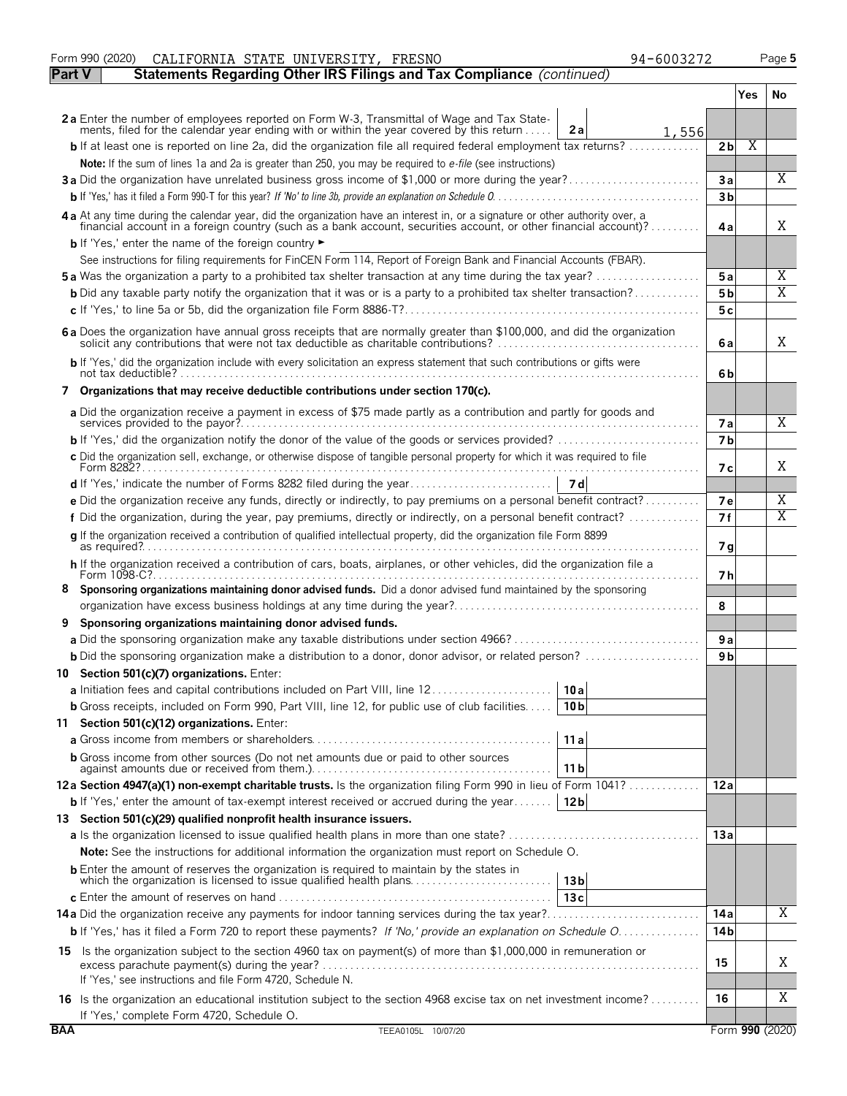|               | Form 990 (2020)<br>94-6003272<br>CALIFORNIA STATE UNIVERSITY, FRESNO                                                                                                                                                                             |                |      | Page 5                  |
|---------------|--------------------------------------------------------------------------------------------------------------------------------------------------------------------------------------------------------------------------------------------------|----------------|------|-------------------------|
| <b>Part V</b> | Statements Regarding Other IRS Filings and Tax Compliance (continued)                                                                                                                                                                            |                |      |                         |
|               |                                                                                                                                                                                                                                                  |                | Yes. | No                      |
|               |                                                                                                                                                                                                                                                  |                |      |                         |
|               | 2a Enter the number of employees reported on Form W-3, Transmittal of Wage and Tax Statements, filed for the calendar year ending with or within the year covered by this return<br>2a<br>1,556                                                  |                |      |                         |
|               | <b>b</b> If at least one is reported on line 2a, did the organization file all required federal employment tax returns?                                                                                                                          | 2 <sub>b</sub> | Χ    |                         |
|               | Note: If the sum of lines 1a and 2a is greater than 250, you may be required to e-file (see instructions)                                                                                                                                        |                |      |                         |
|               | 3a Did the organization have unrelated business gross income of \$1,000 or more during the year?                                                                                                                                                 | 3a             |      | Χ                       |
|               |                                                                                                                                                                                                                                                  | 3 <sub>b</sub> |      |                         |
|               | 4a At any time during the calendar year, did the organization have an interest in, or a signature or other authority over, a<br>financial account in a foreign country (such as a bank account, securities account, or other financial account)? | 4a             |      | Χ                       |
|               | <b>b</b> If 'Yes,' enter the name of the foreign country $\blacktriangleright$                                                                                                                                                                   |                |      |                         |
|               | See instructions for filing requirements for FinCEN Form 114, Report of Foreign Bank and Financial Accounts (FBAR).                                                                                                                              |                |      |                         |
|               | <b>5a</b> Was the organization a party to a prohibited tax shelter transaction at any time during the tax year?                                                                                                                                  | 5a             |      | Χ                       |
|               | <b>b</b> Did any taxable party notify the organization that it was or is a party to a prohibited tax shelter transaction?                                                                                                                        | 5 <sub>b</sub> |      | $\overline{\mathrm{X}}$ |
|               |                                                                                                                                                                                                                                                  | 5c             |      |                         |
|               | 6a Does the organization have annual gross receipts that are normally greater than \$100,000, and did the organization                                                                                                                           | 6a             |      | Χ                       |
|               | b If 'Yes,' did the organization include with every solicitation an express statement that such contributions or gifts were                                                                                                                      |                |      |                         |
|               | 7 Organizations that may receive deductible contributions under section 170(c).                                                                                                                                                                  | 6b             |      |                         |
|               |                                                                                                                                                                                                                                                  |                |      |                         |
|               | a Did the organization receive a payment in excess of \$75 made partly as a contribution and partly for goods and                                                                                                                                | <b>7a</b>      |      | Χ                       |
|               |                                                                                                                                                                                                                                                  | 7 <b>b</b>     |      |                         |
|               | c Did the organization sell, exchange, or otherwise dispose of tangible personal property for which it was required to file                                                                                                                      |                |      |                         |
|               |                                                                                                                                                                                                                                                  | 7 с            |      | Χ                       |
|               |                                                                                                                                                                                                                                                  |                |      |                         |
|               | e Did the organization receive any funds, directly or indirectly, to pay premiums on a personal benefit contract?                                                                                                                                | 7e             |      | X                       |
|               | f Did the organization, during the year, pay premiums, directly or indirectly, on a personal benefit contract?                                                                                                                                   | 7f             |      | $\overline{\text{X}}$   |
|               | q If the organization received a contribution of qualified intellectual property, did the organization file Form 8899                                                                                                                            | 7 g            |      |                         |
|               | h If the organization received a contribution of cars, boats, airplanes, or other vehicles, did the organization file a                                                                                                                          |                |      |                         |
|               | Form 1098-C?                                                                                                                                                                                                                                     | 7 h            |      |                         |
| 8             | Sponsoring organizations maintaining donor advised funds. Did a donor advised fund maintained by the sponsoring                                                                                                                                  |                |      |                         |
|               |                                                                                                                                                                                                                                                  | 8              |      |                         |
| 9             | Sponsoring organizations maintaining donor advised funds.                                                                                                                                                                                        |                |      |                         |
|               |                                                                                                                                                                                                                                                  | 9 a            |      |                         |
|               | <b>b</b> Did the sponsoring organization make a distribution to a donor, donor advisor, or related person?                                                                                                                                       | 9 <sub>b</sub> |      |                         |
|               | 10 Section 501(c)(7) organizations. Enter:                                                                                                                                                                                                       |                |      |                         |
|               | 10 a                                                                                                                                                                                                                                             |                |      |                         |
|               | <b>b</b> Gross receipts, included on Form 990, Part VIII, line 12, for public use of club facilities<br>10 b                                                                                                                                     |                |      |                         |
|               | 11 Section 501(c)(12) organizations. Enter:                                                                                                                                                                                                      |                |      |                         |
|               | 11a                                                                                                                                                                                                                                              |                |      |                         |
|               | <b>b</b> Gross income from other sources (Do not net amounts due or paid to other sources<br>11 b                                                                                                                                                |                |      |                         |
|               | 12a Section 4947(a)(1) non-exempt charitable trusts. Is the organization filing Form 990 in lieu of Form 1041?                                                                                                                                   | 12a            |      |                         |
|               | <b>b</b> If 'Yes,' enter the amount of tax-exempt interest received or accrued during the year<br>12 <sub>b</sub>                                                                                                                                |                |      |                         |
|               | 13 Section 501(c)(29) qualified nonprofit health insurance issuers.                                                                                                                                                                              |                |      |                         |
|               |                                                                                                                                                                                                                                                  | 13 a           |      |                         |
|               | <b>Note:</b> See the instructions for additional information the organization must report on Schedule O.                                                                                                                                         |                |      |                         |
|               | <b>b</b> Enter the amount of reserves the organization is required to maintain by the states in<br>which the organization is licensed to issue qualified health plans<br>13 <sub>b</sub>                                                         |                |      |                         |
|               | 13c                                                                                                                                                                                                                                              |                |      |                         |
|               | <b>14a</b> Did the organization receive any payments for indoor tanning services during the tax year?                                                                                                                                            | 14 a           |      | Χ                       |
|               | b If 'Yes,' has it filed a Form 720 to report these payments? If 'No,' provide an explanation on Schedule O                                                                                                                                      | 14 b           |      |                         |
|               | 15 Is the organization subject to the section 4960 tax on payment(s) of more than \$1,000,000 in remuneration or                                                                                                                                 |                |      |                         |
|               | excess parachute payment(s) during the year?.                                                                                                                                                                                                    | 15             |      | Χ                       |
|               | If 'Yes,' see instructions and file Form 4720, Schedule N.                                                                                                                                                                                       |                |      |                         |
|               | 16 Is the organization an educational institution subject to the section 4968 excise tax on net investment income?                                                                                                                               | 16             |      | Χ                       |
|               | If 'Yes,' complete Form 4720, Schedule O.                                                                                                                                                                                                        |                |      |                         |
| <b>BAA</b>    | TEEA0105L 10/07/20                                                                                                                                                                                                                               |                |      | Form 990 (2020)         |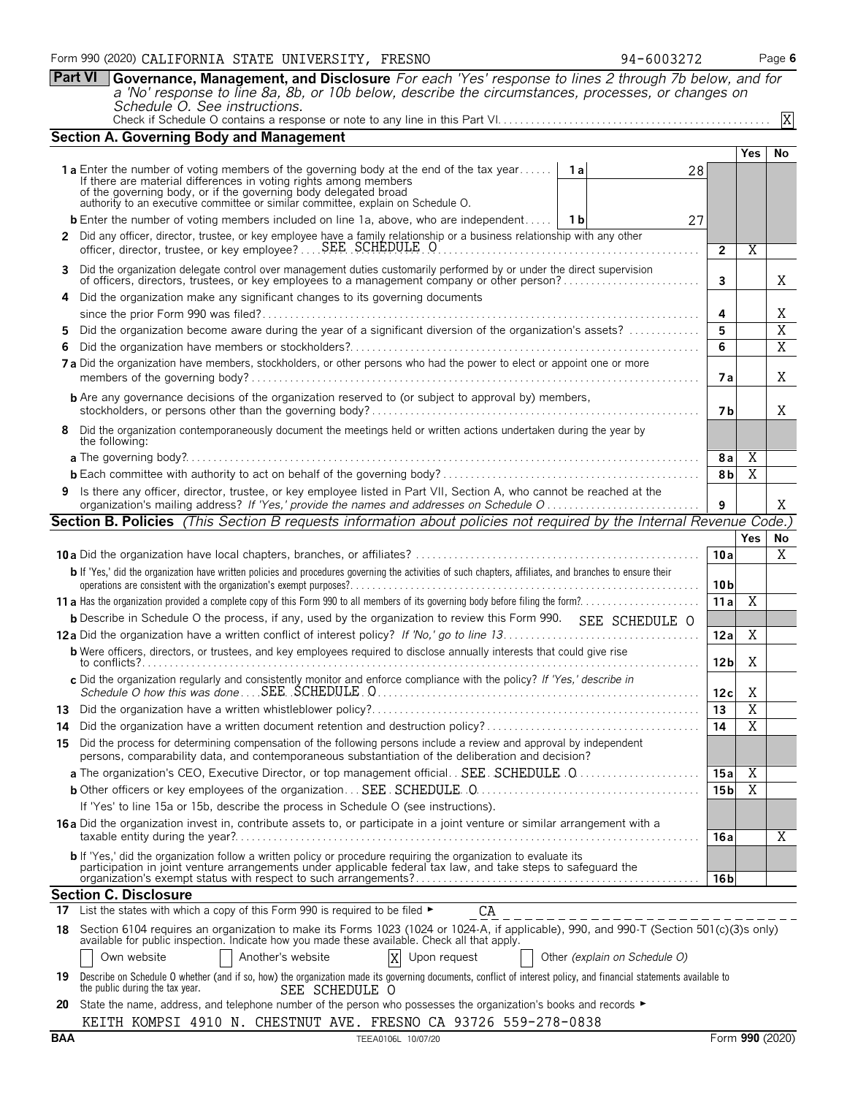**Part VI Governance, Management, and Disclosure** *For each 'Yes' response to lines 2 through 7b below, and for a 'No' response to line 8a, 8b, or 10b below, describe the circumstances, processes, or changes on Schedule O. See instructions.*

|    | <b>Section A. Governing Body and Management</b>                                                                                                                                                                                          |                 |                         |                         |
|----|------------------------------------------------------------------------------------------------------------------------------------------------------------------------------------------------------------------------------------------|-----------------|-------------------------|-------------------------|
|    |                                                                                                                                                                                                                                          |                 | Yes                     | No                      |
|    | 1 <b>a</b> Enter the number of voting members of the governing body at the end of the tax year If there are material differences in voting rights among members<br>1a<br>28                                                              |                 |                         |                         |
|    | of the governing body, or if the governing body delegated broad                                                                                                                                                                          |                 |                         |                         |
|    | authority to an executive committee or similar committee, explain on Schedule O.                                                                                                                                                         |                 |                         |                         |
|    | <b>b</b> Enter the number of voting members included on line 1a, above, who are independent   1b<br>27                                                                                                                                   |                 |                         |                         |
|    | 2 Did any officer, director, trustee, or key employee have a family relationship or a business relationship with any other<br>officer, director, trustee, or key employee?  SEE SCHEDULE O                                               | $\overline{2}$  | Χ                       |                         |
|    | 3 Did the organization delegate control over management duties customarily performed by or under the direct supervision of officers, directors, trustees, or key employees to a management company or other person?                      | 3               |                         | X                       |
|    | 4 Did the organization make any significant changes to its governing documents                                                                                                                                                           |                 |                         |                         |
|    |                                                                                                                                                                                                                                          | 4               |                         | Χ                       |
|    | Did the organization become aware during the year of a significant diversion of the organization's assets?                                                                                                                               | 5               |                         | $\overline{\mathrm{X}}$ |
| 6. |                                                                                                                                                                                                                                          | 6               |                         | $\overline{X}$          |
|    | 7a Did the organization have members, stockholders, or other persons who had the power to elect or appoint one or more                                                                                                                   | 7 a             |                         | X                       |
|    | <b>b</b> Are any governance decisions of the organization reserved to (or subject to approval by) members,                                                                                                                               | 7 <sub>b</sub>  |                         | X                       |
|    | 8 Did the organization contemporaneously document the meetings held or written actions undertaken during the year by<br>the following:                                                                                                   |                 |                         |                         |
|    |                                                                                                                                                                                                                                          | 8 a             | Χ                       |                         |
|    |                                                                                                                                                                                                                                          | 8b              | $\overline{\text{X}}$   |                         |
|    | 9 Is there any officer, director, trustee, or key employee listed in Part VII, Section A, who cannot be reached at the                                                                                                                   | 9               |                         | X                       |
|    | <b>Section B. Policies</b> (This Section B requests information about policies not required by the Internal Revenue Code.)                                                                                                               |                 |                         |                         |
|    |                                                                                                                                                                                                                                          |                 | Yes                     | No                      |
|    |                                                                                                                                                                                                                                          | 10a             |                         | X                       |
|    | b If 'Yes,' did the organization have written policies and procedures governing the activities of such chapters, affiliates, and branches to ensure their                                                                                | 10 bl           |                         |                         |
|    |                                                                                                                                                                                                                                          | 11 a            | $\overline{X}$          |                         |
|    | <b>b</b> Describe in Schedule O the process, if any, used by the organization to review this Form 990. SEE SCHEDULE O                                                                                                                    |                 |                         |                         |
|    |                                                                                                                                                                                                                                          | 12a             | X                       |                         |
|    | <b>b</b> Were officers, directors, or trustees, and key employees required to disclose annually interests that could give rise                                                                                                           | 12 <sub>b</sub> | Χ                       |                         |
|    | c Did the organization regularly and consistently monitor and enforce compliance with the policy? If 'Yes,' describe in                                                                                                                  | 12c             | X                       |                         |
|    |                                                                                                                                                                                                                                          | 13              | $\overline{\mathrm{X}}$ |                         |
|    |                                                                                                                                                                                                                                          | 14              | $\overline{\text{X}}$   |                         |
|    | 15 Did the process for determining compensation of the following persons include a review and approval by independent<br>persons, comparability data, and contemporaneous substantiation of the deliberation and decision?               |                 |                         |                         |
|    | a The organization's CEO, Executive Director, or top management official SEE. SCHEDULE 0                                                                                                                                                 | 15 a            | Χ                       |                         |
|    |                                                                                                                                                                                                                                          | 15 <sub>b</sub> | X                       |                         |
|    | If 'Yes' to line 15a or 15b, describe the process in Schedule O (see instructions).                                                                                                                                                      |                 |                         |                         |
|    | 16a Did the organization invest in, contribute assets to, or participate in a joint venture or similar arrangement with a                                                                                                                | 16 a            |                         | Χ                       |
|    | <b>b</b> If 'Yes,' did the organization follow a written policy or procedure requiring the organization to evaluate its<br>participation in joint venture arrangements under applicable federal tax law, and take steps to safequard the | 16 b            |                         |                         |
|    | <b>Section C. Disclosure</b>                                                                                                                                                                                                             |                 |                         |                         |
| 17 | List the states with which a copy of this Form 990 is required to be filed ►<br>CA                                                                                                                                                       |                 |                         |                         |
| 18 | Section 6104 requires an organization to make its Forms 1023 (1024 or 1024-A, if applicable), 990, and 990-T (Section 501(c)(3)s only)<br>available for public inspection. Indicate how you made these available. Check all that apply.  |                 |                         |                         |
|    | Own website<br>Another's website<br>X<br>Upon request<br>Other (explain on Schedule O)                                                                                                                                                   |                 |                         |                         |
| 19 | Describe on Schedule O whether (and if so, how) the organization made its governing documents, conflict of interest policy, and financial statements available to<br>the public during the tax year.<br>SEE SCHEDULE O                   |                 |                         |                         |

| ing the tax year. | SEE SCHEDULE O |  |
|-------------------|----------------|--|
|                   |                |  |

**20** State the name, address, and telephone number of the person who possesses the organization's books and records ► KEITH KOMPSI 4910 N. CHESTNUT AVE. FRESNO CA 93726 559-278-0838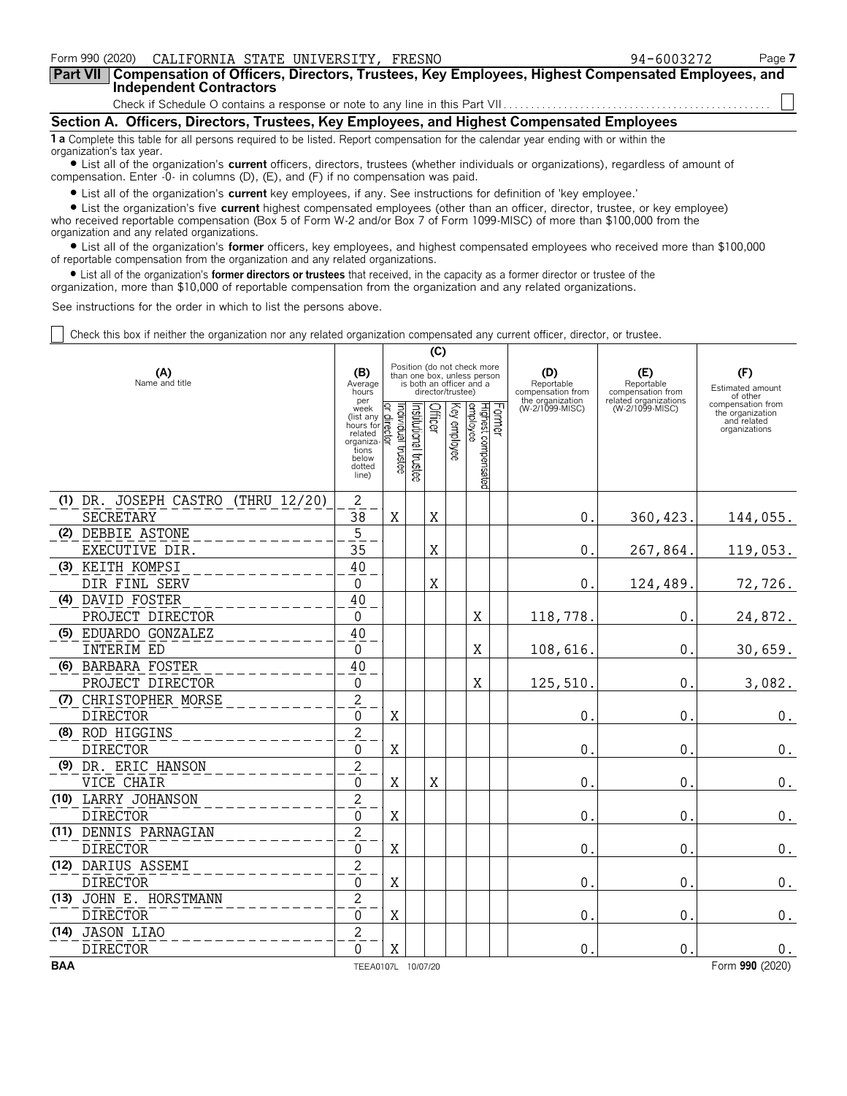| Form 990 (2020) CALIFORNIA STATE UNIVERSITY, FRESNO                                                                                                            | 94-6003272 | Page 7 |  |  |  |  |  |
|----------------------------------------------------------------------------------------------------------------------------------------------------------------|------------|--------|--|--|--|--|--|
| Part VII   Compensation of Officers, Directors, Trustees, Key Employees, Highest Compensated Employees, and<br><b>Independent Contractors</b>                  |            |        |  |  |  |  |  |
|                                                                                                                                                                |            |        |  |  |  |  |  |
| Section A. Officers, Directors, Trustees, Key Employees, and Highest Compensated Employees                                                                     |            |        |  |  |  |  |  |
| 1 a Complete this table for all persons required to be listed. Report compensation for the calendar year ending with or within the<br>organization's tax year. |            |        |  |  |  |  |  |

? List all of the organization's **current** officers, directors, trustees (whether individuals or organizations), regardless of amount of compensation. Enter -0- in columns (D), (E), and (F) if no compensation was paid.

? List all of the organization's **current** key employees, if any. See instructions for definition of 'key employee.'

? List the organization's five **current** highest compensated employees (other than an officer, director, trustee, or key employee) who received reportable compensation (Box 5 of Form W-2 and/or Box 7 of Form 1099-MISC) of more than \$100,000 from the organization and any related organizations.

? List all of the organization's **former** officers, key employees, and highest compensated employees who received more than \$100,000 of reportable compensation from the organization and any related organizations.

? List all of the organization's **former directors or trustees** that received, in the capacity as a former director or trustee of the organization, more than \$10,000 of reportable compensation from the organization and any related organizations.

See instructions for the order in which to list the persons above.

Check this box if neither the organization nor any related organization compensated any current officer, director, or trustee.

|                       |                                    | (C)                                                                                               |                                     |                                                                                                             |                |              |                                  |        |                                                            |                                                                 |                                                                       |
|-----------------------|------------------------------------|---------------------------------------------------------------------------------------------------|-------------------------------------|-------------------------------------------------------------------------------------------------------------|----------------|--------------|----------------------------------|--------|------------------------------------------------------------|-----------------------------------------------------------------|-----------------------------------------------------------------------|
| (A)<br>Name and title |                                    |                                                                                                   |                                     | Position (do not check more<br>than one box, unless person<br>is both an officer and a<br>director/trustee) |                |              |                                  |        | (D)<br>Reportable<br>compensation from<br>the organization | (E)<br>Reportable<br>compensation from<br>related organizations | (F)<br>Estimated amount<br>of other                                   |
|                       |                                    | per<br>week<br>(list any<br>hours for<br>related<br>organiza<br>tions<br>below<br>dotted<br>line) | Individual trustee<br>direct<br>ថ្ម | nstitutional trustee                                                                                        | <b>Officer</b> | Key employee | Highest compensated<br> employee | Former | (W-2/1099-MISC)                                            | (W-2/1099-MISC)                                                 | compensation from<br>the organization<br>and related<br>organizations |
|                       | (1) DR. JOSEPH CASTRO (THRU 12/20) | $\overline{2}$                                                                                    |                                     |                                                                                                             |                |              |                                  |        |                                                            |                                                                 |                                                                       |
|                       | SECRETARY                          | $\overline{38}$                                                                                   | X                                   |                                                                                                             | X              |              |                                  |        | $\mathbf 0$ .                                              | 360, 423.                                                       | 144,055.                                                              |
|                       | (2) DEBBIE ASTONE                  | $\overline{5}$                                                                                    |                                     |                                                                                                             |                |              |                                  |        |                                                            |                                                                 |                                                                       |
|                       | EXECUTIVE DIR.                     | 35                                                                                                |                                     |                                                                                                             | X              |              |                                  |        | $\mathbf{0}$ .                                             | 267,864.                                                        | 119,053.                                                              |
|                       | (3) KEITH KOMPSI                   | 40                                                                                                |                                     |                                                                                                             |                |              |                                  |        |                                                            |                                                                 |                                                                       |
|                       | DIR FINL SERV                      | $\Omega$                                                                                          |                                     |                                                                                                             | X              |              |                                  |        | $\mathbf{0}$                                               | 124,489.                                                        | 72,726.                                                               |
|                       | (4) DAVID FOSTER                   | 40                                                                                                |                                     |                                                                                                             |                |              |                                  |        |                                                            |                                                                 |                                                                       |
|                       | PROJECT DIRECTOR                   | $\Omega$                                                                                          |                                     |                                                                                                             |                |              | X                                |        | 118,778.                                                   | 0.                                                              | 24,872.                                                               |
|                       | (5) EDUARDO GONZALEZ<br>INTERIM ED | 40<br>$\Omega$                                                                                    |                                     |                                                                                                             |                |              | X                                |        |                                                            | $0$ .                                                           |                                                                       |
|                       | (6) BARBARA FOSTER                 | 40                                                                                                |                                     |                                                                                                             |                |              |                                  |        | 108,616                                                    |                                                                 | 30,659.                                                               |
|                       | PROJECT DIRECTOR                   | 0                                                                                                 |                                     |                                                                                                             |                |              | X                                |        | 125,510                                                    | 0.                                                              | 3,082.                                                                |
|                       | (7) CHRISTOPHER MORSE              | $\overline{c}$                                                                                    |                                     |                                                                                                             |                |              |                                  |        |                                                            |                                                                 |                                                                       |
|                       | <b>DIRECTOR</b>                    | $\Omega$                                                                                          | X                                   |                                                                                                             |                |              |                                  |        | 0                                                          | 0.                                                              | 0.                                                                    |
|                       | (8) ROD HIGGINS                    | $\overline{c}$                                                                                    |                                     |                                                                                                             |                |              |                                  |        |                                                            |                                                                 |                                                                       |
|                       | <b>DIRECTOR</b>                    | $\Omega$                                                                                          | X                                   |                                                                                                             |                |              |                                  |        | 0                                                          | 0.                                                              | 0.                                                                    |
|                       | (9) DR. ERIC HANSON                | $\overline{c}$                                                                                    |                                     |                                                                                                             |                |              |                                  |        |                                                            |                                                                 |                                                                       |
|                       | VICE CHAIR                         | 0                                                                                                 | X                                   |                                                                                                             | X              |              |                                  |        | 0                                                          | 0.                                                              | 0.                                                                    |
|                       | (10) LARRY JOHANSON                | $\overline{2}$                                                                                    |                                     |                                                                                                             |                |              |                                  |        |                                                            |                                                                 |                                                                       |
|                       | <b>DIRECTOR</b>                    | $\mathbf 0$                                                                                       | X                                   |                                                                                                             |                |              |                                  |        | 0                                                          | 0.                                                              | 0.                                                                    |
|                       | (11) DENNIS PARNAGIAN              | $\overline{2}$                                                                                    |                                     |                                                                                                             |                |              |                                  |        |                                                            |                                                                 |                                                                       |
|                       | <b>DIRECTOR</b>                    | $\Omega$                                                                                          | $\rm X$                             |                                                                                                             |                |              |                                  |        | $\mathbf 0$                                                | 0.                                                              | $\boldsymbol{0}$ .                                                    |
|                       | (12) DARIUS ASSEMI                 | $\overline{2}$                                                                                    |                                     |                                                                                                             |                |              |                                  |        |                                                            |                                                                 |                                                                       |
|                       | <b>DIRECTOR</b>                    | 0                                                                                                 | X                                   |                                                                                                             |                |              |                                  |        | $\mathbf 0$                                                | 0.                                                              | $0_{\cdot}$                                                           |
|                       | (13) JOHN E. HORSTMANN             | $\overline{2}$                                                                                    |                                     |                                                                                                             |                |              |                                  |        |                                                            |                                                                 |                                                                       |
|                       | <b>DIRECTOR</b>                    | $\overline{0}$                                                                                    | X                                   |                                                                                                             |                |              |                                  |        | $\mathbf{0}$                                               | 0.                                                              | 0.                                                                    |
|                       | (14) JASON LIAO                    | $\overline{2}$                                                                                    |                                     |                                                                                                             |                |              |                                  |        |                                                            |                                                                 |                                                                       |
|                       | <b>DIRECTOR</b>                    | $\overline{0}$                                                                                    | X                                   |                                                                                                             |                |              |                                  |        | $\overline{0}$                                             | 0.                                                              | $0$ .                                                                 |
| <b>BAA</b>            |                                    | TEEA0107L 10/07/20                                                                                |                                     |                                                                                                             |                |              |                                  |        |                                                            |                                                                 | Form 990 (2020)                                                       |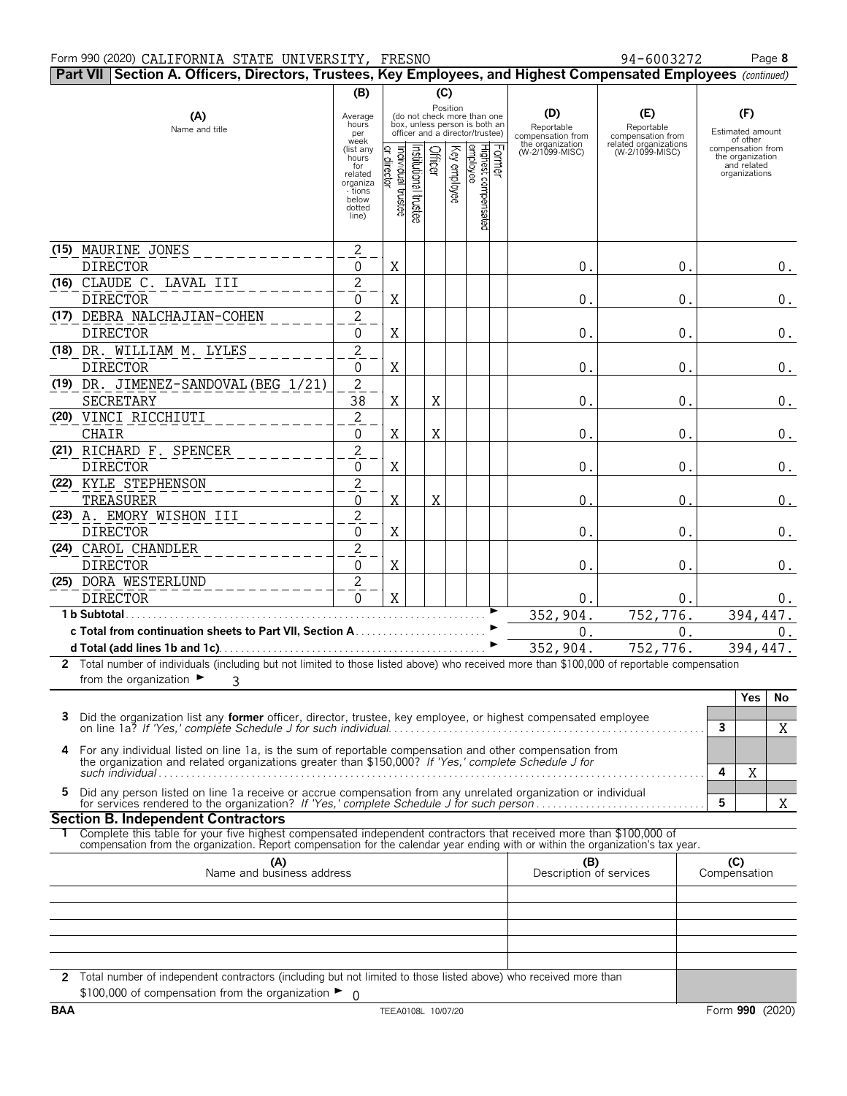#### Form 990 (2020) Page **8** CALIFORNIA STATE UNIVERSITY, FRESNO 94-6003272

| Part VII Section A. Officers, Directors, Trustees, Key Employees, and Highest Compensated Employees (continued)                                                                                                                                        |                                                                                             |                                |                       |          |              |                                                                                                 |                                                            |                                                                 |                                                                       |  |
|--------------------------------------------------------------------------------------------------------------------------------------------------------------------------------------------------------------------------------------------------------|---------------------------------------------------------------------------------------------|--------------------------------|-----------------------|----------|--------------|-------------------------------------------------------------------------------------------------|------------------------------------------------------------|-----------------------------------------------------------------|-----------------------------------------------------------------------|--|
|                                                                                                                                                                                                                                                        | (B)                                                                                         |                                |                       | (C)      |              |                                                                                                 |                                                            |                                                                 |                                                                       |  |
| (A)<br>Name and title                                                                                                                                                                                                                                  | Average<br>hours<br>per<br>week                                                             |                                |                       | Position |              | (do not check more than one<br>box, unless person is both an<br>officer and a director/trustee) | (D)<br>Reportable<br>compensation from<br>the organization | (E)<br>Reportable<br>compensation from<br>related organizations | (F)<br>Estimated amount<br>of other                                   |  |
|                                                                                                                                                                                                                                                        | (list any<br>hours <sup>7</sup><br>for<br>related<br>organiza<br>- tions<br>below<br>dotted | Individual trustee<br>director | Institutional trustee | Officer  | Key employee | Former<br> Highest compensated<br> employee                                                     | (W-2/1099-MISC)                                            | (W-2/1099-MISC)                                                 | compensation from<br>the organization<br>and related<br>organizations |  |
|                                                                                                                                                                                                                                                        | line)                                                                                       |                                |                       |          |              |                                                                                                 |                                                            |                                                                 |                                                                       |  |
| (15) MAURINE JONES                                                                                                                                                                                                                                     | $\overline{2}$                                                                              |                                |                       |          |              |                                                                                                 |                                                            |                                                                 |                                                                       |  |
| <b>DIRECTOR</b>                                                                                                                                                                                                                                        | 0                                                                                           | Χ                              |                       |          |              |                                                                                                 | 0.                                                         | 0.                                                              | 0.                                                                    |  |
| (16) CLAUDE C. LAVAL III                                                                                                                                                                                                                               | $\overline{2}$                                                                              |                                |                       |          |              |                                                                                                 |                                                            |                                                                 |                                                                       |  |
| <b>DIRECTOR</b>                                                                                                                                                                                                                                        | $\mathbf 0$                                                                                 | Χ                              |                       |          |              |                                                                                                 | $\mathbf{0}$                                               | $0$ .                                                           | $0$ .                                                                 |  |
| (17) DEBRA NALCHAJIAN-COHEN                                                                                                                                                                                                                            | $\overline{2}$                                                                              |                                |                       |          |              |                                                                                                 |                                                            |                                                                 |                                                                       |  |
| <b>DIRECTOR</b>                                                                                                                                                                                                                                        | 0                                                                                           | X                              |                       |          |              |                                                                                                 | $0$ .                                                      | $0$ .                                                           | $0$ .                                                                 |  |
| (18) DR. WILLIAM M. LYLES<br><b>DIRECTOR</b>                                                                                                                                                                                                           | $\overline{2}$<br>0                                                                         | Χ                              |                       |          |              |                                                                                                 | 0.                                                         | 0.                                                              | $0$ .                                                                 |  |
| (19) DR. JIMENEZ-SANDOVAL (BEG 1/21)                                                                                                                                                                                                                   | $\overline{2}$                                                                              |                                |                       |          |              |                                                                                                 |                                                            |                                                                 |                                                                       |  |
| SECRETARY                                                                                                                                                                                                                                              | 38                                                                                          | X                              |                       | X        |              |                                                                                                 | 0.                                                         | 0.                                                              | $0$ .                                                                 |  |
| (20) VINCI RICCHIUTI                                                                                                                                                                                                                                   | $\overline{2}$                                                                              |                                |                       |          |              |                                                                                                 |                                                            |                                                                 |                                                                       |  |
| <b>CHAIR</b>                                                                                                                                                                                                                                           | 0                                                                                           | X                              |                       | X        |              |                                                                                                 | 0.                                                         | 0.                                                              | 0.                                                                    |  |
| (21) RICHARD F. SPENCER                                                                                                                                                                                                                                | $\overline{2}$                                                                              |                                |                       |          |              |                                                                                                 |                                                            |                                                                 |                                                                       |  |
| <b>DIRECTOR</b>                                                                                                                                                                                                                                        | $\boldsymbol{0}$                                                                            | X                              |                       |          |              |                                                                                                 | $\overline{0}$ .                                           | 0.                                                              | $0$ .                                                                 |  |
| (22) KYLE STEPHENSON                                                                                                                                                                                                                                   | $\overline{2}$                                                                              |                                |                       |          |              |                                                                                                 |                                                            |                                                                 |                                                                       |  |
| TREASURER                                                                                                                                                                                                                                              | $\boldsymbol{0}$                                                                            | X                              |                       | X        |              |                                                                                                 | 0                                                          | 0.                                                              | $0_{.}$                                                               |  |
| (23) A. EMORY WISHON III                                                                                                                                                                                                                               | $\overline{2}$                                                                              |                                |                       |          |              |                                                                                                 |                                                            |                                                                 |                                                                       |  |
| <b>DIRECTOR</b>                                                                                                                                                                                                                                        | $\mathbf 0$                                                                                 | X                              |                       |          |              |                                                                                                 | 0.                                                         | $0$ .                                                           | $0$ .                                                                 |  |
| (24) CAROL CHANDLER                                                                                                                                                                                                                                    | $\overline{2}$                                                                              |                                |                       |          |              |                                                                                                 |                                                            |                                                                 |                                                                       |  |
| <b>DIRECTOR</b>                                                                                                                                                                                                                                        | 0                                                                                           | Χ                              |                       |          |              |                                                                                                 | $0$ .                                                      | $0$ .                                                           | $0$ .                                                                 |  |
| (25) DORA WESTERLUND                                                                                                                                                                                                                                   | $\overline{2}$                                                                              |                                |                       |          |              |                                                                                                 |                                                            |                                                                 |                                                                       |  |
| <b>DIRECTOR</b>                                                                                                                                                                                                                                        | $\overline{0}$                                                                              | $\mathbf X$                    |                       |          |              |                                                                                                 | 0.                                                         | 0.                                                              | 0.                                                                    |  |
| 1 b Subtotal.                                                                                                                                                                                                                                          |                                                                                             |                                |                       |          |              |                                                                                                 | 352,904.                                                   | 752,776.                                                        | 394, 447.                                                             |  |
|                                                                                                                                                                                                                                                        |                                                                                             |                                |                       |          |              |                                                                                                 | 0.                                                         | 0.                                                              | 0.                                                                    |  |
| 2 Total number of individuals (including but not limited to those listed above) who received more than \$100,000 of reportable compensation                                                                                                            |                                                                                             |                                |                       |          |              |                                                                                                 | 352,904.                                                   | 752,776.                                                        | 394,447.                                                              |  |
| from the organization $\blacktriangleright$<br>3                                                                                                                                                                                                       |                                                                                             |                                |                       |          |              |                                                                                                 |                                                            |                                                                 |                                                                       |  |
|                                                                                                                                                                                                                                                        |                                                                                             |                                |                       |          |              |                                                                                                 |                                                            |                                                                 | <b>Yes</b><br>No                                                      |  |
| 3<br>Did the organization list any former officer, director, trustee, key employee, or highest compensated employee                                                                                                                                    |                                                                                             |                                |                       |          |              |                                                                                                 |                                                            |                                                                 | 3<br>Χ                                                                |  |
| 4<br>For any individual listed on line 1a, is the sum of reportable compensation and other compensation from<br>the organization and related organizations greater than \$150,000? If 'Yes,' complete Schedule J for                                   |                                                                                             |                                |                       |          |              |                                                                                                 |                                                            |                                                                 | 4<br>Χ                                                                |  |
| Did any person listed on line 1a receive or accrue compensation from any unrelated organization or individual<br>5                                                                                                                                     |                                                                                             |                                |                       |          |              |                                                                                                 |                                                            |                                                                 | 5<br>Χ                                                                |  |
| <b>Section B. Independent Contractors</b>                                                                                                                                                                                                              |                                                                                             |                                |                       |          |              |                                                                                                 |                                                            |                                                                 |                                                                       |  |
| Complete this table for your five highest compensated independent contractors that received more than \$100,000 of<br>compensation from the organization. Report compensation for the calendar year ending with or within the organization's tax year. |                                                                                             |                                |                       |          |              |                                                                                                 |                                                            |                                                                 |                                                                       |  |
| (A)<br>Name and business address                                                                                                                                                                                                                       |                                                                                             |                                |                       |          |              |                                                                                                 | (B)<br>Description of services                             |                                                                 | (C)<br>Compensation                                                   |  |
|                                                                                                                                                                                                                                                        |                                                                                             |                                |                       |          |              |                                                                                                 |                                                            |                                                                 |                                                                       |  |
|                                                                                                                                                                                                                                                        |                                                                                             |                                |                       |          |              |                                                                                                 |                                                            |                                                                 |                                                                       |  |
|                                                                                                                                                                                                                                                        |                                                                                             |                                |                       |          |              |                                                                                                 |                                                            |                                                                 |                                                                       |  |
| 2 Total number of independent contractors (including but not limited to those listed above) who received more than                                                                                                                                     |                                                                                             |                                |                       |          |              |                                                                                                 |                                                            |                                                                 |                                                                       |  |
| \$100,000 of compensation from the organization $\blacktriangleright$ 0                                                                                                                                                                                |                                                                                             |                                |                       |          |              |                                                                                                 |                                                            |                                                                 |                                                                       |  |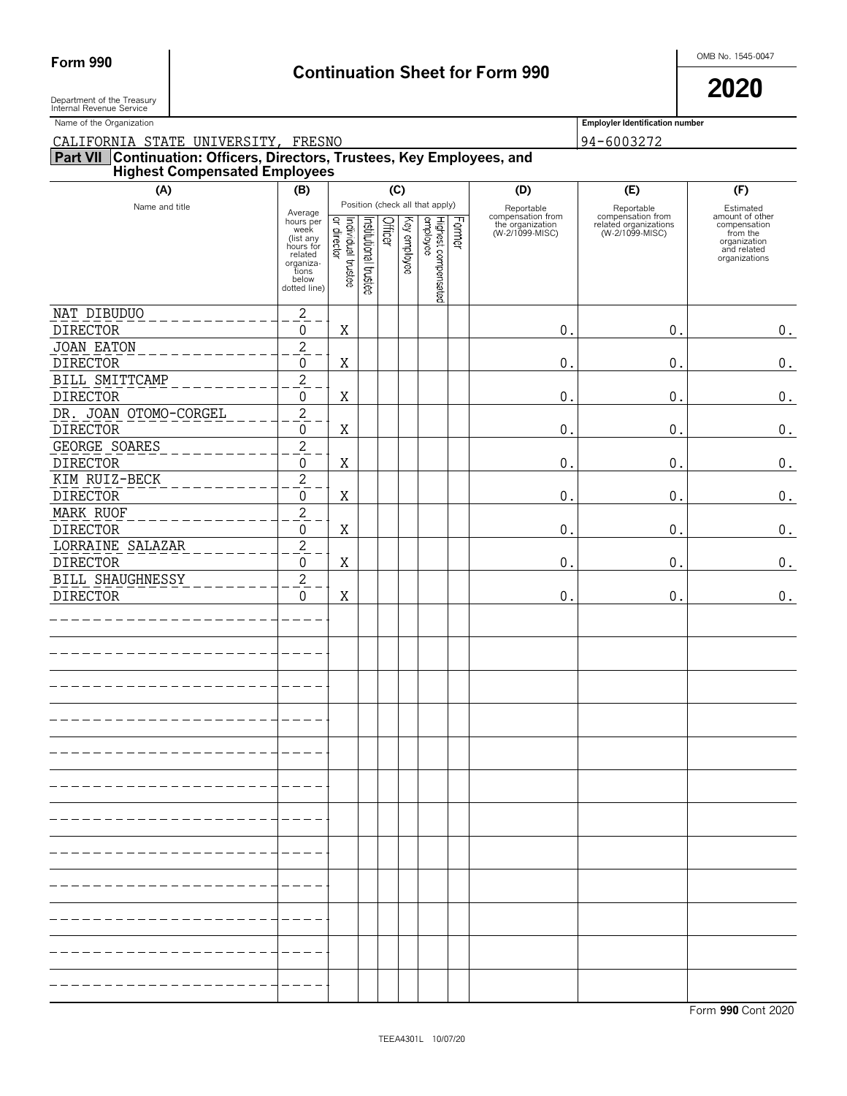# Form 990 **Continuation Sheet for Form 990 Continuation Sheet for Form 990**

Department of the Treasury **2020** Department of the Treasury<br>Internal Revenue Service

Name of the Organization **Employler Identification number Employler Identification number** 

| CALIFORNIA STATE UNIVERSITY, FRESNO                                                                              |                                                                                                                  |                                    |                       |         |              |                                                                    |        |                                                                        | 94-6003272                                                                  |                                                                                                          |
|------------------------------------------------------------------------------------------------------------------|------------------------------------------------------------------------------------------------------------------|------------------------------------|-----------------------|---------|--------------|--------------------------------------------------------------------|--------|------------------------------------------------------------------------|-----------------------------------------------------------------------------|----------------------------------------------------------------------------------------------------------|
| Part VII Continuation: Officers, Directors, Trustees, Key Employees, and<br><b>Highest Compensated Employees</b> |                                                                                                                  |                                    |                       |         |              |                                                                    |        |                                                                        |                                                                             |                                                                                                          |
| (A)                                                                                                              | (B)                                                                                                              | (C)                                |                       |         |              |                                                                    |        | (D)                                                                    | (E)                                                                         | (F)                                                                                                      |
| Name and title                                                                                                   | Average<br>hours per<br>week<br>(list any<br>hours for<br>related<br>organiza-<br>tions<br>below<br>dotted line) | Individual trustee<br> or director | Institutional trustee | Officer | Key employee | Position (check all that apply)<br>Highest compensated<br>employee | Former | Reportable<br>compensation from<br>the organization<br>(W-2/1099-MISC) | Reportable<br>compensation from<br>related organizations<br>(W-2/1099-MISC) | Estimated<br>amount of other<br>compensation<br>from the<br>organization<br>and related<br>organizations |
| NAT DIBUDUO                                                                                                      | $\overline{2}$                                                                                                   |                                    |                       |         |              |                                                                    |        |                                                                        |                                                                             |                                                                                                          |
| <b>DIRECTOR</b>                                                                                                  | $\pmb{0}$                                                                                                        | X                                  |                       |         |              |                                                                    |        | $\boldsymbol{0}$                                                       | 0.                                                                          | $\boldsymbol{0}$ .                                                                                       |
| <b>JOAN EATON</b>                                                                                                | $\overline{2}$                                                                                                   |                                    |                       |         |              |                                                                    |        |                                                                        |                                                                             |                                                                                                          |
| <b>DIRECTOR</b>                                                                                                  | $\boldsymbol{0}$                                                                                                 | Χ                                  |                       |         |              |                                                                    |        | $0$ .                                                                  | $\mathsf{O}$ .                                                              | $\boldsymbol{0}$ .                                                                                       |
| BILL SMITTCAMP                                                                                                   | $\overline{2}$                                                                                                   |                                    |                       |         |              |                                                                    |        |                                                                        |                                                                             |                                                                                                          |
| <b>DIRECTOR</b>                                                                                                  | 0                                                                                                                | Χ                                  |                       |         |              |                                                                    |        | 0.                                                                     | $0$ .                                                                       | $\boldsymbol{0}$ .                                                                                       |
| DR. JOAN OTOMO-CORGEL                                                                                            | $\overline{2}$                                                                                                   |                                    |                       |         |              |                                                                    |        |                                                                        |                                                                             |                                                                                                          |
| <b>DIRECTOR</b>                                                                                                  | $\pmb{0}$                                                                                                        | X                                  |                       |         |              |                                                                    |        | 0.                                                                     | $\mathsf{O}$ .                                                              | $\boldsymbol{0}$ .                                                                                       |
| GEORGE SOARES                                                                                                    | $\overline{2}$                                                                                                   |                                    |                       |         |              |                                                                    |        |                                                                        |                                                                             |                                                                                                          |
| <b>DIRECTOR</b><br>KIM RUIZ-BECK                                                                                 | $\boldsymbol{0}$                                                                                                 | Χ                                  |                       |         |              |                                                                    |        | $0$ .                                                                  | $\mathsf{O}$ .                                                              | $\boldsymbol{0}$ .                                                                                       |
| <b>DIRECTOR</b>                                                                                                  | $\overline{2}$<br>$\mathbf 0$                                                                                    | X                                  |                       |         |              |                                                                    |        | 0.                                                                     | 0.                                                                          | $\boldsymbol{0}$ .                                                                                       |
| MARK RUOF                                                                                                        | $\overline{2}$                                                                                                   |                                    |                       |         |              |                                                                    |        |                                                                        |                                                                             |                                                                                                          |
| <b>DIRECTOR</b>                                                                                                  | 0                                                                                                                | Χ                                  |                       |         |              |                                                                    |        | $0$ .                                                                  | $\mathsf{O}$ .                                                              | $\boldsymbol{0}$ .                                                                                       |
| LORRAINE SALAZAR                                                                                                 | $\overline{2}$                                                                                                   |                                    |                       |         |              |                                                                    |        |                                                                        |                                                                             |                                                                                                          |
| <b>DIRECTOR</b>                                                                                                  | $\pmb{0}$                                                                                                        | Χ                                  |                       |         |              |                                                                    |        | 0.                                                                     | 0.                                                                          | $\boldsymbol{0}$ .                                                                                       |
| <b>BILL SHAUGHNESSY</b>                                                                                          | $\overline{2}$                                                                                                   |                                    |                       |         |              |                                                                    |        |                                                                        |                                                                             |                                                                                                          |
| <b>DIRECTOR</b>                                                                                                  | $\mathbf 0$                                                                                                      | X                                  |                       |         |              |                                                                    |        | 0.                                                                     | 0.                                                                          | $\boldsymbol{0}$ .                                                                                       |
|                                                                                                                  |                                                                                                                  |                                    |                       |         |              |                                                                    |        |                                                                        |                                                                             |                                                                                                          |
|                                                                                                                  |                                                                                                                  |                                    |                       |         |              |                                                                    |        |                                                                        |                                                                             |                                                                                                          |
|                                                                                                                  |                                                                                                                  |                                    |                       |         |              |                                                                    |        |                                                                        |                                                                             |                                                                                                          |
|                                                                                                                  |                                                                                                                  |                                    |                       |         |              |                                                                    |        |                                                                        |                                                                             |                                                                                                          |
|                                                                                                                  |                                                                                                                  |                                    |                       |         |              |                                                                    |        |                                                                        |                                                                             |                                                                                                          |
|                                                                                                                  |                                                                                                                  |                                    |                       |         |              |                                                                    |        |                                                                        |                                                                             |                                                                                                          |
|                                                                                                                  |                                                                                                                  |                                    |                       |         |              |                                                                    |        |                                                                        |                                                                             |                                                                                                          |
|                                                                                                                  |                                                                                                                  |                                    |                       |         |              |                                                                    |        |                                                                        |                                                                             |                                                                                                          |
|                                                                                                                  |                                                                                                                  |                                    |                       |         |              |                                                                    |        |                                                                        |                                                                             |                                                                                                          |
|                                                                                                                  |                                                                                                                  |                                    |                       |         |              |                                                                    |        |                                                                        |                                                                             |                                                                                                          |
|                                                                                                                  |                                                                                                                  |                                    |                       |         |              |                                                                    |        |                                                                        |                                                                             |                                                                                                          |
|                                                                                                                  |                                                                                                                  |                                    |                       |         |              |                                                                    |        |                                                                        |                                                                             |                                                                                                          |
|                                                                                                                  |                                                                                                                  |                                    |                       |         |              |                                                                    |        |                                                                        |                                                                             |                                                                                                          |
|                                                                                                                  |                                                                                                                  |                                    |                       |         |              |                                                                    |        |                                                                        |                                                                             |                                                                                                          |
|                                                                                                                  |                                                                                                                  |                                    |                       |         |              |                                                                    |        |                                                                        |                                                                             |                                                                                                          |
|                                                                                                                  |                                                                                                                  |                                    |                       |         |              |                                                                    |        |                                                                        |                                                                             |                                                                                                          |
|                                                                                                                  |                                                                                                                  |                                    |                       |         |              |                                                                    |        |                                                                        |                                                                             |                                                                                                          |
|                                                                                                                  |                                                                                                                  |                                    |                       |         |              |                                                                    |        |                                                                        |                                                                             |                                                                                                          |
|                                                                                                                  |                                                                                                                  |                                    |                       |         |              |                                                                    |        |                                                                        |                                                                             |                                                                                                          |
|                                                                                                                  |                                                                                                                  |                                    |                       |         |              |                                                                    |        |                                                                        |                                                                             |                                                                                                          |
|                                                                                                                  |                                                                                                                  |                                    |                       |         |              |                                                                    |        |                                                                        |                                                                             |                                                                                                          |
|                                                                                                                  |                                                                                                                  |                                    |                       |         |              |                                                                    |        |                                                                        |                                                                             |                                                                                                          |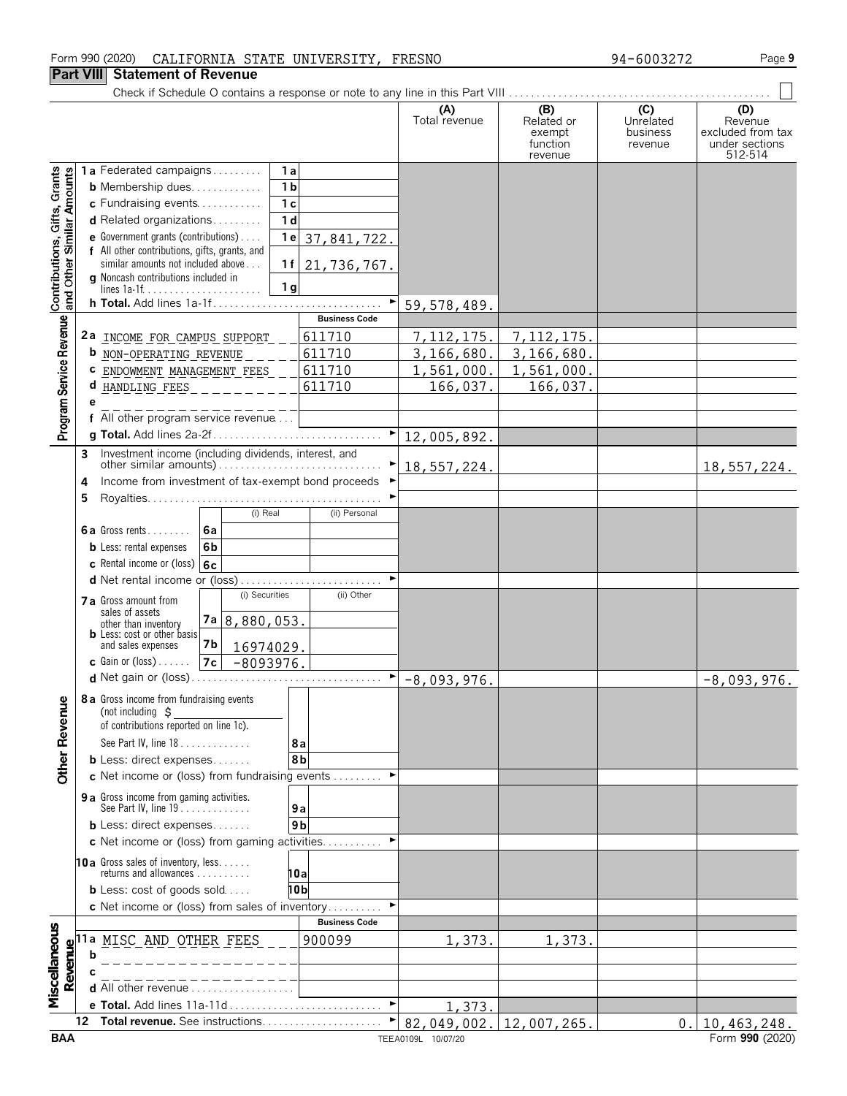#### Form 990 (2020) Page **9** CALIFORNIA STATE UNIVERSITY, FRESNO 94-6003272

#### **Part VIII Statement of Revenue**

|                                                           |    |                                                                                     |                       | (A)<br>Total revenue | (B)<br>Related or<br>exempt<br>function<br>revenue | (C)<br>Unrelated<br>business<br>revenue | (D)<br>Revenue<br>excluded from tax<br>under sections<br>512-514 |
|-----------------------------------------------------------|----|-------------------------------------------------------------------------------------|-----------------------|----------------------|----------------------------------------------------|-----------------------------------------|------------------------------------------------------------------|
|                                                           |    | 1a Federated campaigns<br>1a                                                        |                       |                      |                                                    |                                         |                                                                  |
|                                                           |    | 1 <sub>b</sub><br><b>b</b> Membership dues                                          |                       |                      |                                                    |                                         |                                                                  |
|                                                           |    | 1 <sub>c</sub><br>c Fundraising events                                              |                       |                      |                                                    |                                         |                                                                  |
|                                                           |    | 1 <sub>d</sub><br>d Related organizations                                           |                       |                      |                                                    |                                         |                                                                  |
|                                                           |    | <b>e</b> Government grants (contributions)<br>1e                                    | 37,841,722.           |                      |                                                    |                                         |                                                                  |
|                                                           |    | f All other contributions, gifts, grants, and<br>similar amounts not included above |                       |                      |                                                    |                                         |                                                                  |
|                                                           |    | 1f<br>g Noncash contributions included in                                           | 21, 736, 767.         |                      |                                                    |                                         |                                                                  |
| Contributions, Gifts, Grants<br>and Other Similar Amounts |    | 1 <sub>g</sub>                                                                      |                       |                      |                                                    |                                         |                                                                  |
|                                                           |    | h Total. Add lines 1a-1f                                                            |                       | 59, 578, 489.        |                                                    |                                         |                                                                  |
|                                                           |    |                                                                                     | <b>Business Code</b>  |                      |                                                    |                                         |                                                                  |
|                                                           |    | 2a INCOME FOR CAMPUS SUPPORT                                                        | 611710                | 7, 112, 175.         | 7, 112, 175.                                       |                                         |                                                                  |
|                                                           |    | <b>b</b> NON-OPERATING REVENUE                                                      | 611710                | 3,166,680.           | 3,166,680.                                         |                                         |                                                                  |
|                                                           |    | ENDOWMENT MANAGEMENT FEES                                                           | 611710                | 1,561,000.           | 1,561,000.                                         |                                         |                                                                  |
|                                                           |    | <b>d</b> HANDLING FEES                                                              | 611710                | 166,037.             | 166,037.                                           |                                         |                                                                  |
|                                                           |    | f All other program service revenue                                                 |                       |                      |                                                    |                                         |                                                                  |
| Program Service Revenue                                   |    |                                                                                     | $\blacktriangleright$ |                      |                                                    |                                         |                                                                  |
|                                                           | 3  | Investment income (including dividends, interest, and                               |                       | 12,005,892.          |                                                    |                                         |                                                                  |
|                                                           |    |                                                                                     |                       | 18,557,224.          |                                                    |                                         | 18,557,224.                                                      |
|                                                           | 4  | Income from investment of tax-exempt bond proceeds                                  |                       |                      |                                                    |                                         |                                                                  |
|                                                           | 5  |                                                                                     |                       |                      |                                                    |                                         |                                                                  |
|                                                           |    | (i) Real                                                                            | (ii) Personal         |                      |                                                    |                                         |                                                                  |
|                                                           |    | 6a<br><b>6a</b> Gross rents                                                         |                       |                      |                                                    |                                         |                                                                  |
|                                                           |    | 6 <sub>b</sub><br><b>b</b> Less: rental expenses                                    |                       |                      |                                                    |                                         |                                                                  |
|                                                           |    | c Rental income or (loss) 6c                                                        |                       |                      |                                                    |                                         |                                                                  |
|                                                           |    | d Net rental income or (loss)                                                       |                       |                      |                                                    |                                         |                                                                  |
|                                                           |    | (i) Securities<br>7 a Gross amount from                                             | (ii) Other            |                      |                                                    |                                         |                                                                  |
|                                                           |    | sales of assets<br>7a 8,880,053.<br>other than inventory                            |                       |                      |                                                    |                                         |                                                                  |
|                                                           |    | <b>b</b> Less: cost or other basis<br>7 <sub>b</sub><br>and sales expenses          |                       |                      |                                                    |                                         |                                                                  |
|                                                           |    | 16974029.<br><b>c</b> Gain or $(\text{loss})$<br>7c                                 |                       |                      |                                                    |                                         |                                                                  |
|                                                           |    | $-8093976.$<br><b>d</b> Net gain or (loss)                                          | ▶                     | $-8,093,976.$        |                                                    |                                         | $-8,093,976.$                                                    |
|                                                           |    |                                                                                     |                       |                      |                                                    |                                         |                                                                  |
|                                                           |    | <b>8a</b> Gross income from fundraising events<br>(not including $\sharp$           |                       |                      |                                                    |                                         |                                                                  |
|                                                           |    | of contributions reported on line 1c).                                              |                       |                      |                                                    |                                         |                                                                  |
|                                                           |    | See Part IV, line 18                                                                | 8а                    |                      |                                                    |                                         |                                                                  |
| <b>Other Revenue</b>                                      |    | <b>b</b> Less: direct expenses                                                      | 8b                    |                      |                                                    |                                         |                                                                  |
|                                                           |    | c Net income or (loss) from fundraising events                                      |                       |                      |                                                    |                                         |                                                                  |
|                                                           |    | 9 a Gross income from gaming activities.                                            |                       |                      |                                                    |                                         |                                                                  |
|                                                           |    | See Part IV, line $19 \ldots $                                                      | 9а                    |                      |                                                    |                                         |                                                                  |
|                                                           |    | <b>b</b> Less: direct expenses                                                      | 9 <sub>b</sub>        |                      |                                                    |                                         |                                                                  |
|                                                           |    | c Net income or (loss) from gaming activities                                       | ٠                     |                      |                                                    |                                         |                                                                  |
|                                                           |    | <b>10a</b> Gross sales of inventory, less<br>returns and allowances $\ldots$ ,      |                       |                      |                                                    |                                         |                                                                  |
|                                                           |    | <b>b</b> Less: $cost$ of goods sold                                                 | 10a<br>10b            |                      |                                                    |                                         |                                                                  |
|                                                           |    | c Net income or (loss) from sales of inventory                                      |                       |                      |                                                    |                                         |                                                                  |
|                                                           |    |                                                                                     | <b>Business Code</b>  |                      |                                                    |                                         |                                                                  |
| Miscellaneous                                             |    | 11a MISC AND OTHER FEES                                                             | 900099                | 1,373.               | 1,373.                                             |                                         |                                                                  |
| Revenue                                                   | h  |                                                                                     |                       |                      |                                                    |                                         |                                                                  |
|                                                           |    |                                                                                     |                       |                      |                                                    |                                         |                                                                  |
|                                                           |    | d All other revenue                                                                 |                       |                      |                                                    |                                         |                                                                  |
|                                                           |    | e Total. Add lines 11a-11d                                                          | $\blacktriangleright$ | 1,373.               |                                                    |                                         |                                                                  |
|                                                           | 12 | Total revenue. See instructions                                                     |                       |                      | 82,049,002. 12,007,265.                            | 0.                                      | 10, 463, 248.                                                    |
| <b>BAA</b>                                                |    |                                                                                     |                       | TEEA0109L 10/07/20   |                                                    |                                         | Form 990 (2020)                                                  |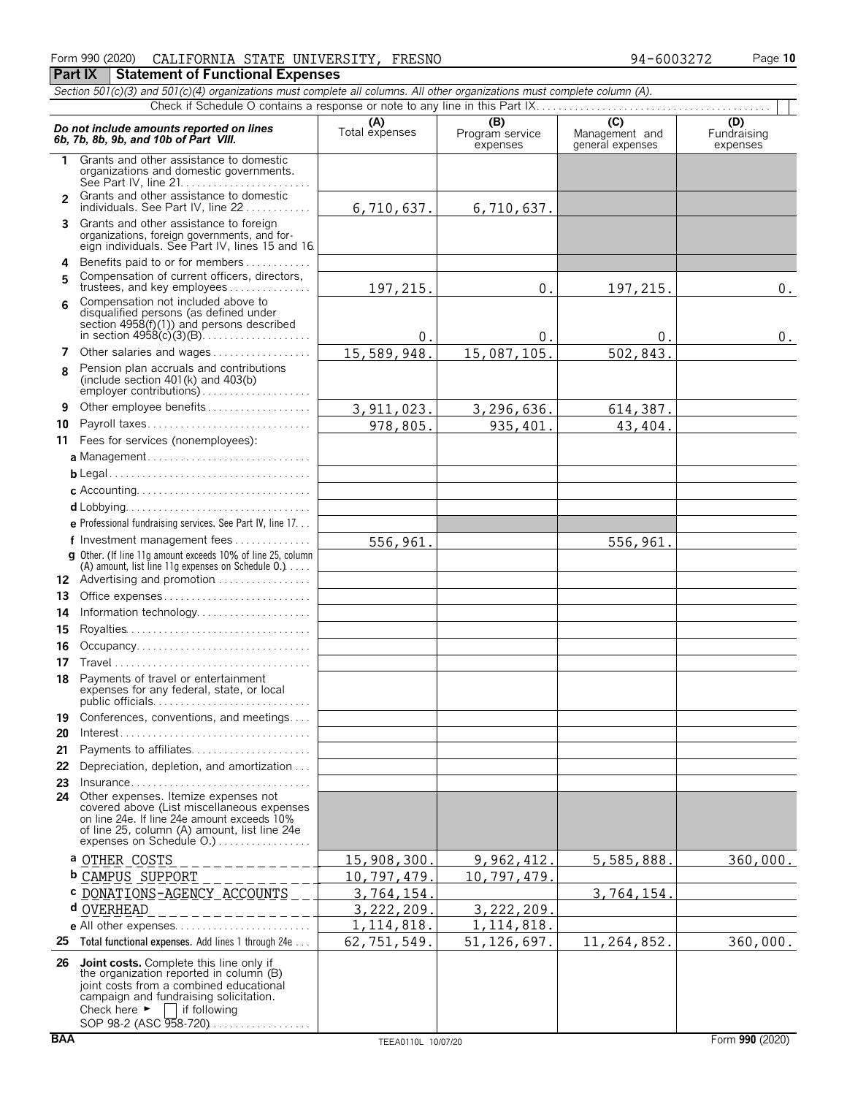### Form 990 (2020) Page **10** CALIFORNIA STATE UNIVERSITY, FRESNO 94-6003272

**Part IX | Statement of Functional Expenses** *Section 501(c)(3) and 501(c)(4) organizations must complete all columns. All other organizations must complete column (A).*

|                | Do not include amounts reported on lines<br>6b, 7b, 8b, 9b, and 10b of Part VIII.                                                                                                                                                  | (A)<br>Total expenses | (B)<br>Program service<br>expenses | $\overline{C}$<br>Management and<br>general expenses | $\overline{(\mathsf{D})}$<br>Fundraising<br>expenses |  |  |  |  |  |  |
|----------------|------------------------------------------------------------------------------------------------------------------------------------------------------------------------------------------------------------------------------------|-----------------------|------------------------------------|------------------------------------------------------|------------------------------------------------------|--|--|--|--|--|--|
| 1.             | Grants and other assistance to domestic<br>organizations and domestic governments.<br>See Part IV. line $21, \ldots, \ldots, \ldots, \ldots, \ldots, \ldots$                                                                       |                       |                                    |                                                      |                                                      |  |  |  |  |  |  |
| $\overline{2}$ | Grants and other assistance to domestic<br>individuals. See Part IV, line 22                                                                                                                                                       | 6,710,637.            | 6,710,637.                         |                                                      |                                                      |  |  |  |  |  |  |
|                | 3 Grants and other assistance to foreign<br>organizations, foreign governments, and for-<br>eign individuals. See Part IV, lines 15 and 16.                                                                                        |                       |                                    |                                                      |                                                      |  |  |  |  |  |  |
| 5              | 4 Benefits paid to or for members<br>Compensation of current officers, directors,<br>trustees, and key employees                                                                                                                   | 197,215.              | 0.                                 | 197,215.                                             | $0$ .                                                |  |  |  |  |  |  |
| 6              | Compensation not included above to<br>disqualified persons (as defined under<br>section $4958(f)(1)$ and persons described                                                                                                         | 0.                    | 0.                                 | 0.                                                   | $0$ .                                                |  |  |  |  |  |  |
| 7              | Other salaries and wages                                                                                                                                                                                                           | 15,589,948.           | 15,087,105.                        | 502,843.                                             |                                                      |  |  |  |  |  |  |
| 8              | Pension plan accruals and contributions<br>(include section $401(k)$ and $403(b)$                                                                                                                                                  |                       |                                    |                                                      |                                                      |  |  |  |  |  |  |
| 9              | Other employee benefits                                                                                                                                                                                                            | 3, 911, 023.          | 3,296,636.                         | 614,387.                                             |                                                      |  |  |  |  |  |  |
| 10             | Payroll taxes                                                                                                                                                                                                                      | 978,805.              | 935,401.                           | 43,404.                                              |                                                      |  |  |  |  |  |  |
|                | 11 Fees for services (nonemployees):                                                                                                                                                                                               |                       |                                    |                                                      |                                                      |  |  |  |  |  |  |
|                | a Management                                                                                                                                                                                                                       |                       |                                    |                                                      |                                                      |  |  |  |  |  |  |
|                |                                                                                                                                                                                                                                    |                       |                                    |                                                      |                                                      |  |  |  |  |  |  |
|                |                                                                                                                                                                                                                                    |                       |                                    |                                                      |                                                      |  |  |  |  |  |  |
|                |                                                                                                                                                                                                                                    |                       |                                    |                                                      |                                                      |  |  |  |  |  |  |
|                | e Professional fundraising services. See Part IV, line 17.                                                                                                                                                                         |                       |                                    |                                                      |                                                      |  |  |  |  |  |  |
|                | f Investment management fees                                                                                                                                                                                                       | 556,961.              |                                    | 556,961.                                             |                                                      |  |  |  |  |  |  |
|                | <b>g</b> Other. (If line 11g amount exceeds 10% of line 25, column                                                                                                                                                                 |                       |                                    |                                                      |                                                      |  |  |  |  |  |  |
|                | (A) amount, list line 11g expenses on Schedule $0.$ )                                                                                                                                                                              |                       |                                    |                                                      |                                                      |  |  |  |  |  |  |
|                | 12 Advertising and promotion                                                                                                                                                                                                       |                       |                                    |                                                      |                                                      |  |  |  |  |  |  |
| 13             | Office expenses                                                                                                                                                                                                                    |                       |                                    |                                                      |                                                      |  |  |  |  |  |  |
| 14             | Information technology                                                                                                                                                                                                             |                       |                                    |                                                      |                                                      |  |  |  |  |  |  |
| 15             |                                                                                                                                                                                                                                    |                       |                                    |                                                      |                                                      |  |  |  |  |  |  |
| 16             | Occupancy                                                                                                                                                                                                                          |                       |                                    |                                                      |                                                      |  |  |  |  |  |  |
| 17             |                                                                                                                                                                                                                                    |                       |                                    |                                                      |                                                      |  |  |  |  |  |  |
| 18             | Payments of travel or entertainment<br>expenses for any federal, state, or local                                                                                                                                                   |                       |                                    |                                                      |                                                      |  |  |  |  |  |  |
|                | 19 Conferences, conventions, and meetings                                                                                                                                                                                          |                       |                                    |                                                      |                                                      |  |  |  |  |  |  |
| 20             | $Interest. \ldots \ldots \ldots \ldots \ldots \ldots \ldots \ldots \ldots \ldots$                                                                                                                                                  |                       |                                    |                                                      |                                                      |  |  |  |  |  |  |
| 21             | Payments to affiliates                                                                                                                                                                                                             |                       |                                    |                                                      |                                                      |  |  |  |  |  |  |
| 22             | Depreciation, depletion, and amortization                                                                                                                                                                                          |                       |                                    |                                                      |                                                      |  |  |  |  |  |  |
| 23             | Insurance                                                                                                                                                                                                                          |                       |                                    |                                                      |                                                      |  |  |  |  |  |  |
| 24             | Other expenses. Itemize expenses not<br>covered above (List miscellaneous expenses<br>on line 24e. If line 24e amount exceeds 10%<br>of line 25, column (A) amount, list line 24e                                                  |                       |                                    |                                                      |                                                      |  |  |  |  |  |  |
|                | a <u>OTHER COSTS</u>                                                                                                                                                                                                               | <u>15,908,300</u>     | 9,962,412                          | 5,585,888.                                           | 360,000.                                             |  |  |  |  |  |  |
|                | <b>b CAMPUS SUPPORT</b>                                                                                                                                                                                                            | 10,797,479.           | 10,797,479                         |                                                      |                                                      |  |  |  |  |  |  |
|                | C DONATIONS-AGENCY ACCOUNTS                                                                                                                                                                                                        | 3,764,154.            |                                    | 3,764,154.                                           |                                                      |  |  |  |  |  |  |
|                | d OVERHEAD                                                                                                                                                                                                                         | 3,222,209.            | 3,222,209                          |                                                      |                                                      |  |  |  |  |  |  |
|                |                                                                                                                                                                                                                                    | 1, 114, 818.          | 1, 114, 818.                       |                                                      |                                                      |  |  |  |  |  |  |
| 25             | Total functional expenses. Add lines 1 through 24e                                                                                                                                                                                 | 62,751,549.           | 51, 126, 697.                      | 11,264,852.                                          | 360,000.                                             |  |  |  |  |  |  |
| 26             | Joint costs. Complete this line only if<br>the organization reported in column (B)<br>joint costs from a combined educational<br>campaign and fundraising solicitation.<br>Check here $\blacktriangleright$ $\Box$<br>if following |                       |                                    |                                                      |                                                      |  |  |  |  |  |  |

SOP 98-2 (ASC 958-720)...................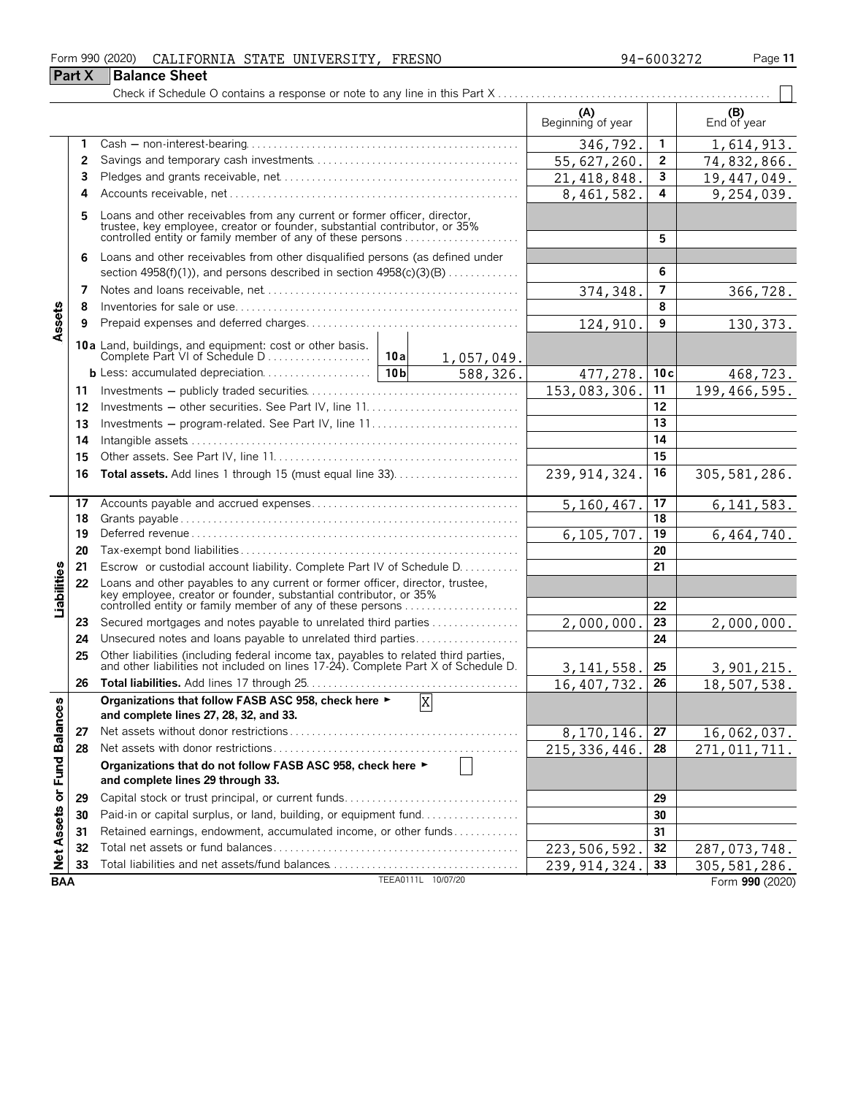#### Form 990 (2020) Page **11** CALIFORNIA STATE UNIVERSITY, FRESNO 94-6003272

|                             | <b>Part X</b> | <b>Balance Sheet</b>                                                                                                                                                                                            |                    |                |                            |                |                              |
|-----------------------------|---------------|-----------------------------------------------------------------------------------------------------------------------------------------------------------------------------------------------------------------|--------------------|----------------|----------------------------|----------------|------------------------------|
|                             |               |                                                                                                                                                                                                                 |                    |                |                            |                |                              |
|                             |               |                                                                                                                                                                                                                 |                    |                | (A)<br>Beginning of year   |                | (B)<br>End of year           |
|                             | 1             |                                                                                                                                                                                                                 |                    |                | 346,792.                   | 1              | 1,614,913.                   |
|                             | 2             |                                                                                                                                                                                                                 |                    |                | 55,627,260.                | $\mathbf{2}$   | 74,832,866.                  |
|                             | 3             |                                                                                                                                                                                                                 |                    |                | 21, 418, 848.              | 3              | 19,447,049.                  |
|                             | 4             |                                                                                                                                                                                                                 |                    |                | 8,461,582.                 | 4              | 9,254,039.                   |
|                             | 5             | Loans and other receivables from any current or former officer, director, trustee, key employee, creator or founder, substantial contributor, or 35% controlled entity or family member of any of these persons |                    |                |                            | 5              |                              |
|                             | 6             | Loans and other receivables from other disqualified persons (as defined under                                                                                                                                   |                    |                |                            |                |                              |
|                             |               | section 4958(f)(1)), and persons described in section $4958(c)(3)(B)$                                                                                                                                           |                    |                |                            | 6              |                              |
|                             | 7             |                                                                                                                                                                                                                 |                    |                | 374,348.                   | 7              | 366,728.                     |
|                             | 8             |                                                                                                                                                                                                                 |                    |                |                            | 8              |                              |
| Assets                      | 9             |                                                                                                                                                                                                                 |                    |                | 124, 910.                  | 9              | 130, 373.                    |
|                             |               |                                                                                                                                                                                                                 |                    | 1,057,049.     |                            |                |                              |
|                             |               |                                                                                                                                                                                                                 |                    | 588,326.       | 477,278.                   | 10c            | 468,723.                     |
|                             | 11            |                                                                                                                                                                                                                 |                    |                | 153,083,306.               | 11             | 199, 466, 595.               |
|                             | 12            |                                                                                                                                                                                                                 |                    |                |                            | 12             |                              |
|                             | 13            | Investments - program-related. See Part IV, line 11                                                                                                                                                             |                    |                |                            | 13             |                              |
|                             | 14            |                                                                                                                                                                                                                 |                    |                |                            | 14             |                              |
|                             | 15            |                                                                                                                                                                                                                 |                    |                |                            | 15             |                              |
|                             | 16            |                                                                                                                                                                                                                 |                    | 239, 914, 324. | 16                         | 305, 581, 286. |                              |
|                             | 17            |                                                                                                                                                                                                                 |                    | 5,160,467.     | 17                         | 6, 141, 583.   |                              |
|                             | 18            |                                                                                                                                                                                                                 |                    | 18             |                            |                |                              |
|                             | 19            |                                                                                                                                                                                                                 | 6,105,707.         | 19             | 6,464,740.                 |                |                              |
|                             | 20            |                                                                                                                                                                                                                 |                    |                |                            | 20             |                              |
|                             | 21            | Escrow or custodial account liability. Complete Part IV of Schedule D.                                                                                                                                          |                    |                |                            | 21             |                              |
| Liabilities                 | 22            | Loans and other payables to any current or former officer, director, trustee, key employee, creator or founder, substantial contributor, or 35%<br>controlled entity or family member of any of these persons   |                    |                |                            | 22             |                              |
|                             | 23            | Secured mortgages and notes payable to unrelated third parties                                                                                                                                                  |                    |                | 2,000,000                  | 23             | 2,000,000.                   |
|                             | 24            | Unsecured notes and loans payable to unrelated third parties                                                                                                                                                    |                    |                |                            | 24             |                              |
|                             | 25            | Other liabilities (including federal income tax, payables to related third parties, and other liabilities not included on lines 17-24). Complete Part X of Schedule D.                                          |                    |                | 3, 141, 558.               | 25             | 3,901,215.                   |
|                             | 26            |                                                                                                                                                                                                                 |                    |                | 16, 407, 732.              | 26             | 18,507,538.                  |
|                             |               | Organizations that follow FASB ASC 958, check here ►<br>and complete lines 27, 28, 32, and 33.                                                                                                                  | X                  |                |                            |                |                              |
|                             | 27            |                                                                                                                                                                                                                 |                    |                | 8,170,146.                 | 27             | 16,062,037.                  |
|                             | 28            |                                                                                                                                                                                                                 |                    |                | $\overline{215,336,446}$ . | 28             | $\overline{271}$ , 011, 711. |
| Net Assets or Fund Balances |               | Organizations that do not follow FASB ASC 958, check here ►<br>and complete lines 29 through 33.                                                                                                                |                    |                |                            |                |                              |
|                             | 29            | Capital stock or trust principal, or current funds                                                                                                                                                              |                    |                |                            | 29             |                              |
|                             | 30            | Paid-in or capital surplus, or land, building, or equipment fund                                                                                                                                                |                    |                |                            | 30             |                              |
|                             | 31            | Retained earnings, endowment, accumulated income, or other funds                                                                                                                                                |                    |                |                            | 31             |                              |
|                             | 32            |                                                                                                                                                                                                                 |                    |                | 223, 506, 592.             | 32             | 287, 073, 748.               |
|                             | 33            |                                                                                                                                                                                                                 |                    |                | 239, 914, 324.             | 33             | $\overline{305, 581, 286}$ . |
| <b>BAA</b>                  |               |                                                                                                                                                                                                                 | TEEA0111L 10/07/20 |                |                            |                | Form 990 (2020)              |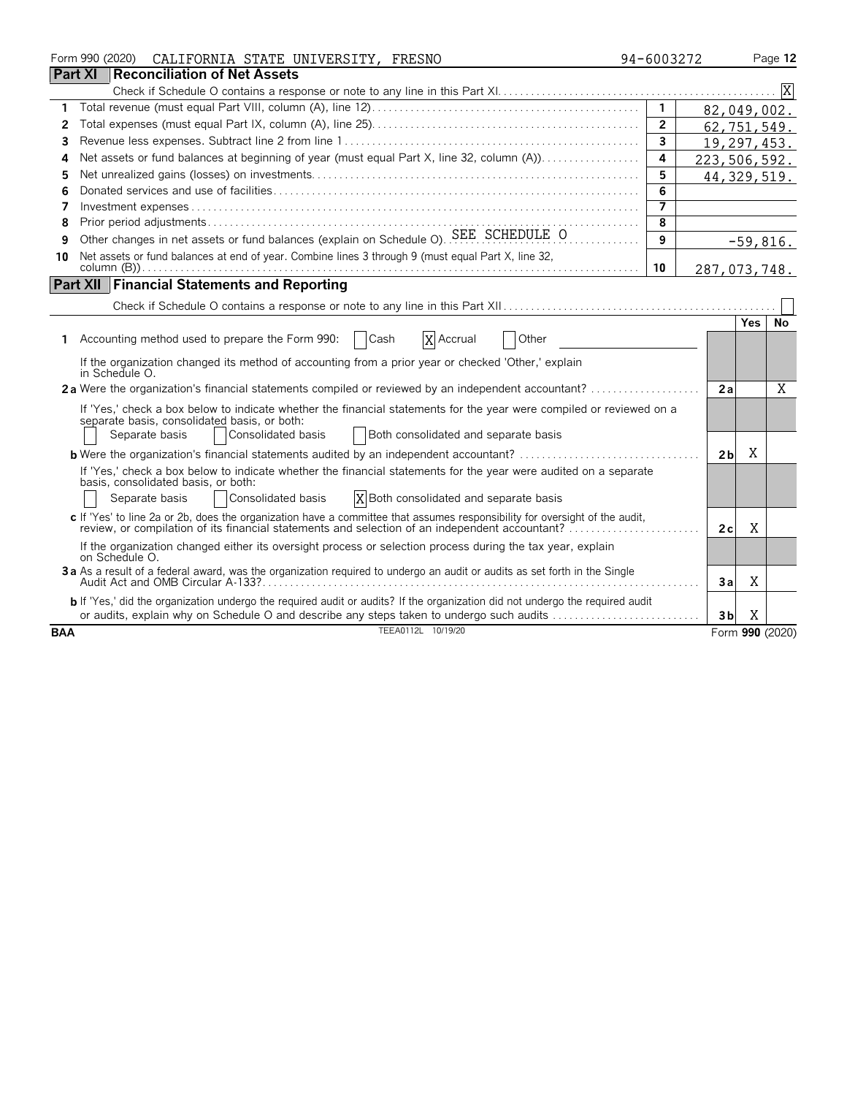|            |                | Form 990 (2020) | CALIFORNIA STATE UNIVERSITY, FRESNO                                                                                                                                                                                           | 94-6003272     |                |            | Page 12         |
|------------|----------------|-----------------|-------------------------------------------------------------------------------------------------------------------------------------------------------------------------------------------------------------------------------|----------------|----------------|------------|-----------------|
|            | <b>Part XI</b> |                 | <b>Reconciliation of Net Assets</b>                                                                                                                                                                                           |                |                |            |                 |
|            |                |                 |                                                                                                                                                                                                                               |                |                |            | ΙX              |
| 1          |                |                 |                                                                                                                                                                                                                               | $\mathbf{1}$   | 82,049,002.    |            |                 |
| 2          |                |                 |                                                                                                                                                                                                                               | $\overline{2}$ | 62,751,549.    |            |                 |
| 3          |                |                 |                                                                                                                                                                                                                               | 3              | 19,297,453.    |            |                 |
| Δ          |                |                 | Net assets or fund balances at beginning of year (must equal Part X, line 32, column (A))                                                                                                                                     | 4              | 223,506,592.   |            |                 |
| 5          |                |                 |                                                                                                                                                                                                                               | 5              | 44, 329, 519.  |            |                 |
| 6          |                |                 |                                                                                                                                                                                                                               | 6              |                |            |                 |
| 7          |                |                 |                                                                                                                                                                                                                               | 7              |                |            |                 |
| 8          |                |                 |                                                                                                                                                                                                                               | 8              |                |            |                 |
| 9          |                |                 | Other changes in net assets or fund balances (explain on Schedule O). SEE SCHEDULE O                                                                                                                                          | 9              |                | $-59,816.$ |                 |
| 10         |                |                 | Net assets or fund balances at end of year. Combine lines 3 through 9 (must equal Part X, line 32,                                                                                                                            |                |                |            |                 |
|            |                |                 |                                                                                                                                                                                                                               | 10             | 287,073,748.   |            |                 |
|            |                |                 | <b>Part XII Financial Statements and Reporting</b>                                                                                                                                                                            |                |                |            |                 |
|            |                |                 |                                                                                                                                                                                                                               |                |                |            |                 |
|            |                |                 |                                                                                                                                                                                                                               |                |                | Yes        | No              |
|            |                |                 | Accounting method used to prepare the Form 990:<br>Cash<br>Other<br>X Accrual                                                                                                                                                 |                |                |            |                 |
|            |                |                 | If the organization changed its method of accounting from a prior year or checked 'Other,' explain                                                                                                                            |                |                |            |                 |
|            |                | in Schedule O.  |                                                                                                                                                                                                                               |                |                |            |                 |
|            |                |                 | 2a Were the organization's financial statements compiled or reviewed by an independent accountant?                                                                                                                            |                | 2a             |            | X               |
|            |                |                 | If 'Yes,' check a box below to indicate whether the financial statements for the year were compiled or reviewed on a                                                                                                          |                |                |            |                 |
|            |                |                 | separate basis, consolidated basis, or both:                                                                                                                                                                                  |                |                |            |                 |
|            |                | Separate basis  | Consolidated basis<br>Both consolidated and separate basis                                                                                                                                                                    |                |                |            |                 |
|            |                |                 | <b>b</b> Were the organization's financial statements audited by an independent accountant?                                                                                                                                   |                | 2 <sub>b</sub> | Χ          |                 |
|            |                |                 | If 'Yes,' check a box below to indicate whether the financial statements for the year were audited on a separate                                                                                                              |                |                |            |                 |
|            |                |                 | basis, consolidated basis, or both:<br>Consolidated basis<br>X Both consolidated and separate basis<br>Separate basis                                                                                                         |                |                |            |                 |
|            |                |                 |                                                                                                                                                                                                                               |                |                |            |                 |
|            |                |                 | c If 'Yes' to line 2a or 2b, does the organization have a committee that assumes responsibility for oversight of the audit,<br>review, or compilation of its financial statements and selection of an independent accountant? |                | 2c             | X          |                 |
|            |                | on Schedule O.  | If the organization changed either its oversight process or selection process during the tax year, explain                                                                                                                    |                |                |            |                 |
|            |                |                 | 3a As a result of a federal award, was the organization required to undergo an audit or audits as set forth in the Single                                                                                                     |                |                |            |                 |
|            |                |                 |                                                                                                                                                                                                                               |                | 3a             | Χ          |                 |
|            |                |                 | b If 'Yes,' did the organization undergo the required audit or audits? If the organization did not undergo the required audit                                                                                                 |                |                |            |                 |
|            |                |                 | or audits, explain why on Schedule O and describe any steps taken to undergo such audits<br>TEEA0112L 10/19/20                                                                                                                |                | 3b             | X          |                 |
| <b>BAA</b> |                |                 |                                                                                                                                                                                                                               |                |                |            | Form 990 (2020) |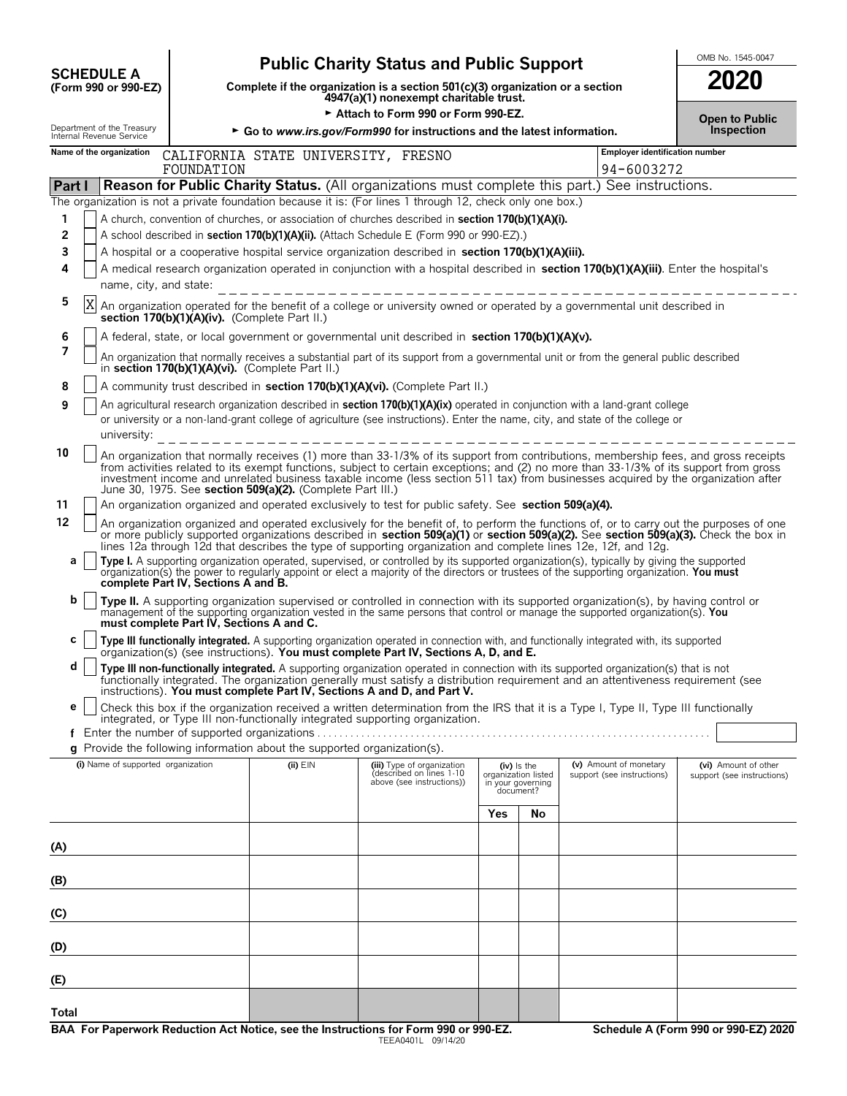# **OMB No. 1545-0047**<br>
Complete if the organization is a section 501(c)(3) organization or a section<br> **SCOLE A**<br> **SCOLE A**<br> **SCOLE A**<br> **SCOLE A**<br> **SCOLE A**<br> **SCOLE A**<br> **SCOLE A**<br> **SCOLE A**<br> **SCOLE A**<br> **SCOLE A**<br> **SCOLE A**<br>

**COMPOSCHEDULE A**<br>
(Form 990 or 990-EZ) Complete if the organization is a section 501(c)(3) organization or a section<br>
4947(a)(1) nonexempt charitable trust.

► Attach to Form 990 or Form 990-EZ.<br> **Commodation of the latest information** 

|              | Department of the Treasury<br>Internal Revenue Service                                                                                                                                                                                                                                                                                      |                                               |                                                            | ► Go to www.irs.gov/Form990 for instructions and the latest information.                                                                                                                                                                                                                                                                                                                                                                                                                                                                        |                                                                      | Inspection                     |                                                      |                                                    |  |  |  |  |
|--------------|---------------------------------------------------------------------------------------------------------------------------------------------------------------------------------------------------------------------------------------------------------------------------------------------------------------------------------------------|-----------------------------------------------|------------------------------------------------------------|-------------------------------------------------------------------------------------------------------------------------------------------------------------------------------------------------------------------------------------------------------------------------------------------------------------------------------------------------------------------------------------------------------------------------------------------------------------------------------------------------------------------------------------------------|----------------------------------------------------------------------|--------------------------------|------------------------------------------------------|----------------------------------------------------|--|--|--|--|
|              | Name of the organization                                                                                                                                                                                                                                                                                                                    |                                               | CALIFORNIA STATE UNIVERSITY, FRESNO                        |                                                                                                                                                                                                                                                                                                                                                                                                                                                                                                                                                 |                                                                      | Employer identification number |                                                      |                                                    |  |  |  |  |
|              |                                                                                                                                                                                                                                                                                                                                             | FOUNDATION                                    |                                                            | 94-6003272                                                                                                                                                                                                                                                                                                                                                                                                                                                                                                                                      |                                                                      |                                |                                                      |                                                    |  |  |  |  |
| Part I       |                                                                                                                                                                                                                                                                                                                                             |                                               |                                                            | <b>Reason for Public Charity Status.</b> (All organizations must complete this part.) See instructions.                                                                                                                                                                                                                                                                                                                                                                                                                                         |                                                                      |                                |                                                      |                                                    |  |  |  |  |
| 1            |                                                                                                                                                                                                                                                                                                                                             |                                               |                                                            | The organization is not a private foundation because it is: (For lines 1 through 12, check only one box.)<br>A church, convention of churches, or association of churches described in section 170(b)(1)(A)(i).                                                                                                                                                                                                                                                                                                                                 |                                                                      |                                |                                                      |                                                    |  |  |  |  |
| 2            |                                                                                                                                                                                                                                                                                                                                             |                                               |                                                            | A school described in section 170(b)(1)(A)(ii). (Attach Schedule E (Form 990 or 990-EZ).)                                                                                                                                                                                                                                                                                                                                                                                                                                                       |                                                                      |                                |                                                      |                                                    |  |  |  |  |
| 3            |                                                                                                                                                                                                                                                                                                                                             |                                               |                                                            | A hospital or a cooperative hospital service organization described in section 170(b)(1)(A)(iii).                                                                                                                                                                                                                                                                                                                                                                                                                                               |                                                                      |                                |                                                      |                                                    |  |  |  |  |
| 4            |                                                                                                                                                                                                                                                                                                                                             |                                               |                                                            | A medical research organization operated in conjunction with a hospital described in section 170(b)(1)(A)(iii). Enter the hospital's                                                                                                                                                                                                                                                                                                                                                                                                            |                                                                      |                                |                                                      |                                                    |  |  |  |  |
|              | name, city, and state:                                                                                                                                                                                                                                                                                                                      |                                               |                                                            | -----------------------------                                                                                                                                                                                                                                                                                                                                                                                                                                                                                                                   |                                                                      |                                |                                                      |                                                    |  |  |  |  |
| 5            | X                                                                                                                                                                                                                                                                                                                                           | section 170(b)(1)(A)(iv). (Complete Part II.) |                                                            | An organization operated for the benefit of a college or university owned or operated by a governmental unit described in                                                                                                                                                                                                                                                                                                                                                                                                                       |                                                                      |                                |                                                      |                                                    |  |  |  |  |
| 6            | A federal, state, or local government or governmental unit described in section 170(b)(1)(A)(v).                                                                                                                                                                                                                                            |                                               |                                                            |                                                                                                                                                                                                                                                                                                                                                                                                                                                                                                                                                 |                                                                      |                                |                                                      |                                                    |  |  |  |  |
| 7            | An organization that normally receives a substantial part of its support from a governmental unit or from the general public described<br>in section 170(b)(1)(A)(vi). (Complete Part II.)                                                                                                                                                  |                                               |                                                            |                                                                                                                                                                                                                                                                                                                                                                                                                                                                                                                                                 |                                                                      |                                |                                                      |                                                    |  |  |  |  |
| 8            | A community trust described in section 170(b)(1)(A)(vi). (Complete Part II.)                                                                                                                                                                                                                                                                |                                               |                                                            |                                                                                                                                                                                                                                                                                                                                                                                                                                                                                                                                                 |                                                                      |                                |                                                      |                                                    |  |  |  |  |
| 9            | An agricultural research organization described in <b>section 170(b)(1)(A)(ix)</b> operated in conjunction with a land-grant college<br>or university or a non-land-grant college of agriculture (see instructions). Enter the name, city, and state of the college or<br>university: $- - - - - - - - - - - - - - - - - - - - - - - - - -$ |                                               |                                                            |                                                                                                                                                                                                                                                                                                                                                                                                                                                                                                                                                 |                                                                      |                                |                                                      |                                                    |  |  |  |  |
| 10           |                                                                                                                                                                                                                                                                                                                                             |                                               | June 30, 1975. See section 509(a)(2). (Complete Part III.) | An organization that normally receives (1) more than 33-1/3% of its support from contributions, membership fees, and gross receipts<br>from activities related to its exempt functions, subject to certain exceptions; and (2) no more than 33-1/3% of its support from gross investment income and unrelated business taxable income (less section 511 tax) from bus                                                                                                                                                                           |                                                                      |                                |                                                      |                                                    |  |  |  |  |
| 11           |                                                                                                                                                                                                                                                                                                                                             |                                               |                                                            | An organization organized and operated exclusively to test for public safety. See section 509(a)(4).                                                                                                                                                                                                                                                                                                                                                                                                                                            |                                                                      |                                |                                                      |                                                    |  |  |  |  |
| 12<br>а      |                                                                                                                                                                                                                                                                                                                                             |                                               |                                                            | An organization organized and operated exclusively for the benefit of, to perform the functions of, or to carry out the purposes of one<br>or more publicly supported organizations described in section 509(a)(1) or section 509(a)(2). See section 509(a)(3). Check the box in<br>lines 12a through 12d that describes the type of supporting organization and complete lines 12e, 12f, and 12g.<br>Type I. A supporting organization operated, supervised, or controlled by its supported organization(s), typically by giving the supported |                                                                      |                                |                                                      |                                                    |  |  |  |  |
|              |                                                                                                                                                                                                                                                                                                                                             | complete Part IV, Sections A and B.           |                                                            | organization(s) the power to regularly appoint or elect a majority of the directors or trustees of the supporting organization. You must                                                                                                                                                                                                                                                                                                                                                                                                        |                                                                      |                                |                                                      |                                                    |  |  |  |  |
| b            |                                                                                                                                                                                                                                                                                                                                             | must complete Part IV, Sections A and C.      |                                                            | Type II. A supporting organization supervised or controlled in connection with its supported organization(s), by having control or<br>management of the supporting organization vested in the same persons that control or manage the supported organization(s). You                                                                                                                                                                                                                                                                            |                                                                      |                                |                                                      |                                                    |  |  |  |  |
| с            |                                                                                                                                                                                                                                                                                                                                             |                                               |                                                            | Type III functionally integrated. A supporting organization operated in connection with, and functionally integrated with, its supported<br>organization(s) (see instructions). You must complete Part IV, Sections A, D, and E.                                                                                                                                                                                                                                                                                                                |                                                                      |                                |                                                      |                                                    |  |  |  |  |
| d            |                                                                                                                                                                                                                                                                                                                                             |                                               |                                                            | Type III non-functionally integrated. A supporting organization operated in connection with its supported organization(s) that is not<br>functionally integrated. The organization generally must satisfy a distribution requirement and an attentiveness requirement (see<br>instructions). You must complete Part IV, Sections A and D, and Part V.                                                                                                                                                                                           |                                                                      |                                |                                                      |                                                    |  |  |  |  |
| е            |                                                                                                                                                                                                                                                                                                                                             |                                               |                                                            | Check this box if the organization received a written determination from the IRS that it is a Type I, Type II, Type III functionally<br>integrated, or Type III non-functionally integrated supporting organization.                                                                                                                                                                                                                                                                                                                            |                                                                      |                                |                                                      |                                                    |  |  |  |  |
|              |                                                                                                                                                                                                                                                                                                                                             |                                               |                                                            | g Provide the following information about the supported organization(s).                                                                                                                                                                                                                                                                                                                                                                                                                                                                        |                                                                      |                                |                                                      |                                                    |  |  |  |  |
|              | (i) Name of supported organization                                                                                                                                                                                                                                                                                                          |                                               | $(ii)$ $EIN$                                               | (iii) Type of organization<br>described on lines 1-10<br>above (see instructions))                                                                                                                                                                                                                                                                                                                                                                                                                                                              | (iv) is the<br>organization listed<br>in your governing<br>document? |                                | (v) Amount of monetary<br>support (see instructions) | (vi) Amount of other<br>support (see instructions) |  |  |  |  |
|              |                                                                                                                                                                                                                                                                                                                                             |                                               |                                                            |                                                                                                                                                                                                                                                                                                                                                                                                                                                                                                                                                 | Yes                                                                  | No                             |                                                      |                                                    |  |  |  |  |
| (A)          |                                                                                                                                                                                                                                                                                                                                             |                                               |                                                            |                                                                                                                                                                                                                                                                                                                                                                                                                                                                                                                                                 |                                                                      |                                |                                                      |                                                    |  |  |  |  |
| (B)          |                                                                                                                                                                                                                                                                                                                                             |                                               |                                                            |                                                                                                                                                                                                                                                                                                                                                                                                                                                                                                                                                 |                                                                      |                                |                                                      |                                                    |  |  |  |  |
| (C)          |                                                                                                                                                                                                                                                                                                                                             |                                               |                                                            |                                                                                                                                                                                                                                                                                                                                                                                                                                                                                                                                                 |                                                                      |                                |                                                      |                                                    |  |  |  |  |
| (D)          |                                                                                                                                                                                                                                                                                                                                             |                                               |                                                            |                                                                                                                                                                                                                                                                                                                                                                                                                                                                                                                                                 |                                                                      |                                |                                                      |                                                    |  |  |  |  |
| (E)          |                                                                                                                                                                                                                                                                                                                                             |                                               |                                                            |                                                                                                                                                                                                                                                                                                                                                                                                                                                                                                                                                 |                                                                      |                                |                                                      |                                                    |  |  |  |  |
| <b>Total</b> |                                                                                                                                                                                                                                                                                                                                             |                                               |                                                            |                                                                                                                                                                                                                                                                                                                                                                                                                                                                                                                                                 |                                                                      |                                |                                                      |                                                    |  |  |  |  |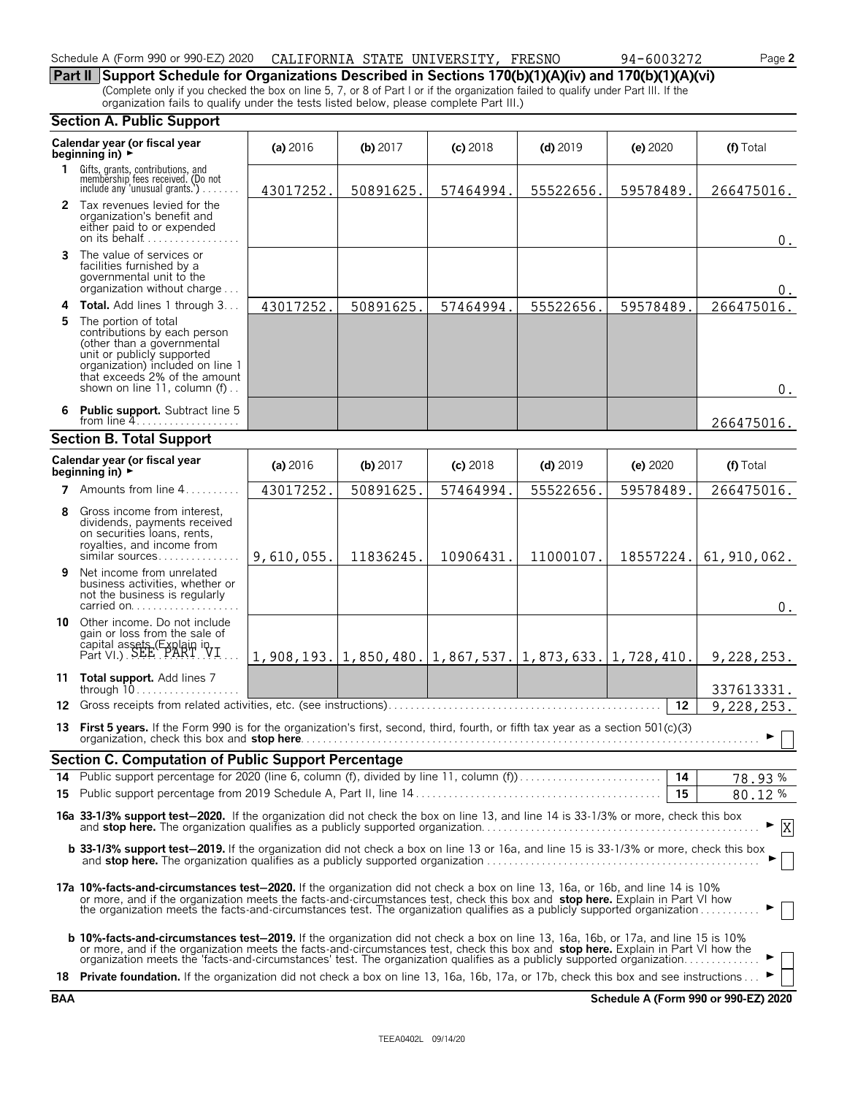#### Schedule A (Form 990 or 990-EZ) 2020 CALIFORNIA STATE UNIVERSITY, FRESNO  $94-6003272$  Page 2

**Part II Support Schedule for Organizations Described in Sections 170(b)(1)(A)(iv) and 170(b)(1)(A)(vi)** (Complete only if you checked the box on line 5, 7, or 8 of Part I or if the organization failed to qualify under Part III. If the organization fails to qualify under the tests listed below, please complete Part III.)

#### **Section A. Public Support**

|    | Calendar year (or fiscal year<br>beginning in) ►                                                                                                                                                                                                                                                                                                                                                 | (a) 2016   | (b) $2017$ | $(c)$ 2018 | $(d)$ 2019                                                                                 | (e) 2020  | (f) Total     |  |  |  |
|----|--------------------------------------------------------------------------------------------------------------------------------------------------------------------------------------------------------------------------------------------------------------------------------------------------------------------------------------------------------------------------------------------------|------------|------------|------------|--------------------------------------------------------------------------------------------|-----------|---------------|--|--|--|
|    | 1 Gifts, grants, contributions, and<br>membership fees received. (Do not<br>include any 'unusual grants.')                                                                                                                                                                                                                                                                                       | 43017252.  | 50891625.  | 57464994.  | 55522656.                                                                                  | 59578489. | 266475016.    |  |  |  |
|    | 2 Tax revenues levied for the<br>organization's benefit and<br>either paid to or expended<br>on its behalf                                                                                                                                                                                                                                                                                       |            |            |            |                                                                                            |           | 0.            |  |  |  |
|    | 3 The value of services or<br>facilities furnished by a<br>governmental unit to the<br>organization without charge                                                                                                                                                                                                                                                                               |            |            |            |                                                                                            |           | 0.            |  |  |  |
|    | 4 Total. Add lines 1 through 3                                                                                                                                                                                                                                                                                                                                                                   | 43017252.  | 50891625.  | 57464994.  | 55522656.                                                                                  | 59578489. | 266475016.    |  |  |  |
| 5. | The portion of total<br>contributions by each person<br>(other than a governmental<br>unit or publicly supported<br>organization) included on line 1<br>that exceeds 2% of the amount<br>shown on line 11, column (f)                                                                                                                                                                            |            |            |            |                                                                                            |           | 0.            |  |  |  |
|    | 6 Public support. Subtract line 5<br>from line $4$                                                                                                                                                                                                                                                                                                                                               |            |            |            |                                                                                            |           |               |  |  |  |
|    | <b>Section B. Total Support</b>                                                                                                                                                                                                                                                                                                                                                                  |            |            |            |                                                                                            |           |               |  |  |  |
|    | Calendar year (or fiscal year<br>(a) 2016<br>$(d)$ 2019<br>(f) Total<br>(b) 2017<br>$(c)$ 2018<br>(e) 2020<br>beginning in) $\rightarrow$                                                                                                                                                                                                                                                        |            |            |            |                                                                                            |           |               |  |  |  |
|    | <b>7</b> Amounts from line $4, \ldots, \ldots$                                                                                                                                                                                                                                                                                                                                                   | 43017252.  | 50891625.  | 57464994.  | 55522656.                                                                                  | 59578489. | 266475016.    |  |  |  |
| 8  | Gross income from interest.<br>dividends, payments received<br>on securities loans, rents,<br>royalties, and income from<br>similar sources                                                                                                                                                                                                                                                      | 9,610,055. | 11836245.  | 10906431.  | 11000107.                                                                                  | 18557224. | 61, 910, 062. |  |  |  |
| 9. | Net income from unrelated<br>business activities, whether or<br>not the business is regularly<br>carried on                                                                                                                                                                                                                                                                                      |            |            |            |                                                                                            |           | $0$ .         |  |  |  |
|    | 10 Other income. Do not include<br>gain or loss from the sale of<br>capital assets (Explain in Part VI.) SEE PART VI                                                                                                                                                                                                                                                                             |            |            |            | $1, 908, 193. \vert 1, 850, 480. \vert 1, 867, 537. \vert 1, 873, 633. \vert 1, 728, 410.$ |           | 9,228,253.    |  |  |  |
|    | 11 Total support. Add lines 7<br>through $10$                                                                                                                                                                                                                                                                                                                                                    |            |            |            |                                                                                            |           | 337613331.    |  |  |  |
|    |                                                                                                                                                                                                                                                                                                                                                                                                  |            |            |            |                                                                                            | 12        | 9,228,253.    |  |  |  |
|    | 13 First 5 years. If the Form 990 is for the organization's first, second, third, fourth, or fifth tax year as a section 501(c)(3)                                                                                                                                                                                                                                                               |            |            |            |                                                                                            |           | ►             |  |  |  |
|    | Section C. Computation of Public Support Percentage                                                                                                                                                                                                                                                                                                                                              |            |            |            |                                                                                            |           |               |  |  |  |
|    |                                                                                                                                                                                                                                                                                                                                                                                                  |            |            |            |                                                                                            |           | 78.93%        |  |  |  |
|    |                                                                                                                                                                                                                                                                                                                                                                                                  |            |            |            |                                                                                            | - 15      | 80.12%        |  |  |  |
|    | 16a 33-1/3% support test-2020. If the organization did not check the box on line 13, and line 14 is 33-1/3% or more, check this box                                                                                                                                                                                                                                                              |            |            |            |                                                                                            |           | X             |  |  |  |
|    | b 33-1/3% support test-2019. If the organization did not check a box on line 13 or 16a, and line 15 is 33-1/3% or more, check this box                                                                                                                                                                                                                                                           |            |            |            |                                                                                            |           |               |  |  |  |
|    | 17a 10%-facts-and-circumstances test-2020. If the organization did not check a box on line 13, 16a, or 16b, and line 14 is 10%<br>or more, and if the organization meets the facts-and-circumstances test, check this box and stop here. Explain in Part VI how<br>the organization meets the facts-and-circumstances test. The organization qualifies as a publicly supported organization      |            |            |            |                                                                                            |           |               |  |  |  |
|    | b 10%-facts-and-circumstances test-2019. If the organization did not check a box on line 13, 16a, 16b, or 17a, and line 15 is 10%<br>or more, and if the organization meets the facts-and-circumstances test, check this box and stop here. Explain in Part VI how the<br>organization meets the 'facts-and-circumstances' test. The organization qualifies as a publicly supported organization |            |            |            |                                                                                            |           |               |  |  |  |
|    | 18 Private foundation. If the organization did not check a box on line 13, 16a, 16b, 17a, or 17b, check this box and see instructions                                                                                                                                                                                                                                                            |            |            |            |                                                                                            |           |               |  |  |  |

**BAA Schedule A (Form 990 or 990-EZ) 2020**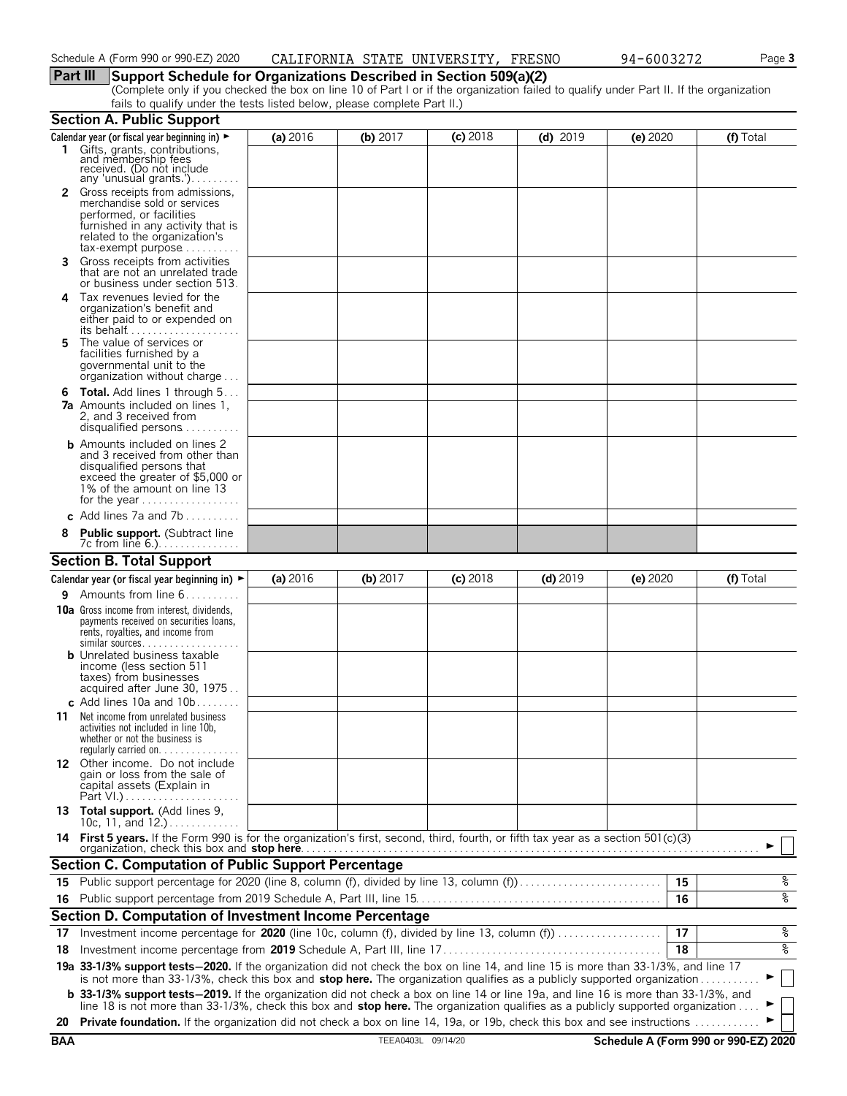## **Part III Support Schedule for Organizations Described in Section 509(a)(2)**

(Complete only if you checked the box on line 10 of Part I or if the organization failed to qualify under Part II. If the organization fails to qualify under the tests listed below, please complete Part II.)

|            | <b>Section A. Public Support</b>                                                                                                                                                                                                                                      |            |                    |            |            |                                      |           |
|------------|-----------------------------------------------------------------------------------------------------------------------------------------------------------------------------------------------------------------------------------------------------------------------|------------|--------------------|------------|------------|--------------------------------------|-----------|
|            | Calendar year (or fiscal year beginning in) $\blacktriangleright$<br>1 Gifts, grants, contributions,<br>and membership fees<br>received. (Do not include                                                                                                              | (a) $2016$ | (b) 2017           | $(c)$ 2018 | $(d)$ 2019 | (e) 2020                             | (f) Total |
|            | any 'unusual grants.')<br>2 Gross receipts from admissions,<br>merchandise sold or services<br>performed, or facilities<br>furnished in any activity that is<br>related to the organization's<br>$tax\text{-}exempt$ purpose $\ldots \ldots \ldots$                   |            |                    |            |            |                                      |           |
| 3.         | Gross receipts from activities<br>that are not an unrelated trade<br>or business under section 513.                                                                                                                                                                   |            |                    |            |            |                                      |           |
| 4          | Tax revenues levied for the<br>organization's benefit and<br>either paid to or expended on                                                                                                                                                                            |            |                    |            |            |                                      |           |
| 5.         | The value of services or<br>facilities furnished by a<br>governmental unit to the<br>organization without charge                                                                                                                                                      |            |                    |            |            |                                      |           |
| 6          | <b>Total.</b> Add lines 1 through 5<br><b>7a</b> Amounts included on lines 1,<br>2, and 3 received from<br>disqualified persons                                                                                                                                       |            |                    |            |            |                                      |           |
|            | <b>b</b> Amounts included on lines 2<br>and 3 received from other than<br>disqualified persons that<br>exceed the greater of \$5,000 or<br>1% of the amount on line 13<br>for the year $\dots\dots\dots\dots\dots\dots$                                               |            |                    |            |            |                                      |           |
|            | c Add lines 7a and 7b                                                                                                                                                                                                                                                 |            |                    |            |            |                                      |           |
|            | <b>Public support.</b> (Subtract line<br>7c from line 6.)                                                                                                                                                                                                             |            |                    |            |            |                                      |           |
|            | <b>Section B. Total Support</b>                                                                                                                                                                                                                                       |            |                    |            |            |                                      |           |
|            | Calendar year (or fiscal year beginning in) $\blacktriangleright$                                                                                                                                                                                                     | (a) 2016   | (b) $2017$         | $(c)$ 2018 | $(d)$ 2019 | (e) 2020                             | (f) Total |
| 9.         | Amounts from line 6                                                                                                                                                                                                                                                   |            |                    |            |            |                                      |           |
|            | <b>10a</b> Gross income from interest, dividends,<br>payments received on securities loans,<br>rents, royalties, and income from<br>similar sources                                                                                                                   |            |                    |            |            |                                      |           |
|            | <b>b</b> Unrelated business taxable<br>income (less section 511<br>taxes) from businesses<br>acquired after June 30, 1975                                                                                                                                             |            |                    |            |            |                                      |           |
|            | c Add lines 10a and $10b$<br><b>11</b> Net income from unrelated business<br>activities not included in line 10b,<br>whether or not the business is                                                                                                                   |            |                    |            |            |                                      |           |
|            | 12 Other income. Do not include<br>gain or loss from the sale of<br>capital assets (Explain in<br>Part VI.)                                                                                                                                                           |            |                    |            |            |                                      |           |
|            | 13 Total support. (Add lines 9,<br>10c, 11, and $12.$ )                                                                                                                                                                                                               |            |                    |            |            |                                      |           |
|            | 14 First 5 years. If the Form 990 is for the organization's first, second, third, fourth, or fifth tax year as a section 501(c)(3)<br>organization, check this box and <b>stop here</b>                                                                               |            |                    |            |            |                                      |           |
|            | Section C. Computation of Public Support Percentage                                                                                                                                                                                                                   |            |                    |            |            |                                      |           |
|            | 15 Public support percentage for 2020 (line 8, column (f), divided by line 13, column (f)                                                                                                                                                                             |            |                    |            |            | 15                                   | န့        |
|            |                                                                                                                                                                                                                                                                       |            |                    |            |            | 16                                   | နွ        |
|            | Section D. Computation of Investment Income Percentage                                                                                                                                                                                                                |            |                    |            |            |                                      |           |
| 17         | Investment income percentage for 2020 (line 10c, column (f), divided by line 13, column (f)                                                                                                                                                                           |            |                    |            |            | 17                                   | န့        |
| 18         |                                                                                                                                                                                                                                                                       |            |                    |            |            | 18                                   | နွ        |
|            | 19a 33-1/3% support tests-2020. If the organization did not check the box on line 14, and line 15 is more than 33-1/3%, and line 17                                                                                                                                   |            |                    |            |            |                                      |           |
|            | is not more than 33-1/3%, check this box and stop here. The organization qualifies as a publicly supported organization<br><b>b</b> 33-1/3% support tests-2019. If the organization did not check a box on line 14 or line 19a, and line 16 is more than 33-1/3%, and |            |                    |            |            |                                      |           |
|            | line 18 is not more than 33-1/3%, check this box and stop here. The organization qualifies as a publicly supported organization                                                                                                                                       |            |                    |            |            |                                      |           |
| 20         | Private foundation. If the organization did not check a box on line 14, 19a, or 19b, check this box and see instructions                                                                                                                                              |            |                    |            |            |                                      |           |
| <b>BAA</b> |                                                                                                                                                                                                                                                                       |            | TEEA0403L 09/14/20 |            |            | Schedule A (Form 990 or 990-EZ) 2020 |           |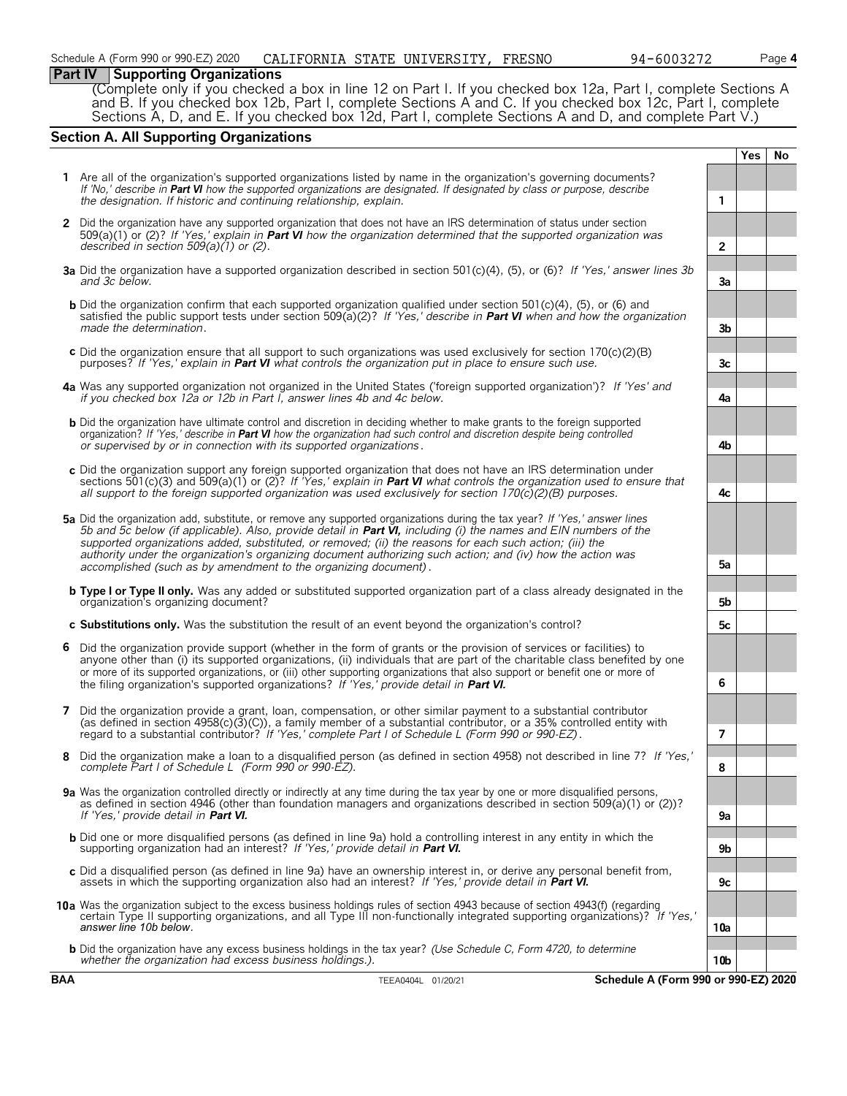#### **Part IV Supporting Organizations**

(Complete only if you checked a box in line 12 on Part I. If you checked box 12a, Part I, complete Sections A and B. If you checked box 12b, Part I, complete Sections A and C. If you checked box 12c, Part I, complete Sections A, D, and E. If you checked box 12d, Part I, complete Sections A and D, and complete Part V.)

#### **Section A. All Supporting Organizations**

|              |                                                                                                                                                                                                                                                                                                                                                                                                                                                                                                                                              |                | Yes | No |
|--------------|----------------------------------------------------------------------------------------------------------------------------------------------------------------------------------------------------------------------------------------------------------------------------------------------------------------------------------------------------------------------------------------------------------------------------------------------------------------------------------------------------------------------------------------------|----------------|-----|----|
|              | 1 Are all of the organization's supported organizations listed by name in the organization's governing documents?<br>If 'No,' describe in <b>Part VI</b> how the supported organizations are designated. If designated by class or purpose, describe<br>the designation. If historic and continuing relationship, explain.                                                                                                                                                                                                                   | 1              |     |    |
| $\mathbf{2}$ | Did the organization have any supported organization that does not have an IRS determination of status under section<br>509(a)(1) or (2)? If 'Yes,' explain in <b>Part VI</b> how the organization determined that the supported organization was<br>described in section $509(a)(1)$ or (2).                                                                                                                                                                                                                                                | $\overline{2}$ |     |    |
|              | 3a Did the organization have a supported organization described in section 501(c)(4), (5), or (6)? If 'Yes,' answer lines 3b<br>and 3c below.                                                                                                                                                                                                                                                                                                                                                                                                | 3a             |     |    |
|              | <b>b</b> Did the organization confirm that each supported organization qualified under section 501 $(c)(4)$ , $(5)$ , or $(6)$ and<br>satisfied the public support tests under section 509(a)(2)? If 'Yes,' describe in Part VI when and how the organization<br>made the determination.                                                                                                                                                                                                                                                     | 3b             |     |    |
|              | c Did the organization ensure that all support to such organizations was used exclusively for section $170(c)(2)(B)$<br>purposes? If 'Yes,' explain in Part VI what controls the organization put in place to ensure such use.                                                                                                                                                                                                                                                                                                               | 3c             |     |    |
|              | 4a Was any supported organization not organized in the United States ('foreign supported organization')? If 'Yes' and<br>if you checked box 12a or 12b in Part I, answer lines 4b and 4c below.                                                                                                                                                                                                                                                                                                                                              | 4a             |     |    |
|              | <b>b</b> Did the organization have ultimate control and discretion in deciding whether to make grants to the foreign supported<br>organization? If 'Yes,' describe in Part VI how the organization had such control and discretion despite being controlled<br>or supervised by or in connection with its supported organizations.                                                                                                                                                                                                           | 4b             |     |    |
|              | c Did the organization support any foreign supported organization that does not have an IRS determination under<br>sections 501(c)(3) and 509(a)(1) or (2)? If 'Yes,' explain in <b>Part VI</b> what controls the organization used to ensure that<br>all support to the foreign supported organization was used exclusively for section $170(c)(2)(B)$ purposes.                                                                                                                                                                            | 4с             |     |    |
|              | 5a Did the organization add, substitute, or remove any supported organizations during the tax year? If 'Yes,' answer lines<br>5b and 5c below (if applicable). Also, provide detail in Part VI, including (i) the names and EIN numbers of the<br>supported organizations added, substituted, or removed; (ii) the reasons for each such action; (iii) the<br>authority under the organization's organizing document authorizing such action; and (iv) how the action was<br>accomplished (such as by amendment to the organizing document). | 5a             |     |    |
|              | <b>b</b> Type I or Type II only. Was any added or substituted supported organization part of a class already designated in the<br>organization's organizing document?                                                                                                                                                                                                                                                                                                                                                                        | 5b             |     |    |
|              | c Substitutions only. Was the substitution the result of an event beyond the organization's control?                                                                                                                                                                                                                                                                                                                                                                                                                                         | 5c             |     |    |
|              | 6 Did the organization provide support (whether in the form of grants or the provision of services or facilities) to<br>anyone other than (i) its supported organizations, (ii) individuals that are part of the charitable class benefited by one<br>or more of its supported organizations, or (iii) other supporting organizations that also support or benefit one or more of<br>the filing organization's supported organizations? If 'Yes,' provide detail in Part VI.                                                                 | 6              |     |    |
|              | 7 Did the organization provide a grant, loan, compensation, or other similar payment to a substantial contributor<br>(as defined in section $4958(c)(3)(C)$ ), a family member of a substantial contributor, or a 35% controlled entity with<br>regard to a substantial contributor? If 'Yes,' complete Part I of Schedule L (Form 990 or 990-EZ).                                                                                                                                                                                           | 7              |     |    |
| 8            | Did the organization make a loan to a disqualified person (as defined in section 4958) not described in line 7? If 'Yes,'<br>complete Part I of Schedule L (Form 990 or 990-EZ).                                                                                                                                                                                                                                                                                                                                                             | 8              |     |    |
|              | 9a Was the organization controlled directly or indirectly at any time during the tax year by one or more disqualified persons,<br>as defined in section 4946 (other than foundation managers and organizations described in section 509(a)(1) or (2))?<br>If 'Yes,' provide detail in Part VI.                                                                                                                                                                                                                                               | 9а             |     |    |
|              | <b>b</b> Did one or more disqualified persons (as defined in line 9a) hold a controlling interest in any entity in which the<br>supporting organization had an interest? If 'Yes,' provide detail in Part VI.                                                                                                                                                                                                                                                                                                                                | 9b             |     |    |
|              | c Did a disqualified person (as defined in line 9a) have an ownership interest in, or derive any personal benefit from,<br>assets in which the supporting organization also had an interest? If 'Yes,' provide detail in Part VI.                                                                                                                                                                                                                                                                                                            | 9с             |     |    |
|              | 10a Was the organization subject to the excess business holdings rules of section 4943 because of section 4943(f) (regarding<br>certain Type II supporting organizations, and all Type III non-functionally integrated supporting organizations)? If 'Yes,'<br>answer line 10b below.                                                                                                                                                                                                                                                        | 10a            |     |    |
|              | <b>b</b> Did the organization have any excess business holdings in the tax year? (Use Schedule C, Form 4720, to determine<br>whether the organization had excess business holdings.).                                                                                                                                                                                                                                                                                                                                                        | 10b            |     |    |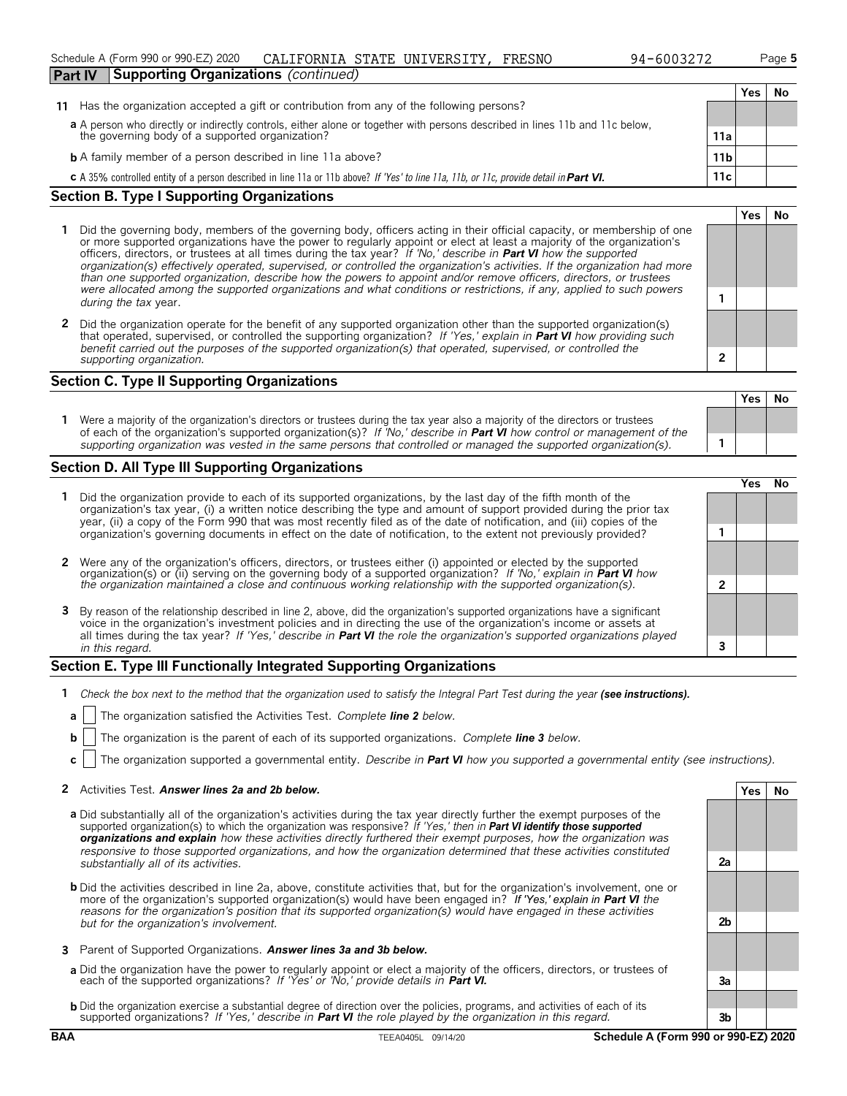#### Schedule A (Form 990 or 990-EZ) 2020 Page **5** CALIFORNIA STATE UNIVERSITY, FRESNO 94-6003272

| Part IV | <b>Supporting Organizations</b> (continued) |  |  |  |  |  |  |
|---------|---------------------------------------------|--|--|--|--|--|--|
|         |                                             |  |  |  |  |  |  |

| 11 Has the organization accepted a gift or contribution from any of the following persons?                                  |     |
|-----------------------------------------------------------------------------------------------------------------------------|-----|
| a A person who directly or indirectly controls, either alone or together with persons described in lines 11b and 11c below, |     |
| the governing body of a supported organization?                                                                             | 11a |

**b** A family member of a person described in line 11a above? **11b 11b** 

**c** A 35% controlled entity of a person described in line 11a or 11b above? *If 'Yes' to line 11a, 11b, or 11c, provide detail inPart VI.* **11c**

#### **Section B. Type I Supporting Organizations**

- **1** Did the governing body, members of the governing body, officers acting in their official capacity, or membership of one or more supported organizations have the power to regularly appoint or elect at least a majority of the organization's officers, directors, or trustees at all times during the tax year? *If 'No,' describe in Part VI how the supported organization(s) effectively operated, supervised, or controlled the organization's activities. If the organization had more than one supported organization, describe how the powers to appoint and/or remove officers, directors, or trustees were allocated among the supported organizations and what conditions or restrictions, if any, applied to such powers* **1** *during the tax* year.
- **2** Did the organization operate for the benefit of any supported organization other than the supported organization(s) that operated, supervised, or controlled the supporting organization? *If 'Yes,' explain in Part VI how providing such benefit carried out the purposes of the supported organization(s) that operated, supervised, or controlled the supporting organization.* **2**

#### **Section C. Type II Supporting Organizations**

**1** Were a majority of the organization's directors or trustees during the tax year also a majority of the directors or trustees of each of the organization's supported organization(s)? *If 'No,' describe in Part VI how control or management of the supporting organization was vested in the same persons that controlled or managed the supported organization(s).* **1**

#### **Section D. All Type III Supporting Organizations**

|                                                                                                                                                                                                                                                                                                                                                                                |   | res |  |
|--------------------------------------------------------------------------------------------------------------------------------------------------------------------------------------------------------------------------------------------------------------------------------------------------------------------------------------------------------------------------------|---|-----|--|
| Did the organization provide to each of its supported organizations, by the last day of the fifth month of the<br>organization's tax year, (i) a written notice describing the type and amount of support provided during the prior tax<br>year, (ii) a copy of the Form 990 that was most recently filed as of the date of notification, and (iii) copies of the              |   |     |  |
| organization's governing documents in effect on the date of notification, to the extent not previously provided?                                                                                                                                                                                                                                                               |   |     |  |
| 2 Were any of the organization's officers, directors, or trustees either (i) appointed or elected by the supported                                                                                                                                                                                                                                                             |   |     |  |
| organization(s) or (ii) serving on the governing body of a supported organization? If No, explain in <b>Part VI</b> how<br>the organization maintained a close and continuous working relationship with the supported organization(s).                                                                                                                                         | ົ |     |  |
| 3 By reason of the relationship described in line 2, above, did the organization's supported organizations have a significant<br>voice in the organization's investment policies and in directing the use of the organization's income or assets at<br>all times during the tax year? If 'Yes,' describe in Part VI the role the organization's supported organizations played |   |     |  |
| in this regard.                                                                                                                                                                                                                                                                                                                                                                |   |     |  |

#### **Section E. Type III Functionally Integrated Supporting Organizations**

- **1** Check the box next to the method that the organization used to satisfy the Integral Part Test during the year (see instructions).
- **a** The organization satisfied the Activities Test. *Complete line 2 below.*
- **b** The organization is the parent of each of its supported organizations. *Complete line 3 below.*
- **c** The organization supported a governmental entity. *Describe in Part VI how you supported a governmental entity (see instructions).*

#### **2** Activities Test. Answer lines 2a and 2b below. **Yes No Yes No**

- **a** Did substantially all of the organization's activities during the tax year directly further the exempt purposes of the supported organization(s) to which the organization was responsive? *If 'Yes,' then in Part VI identify those supported organizations and explain how these activities directly furthered their exempt purposes, how the organization was responsive to those supported organizations, and how the organization determined that these activities constituted substantially all of its activities.* **2a**
- **b** Did the activities described in line 2a, above, constitute activities that, but for the organization's involvement, one or more of the organization's supported organization(s) would have been engaged in? *If 'Yes,' explain in Part VI the reasons for the organization's position that its supported organization(s) would have engaged in these activities but for the organization's involvement.* **2b**
- **3** Parent of Supported Organizations. *Answer lines 3a and 3b below.*
- **a** Did the organization have the power to regularly appoint or elect a majority of the officers, directors, or trustees of each of the supported organizations? *If 'Yes' or 'No,' provide details in Part VI.* **3a**
- **b** Did the organization exercise a substantial degree of direction over the policies, programs, and activities of each of its supported organizations? *If 'Yes,' describe in Part VI the role played by the organization in this regard.* **3b**

#### **BAA** TEEA0405L 09/14/20 **Schedule A (Form 990 or 990-EZ) 2020**

| Yes | No                          |
|-----|-----------------------------|
|     |                             |
|     |                             |
|     |                             |
|     |                             |
| Yes | $\overline{\phantom{a}}$ No |
|     |                             |
|     |                             |

**Yes No**

**Yes No**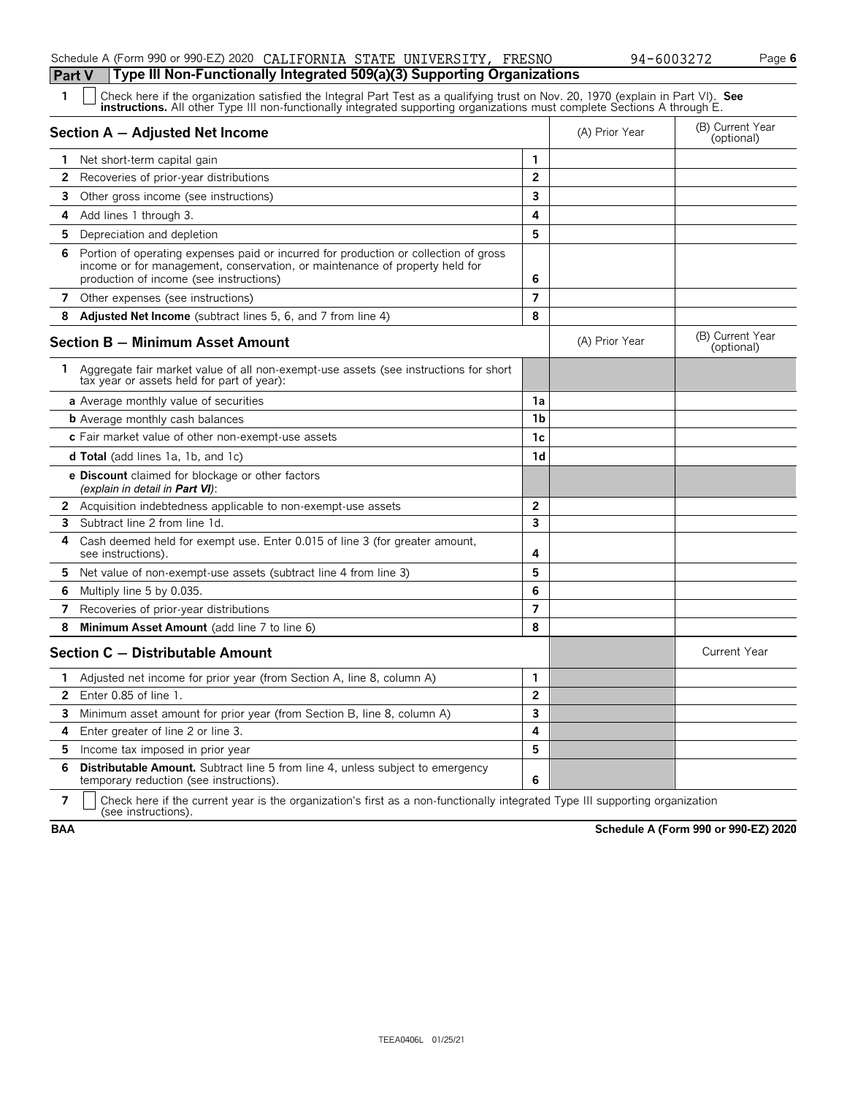### Schedule A (Form 990 or 990-EZ) 2020 CALIFORNIA STATE UNIVERSITY, FRESNO  $94-6003272$  Page 6

# **Part V Type III Non-Functionally Integrated 509(a)(3) Supporting Organizations**<br>**1**  $\Box$  Check has if the examization satisfied the Integral Part Test as a qualifying trust on New 20

| 1              | Check here if the organization satisfied the Integral Part Test as a qualifying trust on Nov. 20, 1970 (explain in Part VI). See<br><b>instructions.</b> All other Type III non-functionally integrated supporting organizations must complete Sections A through E. |                |                |                                |
|----------------|----------------------------------------------------------------------------------------------------------------------------------------------------------------------------------------------------------------------------------------------------------------------|----------------|----------------|--------------------------------|
|                | Section A - Adjusted Net Income                                                                                                                                                                                                                                      |                | (A) Prior Year | (B) Current Year<br>(optional) |
| 1.             | Net short-term capital gain                                                                                                                                                                                                                                          | 1              |                |                                |
| 2              | Recoveries of prior-year distributions                                                                                                                                                                                                                               | $\overline{2}$ |                |                                |
| 3              | Other gross income (see instructions)                                                                                                                                                                                                                                | 3              |                |                                |
| 4              | Add lines 1 through 3.                                                                                                                                                                                                                                               | 4              |                |                                |
| 5.             | Depreciation and depletion                                                                                                                                                                                                                                           | 5              |                |                                |
| 6              | Portion of operating expenses paid or incurred for production or collection of gross<br>income or for management, conservation, or maintenance of property held for<br>production of income (see instructions)                                                       | 6              |                |                                |
| 7              | Other expenses (see instructions)                                                                                                                                                                                                                                    | $\overline{7}$ |                |                                |
| 8              | <b>Adjusted Net Income</b> (subtract lines 5, 6, and 7 from line 4)                                                                                                                                                                                                  | 8              |                |                                |
|                | <b>Section B - Minimum Asset Amount</b>                                                                                                                                                                                                                              |                | (A) Prior Year | (B) Current Year<br>(optional) |
| 1.             | Aggregate fair market value of all non-exempt-use assets (see instructions for short<br>tax year or assets held for part of year):                                                                                                                                   |                |                |                                |
|                | <b>a</b> Average monthly value of securities                                                                                                                                                                                                                         | 1a             |                |                                |
|                | <b>b</b> Average monthly cash balances                                                                                                                                                                                                                               | 1 <sub>b</sub> |                |                                |
|                | c Fair market value of other non-exempt-use assets                                                                                                                                                                                                                   | 1 <sub>c</sub> |                |                                |
|                | <b>d Total</b> (add lines 1a, 1b, and 1c)                                                                                                                                                                                                                            | 1 <sub>d</sub> |                |                                |
|                | <b>e Discount</b> claimed for blockage or other factors<br>(explain in detail in Part VI):                                                                                                                                                                           |                |                |                                |
|                | <b>2</b> Acquisition indebtedness applicable to non-exempt-use assets                                                                                                                                                                                                | $\mathbf{2}$   |                |                                |
| 3              | Subtract line 2 from line 1d.                                                                                                                                                                                                                                        | 3              |                |                                |
| 4              | Cash deemed held for exempt use. Enter 0.015 of line 3 (for greater amount,<br>see instructions).                                                                                                                                                                    | 4              |                |                                |
| 5              | Net value of non-exempt-use assets (subtract line 4 from line 3)                                                                                                                                                                                                     | 5              |                |                                |
| 6              | Multiply line 5 by 0.035.                                                                                                                                                                                                                                            | 6              |                |                                |
| 7              | Recoveries of prior-year distributions                                                                                                                                                                                                                               | $\overline{7}$ |                |                                |
| 8              | Minimum Asset Amount (add line 7 to line 6)                                                                                                                                                                                                                          | 8              |                |                                |
|                | Section C - Distributable Amount                                                                                                                                                                                                                                     |                |                | <b>Current Year</b>            |
| 1.             | Adjusted net income for prior year (from Section A, line 8, column A)                                                                                                                                                                                                | $\mathbf{1}$   |                |                                |
| $\overline{2}$ | Enter 0.85 of line 1.                                                                                                                                                                                                                                                | $\overline{2}$ |                |                                |
| 3              | Minimum asset amount for prior year (from Section B, line 8, column A)                                                                                                                                                                                               | 3              |                |                                |
| 4              | Enter greater of line 2 or line 3.                                                                                                                                                                                                                                   | 4              |                |                                |
| 5              | Income tax imposed in prior year                                                                                                                                                                                                                                     | 5              |                |                                |
| 6              | Distributable Amount. Subtract line 5 from line 4, unless subject to emergency<br>temporary reduction (see instructions).                                                                                                                                            | 6              |                |                                |

**7**  $\mid$  Check here if the current year is the organization's first as a non-functionally integrated Type III supporting organization (see instructions).

**BAA Schedule A (Form 990 or 990-EZ) 2020**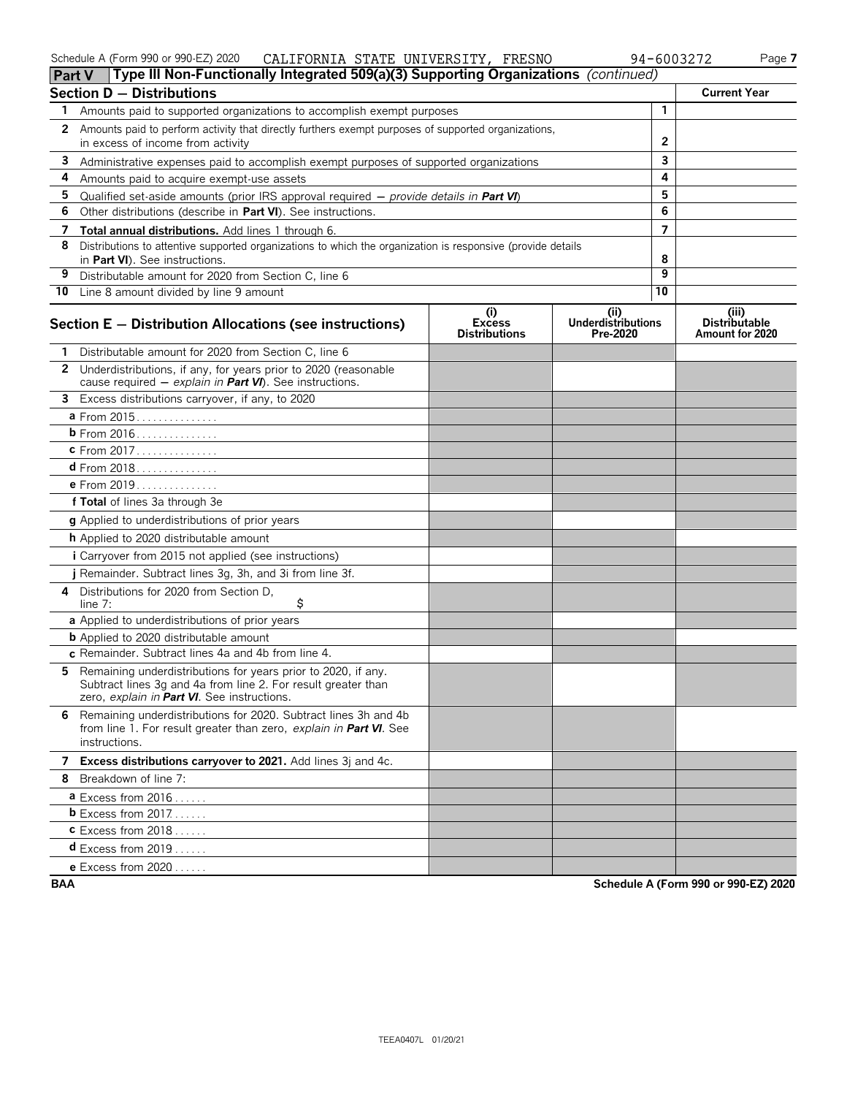|  | Schedule A (Form 990 or 990-EZ) 2020 |  | CALIFORNIA STATE UNIVERSITY, FRESNO | 94-6003272 | $P$ aqe, |
|--|--------------------------------------|--|-------------------------------------|------------|----------|
|--|--------------------------------------|--|-------------------------------------|------------|----------|

| Part V                | Type III Non-Functionally Integrated 509(a)(3) Supporting Organizations (continued)                                                                                           |                                       |                                       |              |                                         |
|-----------------------|-------------------------------------------------------------------------------------------------------------------------------------------------------------------------------|---------------------------------------|---------------------------------------|--------------|-----------------------------------------|
|                       | <b>Section D - Distributions</b>                                                                                                                                              |                                       |                                       |              | <b>Current Year</b>                     |
| 1.                    | Amounts paid to supported organizations to accomplish exempt purposes                                                                                                         |                                       |                                       | $\mathbf{1}$ |                                         |
| $\mathbf{2}^{\prime}$ | Amounts paid to perform activity that directly furthers exempt purposes of supported organizations,                                                                           |                                       |                                       |              |                                         |
|                       | in excess of income from activity                                                                                                                                             |                                       |                                       | $\mathbf{2}$ |                                         |
| 3                     | Administrative expenses paid to accomplish exempt purposes of supported organizations                                                                                         |                                       |                                       | 3            |                                         |
| 4                     | Amounts paid to acquire exempt-use assets                                                                                                                                     |                                       |                                       | 4            |                                         |
| 5                     | Qualified set-aside amounts (prior IRS approval required $-$ provide details in Part VI)                                                                                      |                                       |                                       | 5            |                                         |
| 6                     | Other distributions (describe in Part VI). See instructions.                                                                                                                  |                                       |                                       | 6            |                                         |
| 7                     | <b>Total annual distributions.</b> Add lines 1 through 6.                                                                                                                     |                                       |                                       | 7            |                                         |
| 8                     | Distributions to attentive supported organizations to which the organization is responsive (provide details<br>in Part VI). See instructions.                                 |                                       |                                       | 8            |                                         |
| 9                     | Distributable amount for 2020 from Section C, line 6                                                                                                                          |                                       |                                       | 9            |                                         |
|                       | 10 Line 8 amount divided by line 9 amount                                                                                                                                     |                                       |                                       | 10           |                                         |
|                       |                                                                                                                                                                               | $\left( i \right)$                    | (ii)                                  |              | (iii)                                   |
|                       | Section E - Distribution Allocations (see instructions)                                                                                                                       | <b>Excess</b><br><b>Distributions</b> | <b>Underdistributions</b><br>Pre-2020 |              | <b>Distributable</b><br>Amount for 2020 |
| 1                     | Distributable amount for 2020 from Section C. line 6                                                                                                                          |                                       |                                       |              |                                         |
| $\mathbf{2}$          | Underdistributions, if any, for years prior to 2020 (reasonable<br>cause required $-$ explain in <b>Part VI</b> ). See instructions.                                          |                                       |                                       |              |                                         |
|                       | 3 Excess distributions carryover, if any, to 2020                                                                                                                             |                                       |                                       |              |                                         |
|                       | a From 2015                                                                                                                                                                   |                                       |                                       |              |                                         |
|                       | <b>b</b> From 2016                                                                                                                                                            |                                       |                                       |              |                                         |
|                       | c From 2017.                                                                                                                                                                  |                                       |                                       |              |                                         |
|                       |                                                                                                                                                                               |                                       |                                       |              |                                         |
|                       | e From 2019                                                                                                                                                                   |                                       |                                       |              |                                         |
|                       | f Total of lines 3a through 3e                                                                                                                                                |                                       |                                       |              |                                         |
|                       | <b>g</b> Applied to underdistributions of prior years                                                                                                                         |                                       |                                       |              |                                         |
|                       | h Applied to 2020 distributable amount                                                                                                                                        |                                       |                                       |              |                                         |
|                       | <i>i</i> Carryover from 2015 not applied (see instructions)                                                                                                                   |                                       |                                       |              |                                         |
|                       | j Remainder. Subtract lines 3g, 3h, and 3i from line 3f.                                                                                                                      |                                       |                                       |              |                                         |
| 4                     | Distributions for 2020 from Section D,<br>\$<br>line $7:$                                                                                                                     |                                       |                                       |              |                                         |
|                       | a Applied to underdistributions of prior years                                                                                                                                |                                       |                                       |              |                                         |
|                       | <b>b</b> Applied to 2020 distributable amount                                                                                                                                 |                                       |                                       |              |                                         |
|                       | c Remainder. Subtract lines 4a and 4b from line 4.                                                                                                                            |                                       |                                       |              |                                         |
| 5.                    | Remaining underdistributions for years prior to 2020, if any.<br>Subtract lines 3g and 4a from line 2. For result greater than<br>zero, explain in Part VI. See instructions. |                                       |                                       |              |                                         |
|                       | 6 Remaining underdistributions for 2020. Subtract lines 3h and 4b<br>from line 1. For result greater than zero, explain in <b>Part VI</b> . See<br>instructions.              |                                       |                                       |              |                                         |
|                       | 7 Excess distributions carryover to 2021. Add lines 3j and 4c.                                                                                                                |                                       |                                       |              |                                         |
|                       | 8 Breakdown of line 7:                                                                                                                                                        |                                       |                                       |              |                                         |
|                       | $a$ Excess from 2016                                                                                                                                                          |                                       |                                       |              |                                         |
|                       | <b>b</b> Excess from $2017$                                                                                                                                                   |                                       |                                       |              |                                         |
|                       | $c$ Excess from 2018                                                                                                                                                          |                                       |                                       |              |                                         |
|                       | <b>d</b> Excess from $2019$ .                                                                                                                                                 |                                       |                                       |              |                                         |
|                       | <b>e</b> Excess from $2020$                                                                                                                                                   |                                       |                                       |              |                                         |

**BAA Schedule A (Form 990 or 990-EZ) 2020**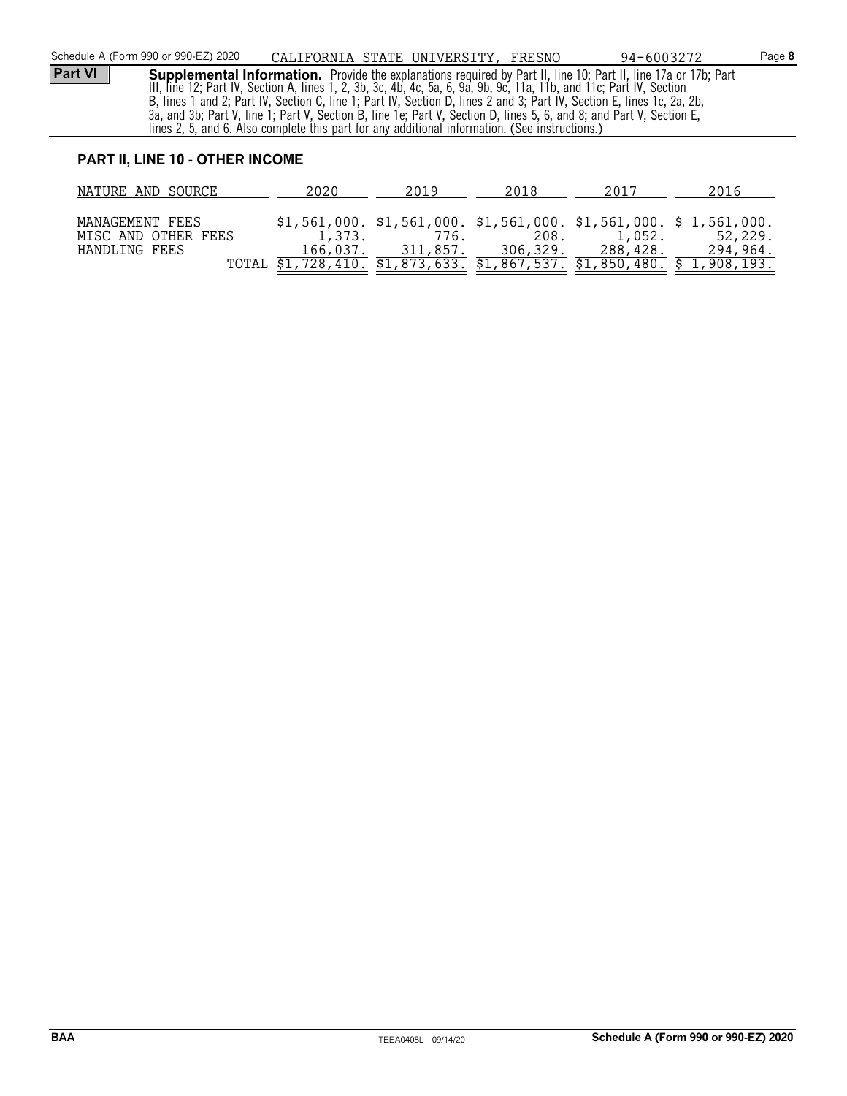#### **PART II, LINE 10 - OTHER INCOME**

| NATURE AND SOURCE   | 2020     | 2019     | 2018     | 2017     | 2016                                                                       |
|---------------------|----------|----------|----------|----------|----------------------------------------------------------------------------|
|                     |          |          |          |          |                                                                            |
| MANAGEMENT FEES     |          |          |          |          | $$1,561,000$ . $$1,561,000$ . $$1,561,000$ . $$1,561,000$ . $$1,561,000$ . |
| MISC AND OTHER FEES | 1,373.   | 776.     | 208.     | 1.052.   | 52,229.                                                                    |
| HANDLING FEES       | 166,037. | 311,857. | 306,329. | 288,428. | 294,964.                                                                   |
|                     |          |          |          |          | TOTAL \$1,728,410. \$1,873,633. \$1,867,537. \$1,850,480. \$1,908,193.     |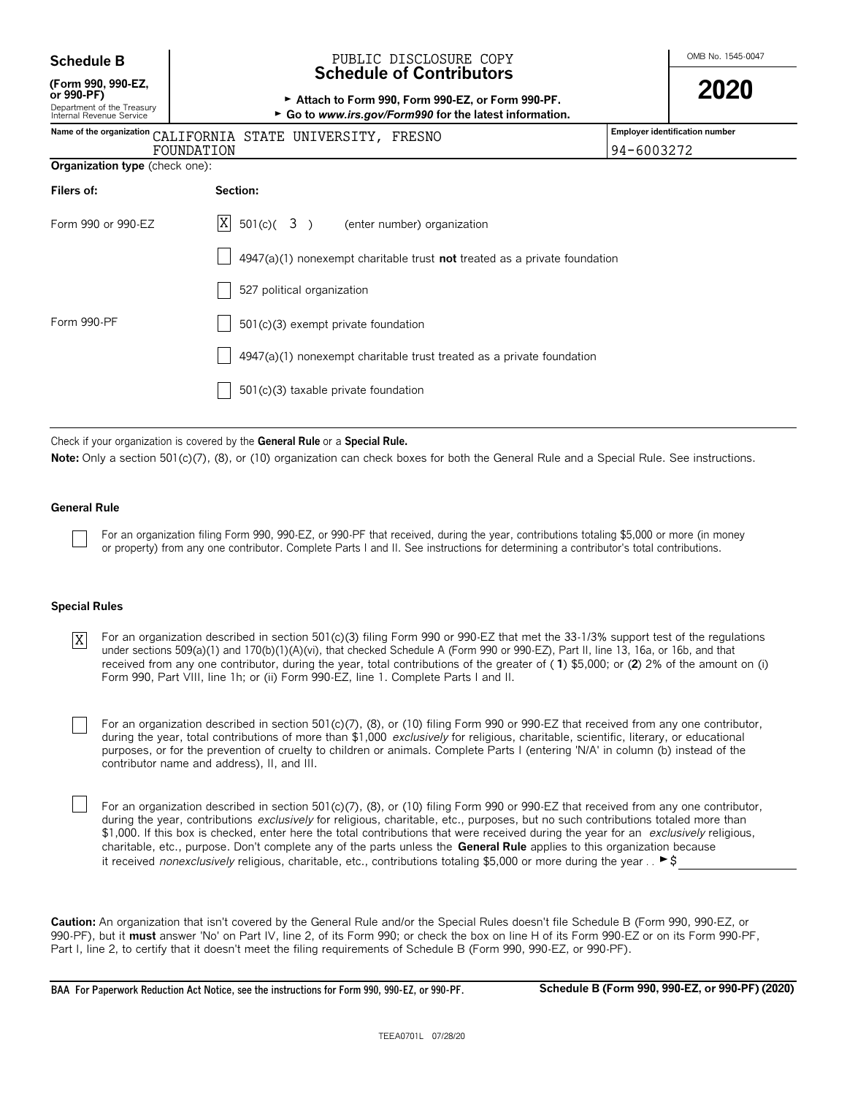| <b>Schedule B</b> |  |
|-------------------|--|
|-------------------|--|

## **(Form 990, 990-EZ,**

#### OMB No. 1545-0047 **Schedule B** PUBLIC DISCLOSURE COPY **Schedule of Contributors**

| (Form 990, 990-EZ,<br>or 990-PF)<br>Department of the Treasury<br>Internal Revenue Service | Attach to Form 990, Form 990-EZ, or Form 990-PF.<br>► Go to www.irs.gov/Form990 for the latest information. |                                       |
|--------------------------------------------------------------------------------------------|-------------------------------------------------------------------------------------------------------------|---------------------------------------|
|                                                                                            | Name of the organization CALIFORNIA STATE UNIVERSITY, FRESNO                                                | <b>Employer identification number</b> |
|                                                                                            | FOUNDATION                                                                                                  | 94-6003272                            |
| <b>Organization type</b> (check one):                                                      |                                                                                                             |                                       |
| Filers of:                                                                                 | Section:                                                                                                    |                                       |
| Form 990 or 990-EZ                                                                         | $X = 501(c)(3)$<br>(enter number) organization                                                              |                                       |
|                                                                                            | $4947(a)(1)$ nonexempt charitable trust not treated as a private foundation                                 |                                       |
|                                                                                            | 527 political organization                                                                                  |                                       |
| Form 990-PF                                                                                | 501(c)(3) exempt private foundation                                                                         |                                       |
|                                                                                            | 4947(a)(1) nonexempt charitable trust treated as a private foundation                                       |                                       |
|                                                                                            | 501(c)(3) taxable private foundation                                                                        |                                       |

Check if your organization is covered by the **General Rule** or a **Special Rule.**

Note: Only a section 501(c)(7), (8), or (10) organization can check boxes for both the General Rule and a Special Rule. See instructions.

#### **General Rule**

For an organization filing Form 990, 990-EZ, or 990-PF that received, during the year, contributions totaling \$5,000 or more (in money or property) from any one contributor. Complete Parts I and II. See instructions for determining a contributor's total contributions.

#### **Special Rules**

For an organization described in section 501(c)(3) filing Form 990 or 990-EZ that met the 33-1/3% support test of the regulations under sections 509(a)(1) and 170(b)(1)(A)(vi), that checked Schedule A (Form 990 or 990-EZ), Part II, line 13, 16a, or 16b, and that received from any one contributor, during the year, total contributions of the greater of ( **1**) \$5,000; or (**2**) 2% of the amount on (i) Form 990, Part VIII, line 1h; or (ii) Form 990-EZ, line 1. Complete Parts I and II. X

For an organization described in section 501(c)(7), (8), or (10) filing Form 990 or 990-EZ that received from any one contributor, during the year, total contributions of more than \$1,000 *exclusively* for religious, charitable, scientific, literary, or educational purposes, or for the prevention of cruelty to children or animals. Complete Parts I (entering 'N/A' in column (b) instead of the contributor name and address), II, and III.

For an organization described in section 501(c)(7), (8), or (10) filing Form 990 or 990-EZ that received from any one contributor, during the year, contributions *exclusively* for religious, charitable, etc., purposes, but no such contributions totaled more than \$1,000. If this box is checked, enter here the total contributions that were received during the year for an *exclusively* religious, charitable, etc., purpose. Don't complete any of the parts unless the **General Rule** applies to this organization because it received *nonexclusively* religious, charitable, etc., contributions totaling \$5,000 or more during the year . .  $\blacktriangleright$  \$

**Caution:** An organization that isn't covered by the General Rule and/or the Special Rules doesn't file Schedule B (Form 990, 990-EZ, or 990-PF), but it **must** answer 'No' on Part IV, line 2, of its Form 990; or check the box on line H of its Form 990-EZ or on its Form 990-PF, Part I, line 2, to certify that it doesn't meet the filing requirements of Schedule B (Form 990, 990-EZ, or 990-PF).

**BAA For Paperwork Reduction Act Notice, see the instructions for Form 990, 990-EZ, or 990-PF. Schedule B (Form 990, 990-EZ, or 990-PF) (2020)**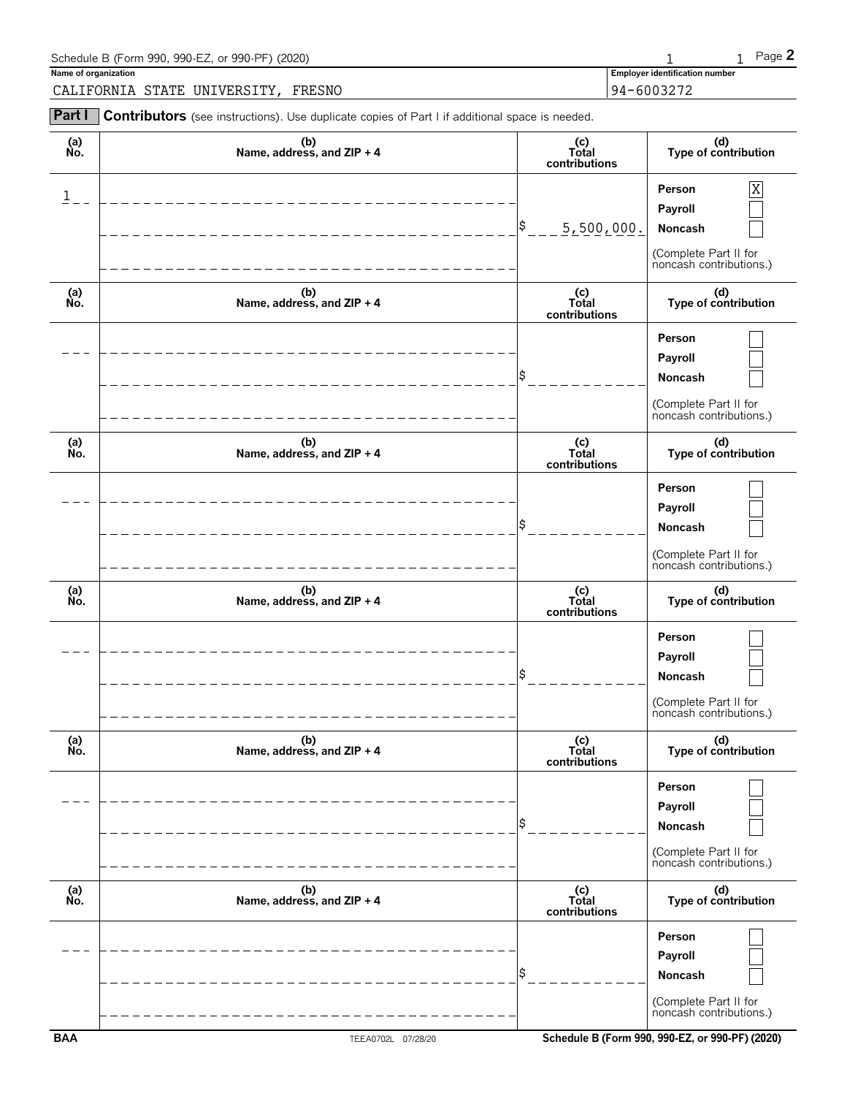| Schedule B (Form 990, 990-EZ, or 990-PF) (2020)                                                              |                                       | Page 2 |
|--------------------------------------------------------------------------------------------------------------|---------------------------------------|--------|
| Name of organization                                                                                         | <b>Employer identification number</b> |        |
| CALIFORNIA STATE UNIVERSITY, FRESNO                                                                          | 94-6003272                            |        |
| <b>Part I</b> Contributors (see instructions). Use duplicate copies of Part I if additional space is needed. |                                       |        |

| (a)<br>No. | (b)<br>Name, address, and ZIP + 4 | (c)<br>Total<br>contributions | (d)<br>Type of contribution                                                           |
|------------|-----------------------------------|-------------------------------|---------------------------------------------------------------------------------------|
| 1          |                                   | Ş<br>5,500,000.               | Person<br>Χ<br>Payroll<br>Noncash<br>(Complete Part II for<br>noncash contributions.) |
| (a)<br>No. | (b)<br>Name, address, and ZIP + 4 | (c)<br>Total<br>contributions | (d)<br>Type of contribution                                                           |
|            |                                   |                               | Person<br>Payroll<br>Noncash<br>(Complete Part II for<br>noncash contributions.)      |
| (a)<br>No. | (b)<br>Name, address, and ZIP + 4 | (c)<br>Total<br>contributions | (d)<br>Type of contribution                                                           |
|            |                                   |                               | Person<br>Payroll<br>Noncash<br>(Complete Part II for<br>noncash contributions.)      |
| (a)<br>No. | (b)<br>Name, address, and ZIP + 4 | (c)<br>Total<br>contributions | (d)<br>Type of contribution                                                           |
|            |                                   |                               | Person<br>Payroll<br>Noncash<br>(Complete Part II for<br>noncash contributions.)      |
| (a)<br>Ňó. | (b)<br>Name, address, and ZIP + 4 | (c)<br>Total<br>contributions | (d)<br>Type of contribution                                                           |
|            |                                   |                               | Person<br>Payroll<br>Noncash<br>(Complete Part II for<br>noncash contributions.)      |
| (a)<br>No. | (b)<br>Name, address, and ZIP + 4 | (c)<br>Total<br>contributions | (d)<br>Type of contribution                                                           |
|            |                                   |                               | Person<br>Payroll<br>Noncash<br>(Complete Part II for<br>noncash contributions.)      |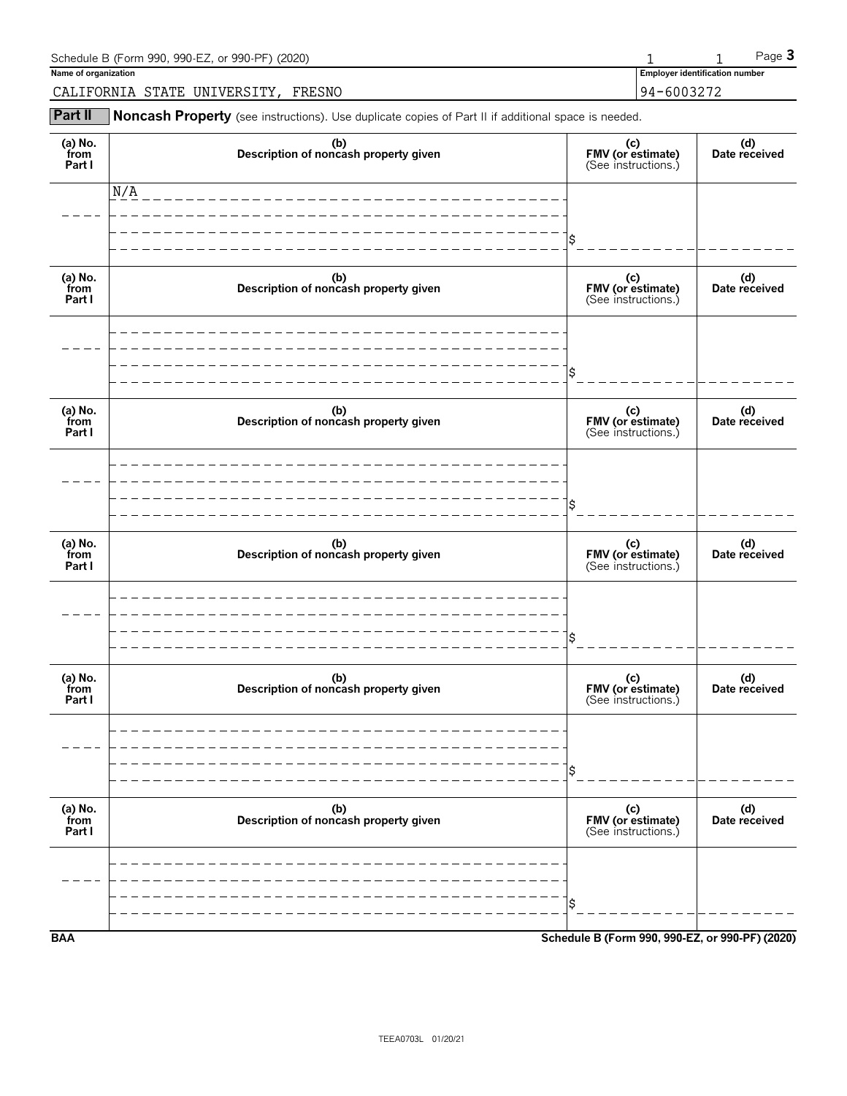| Schedule B (Form 990, 990-EZ, or 990-PF) (2020) |            |                                | Page $3$ |
|-------------------------------------------------|------------|--------------------------------|----------|
| Name of organization                            |            | Employer identification number |          |
| FRESNO<br>UNIVERSITY<br>CALIFORNIA STATE        | 94-6003272 |                                |          |

**Part II** Noncash Property (see instructions). Use duplicate copies of Part II if additional space is needed.

| (a) $No.$ from<br>Part I  | (b)<br>Description of noncash property given | (c)<br>FMV (or estimate)<br>(See instructions.) | (d)<br>Date received |
|---------------------------|----------------------------------------------|-------------------------------------------------|----------------------|
|                           | N/A<br>________________________              |                                                 |                      |
|                           |                                              | \$                                              |                      |
| (a) No.<br>from<br>Part I | (b)<br>Description of noncash property given | (c)<br>FMV (or estimate)<br>(See instructions.) | (d)<br>Date received |
|                           |                                              |                                                 |                      |
|                           |                                              | \$                                              |                      |
| (a) No.<br>from<br>Part I | (b)<br>Description of noncash property given | (c)<br>FMV (or estimate)<br>(See instructions.) | (d)<br>Date received |
|                           |                                              |                                                 |                      |
|                           |                                              | \$                                              |                      |
| (a) $No.$ from<br>Part I  | (b)<br>Description of noncash property given | (c)<br>FMV (or estimate)<br>(See instructions.) | (d)<br>Date received |
|                           |                                              |                                                 |                      |
|                           |                                              | \$                                              |                      |
| (a) No.<br>from<br>Part I | (b)<br>Description of noncash property given | (c)<br>FMV (or estimate)<br>(See instructions.) | (d)<br>Date received |
|                           |                                              |                                                 |                      |
|                           |                                              | \$                                              |                      |
| (a) No.<br>from<br>Part I | (b)<br>Description of noncash property given | (c)<br>FMV (or estimate)<br>(See instructions.) | (d)<br>Date received |
|                           |                                              |                                                 |                      |
|                           |                                              | \$                                              |                      |
| <b>BAA</b>                |                                              | Schedule B (Form 990, 990-EZ, or 990-PF) (2020) |                      |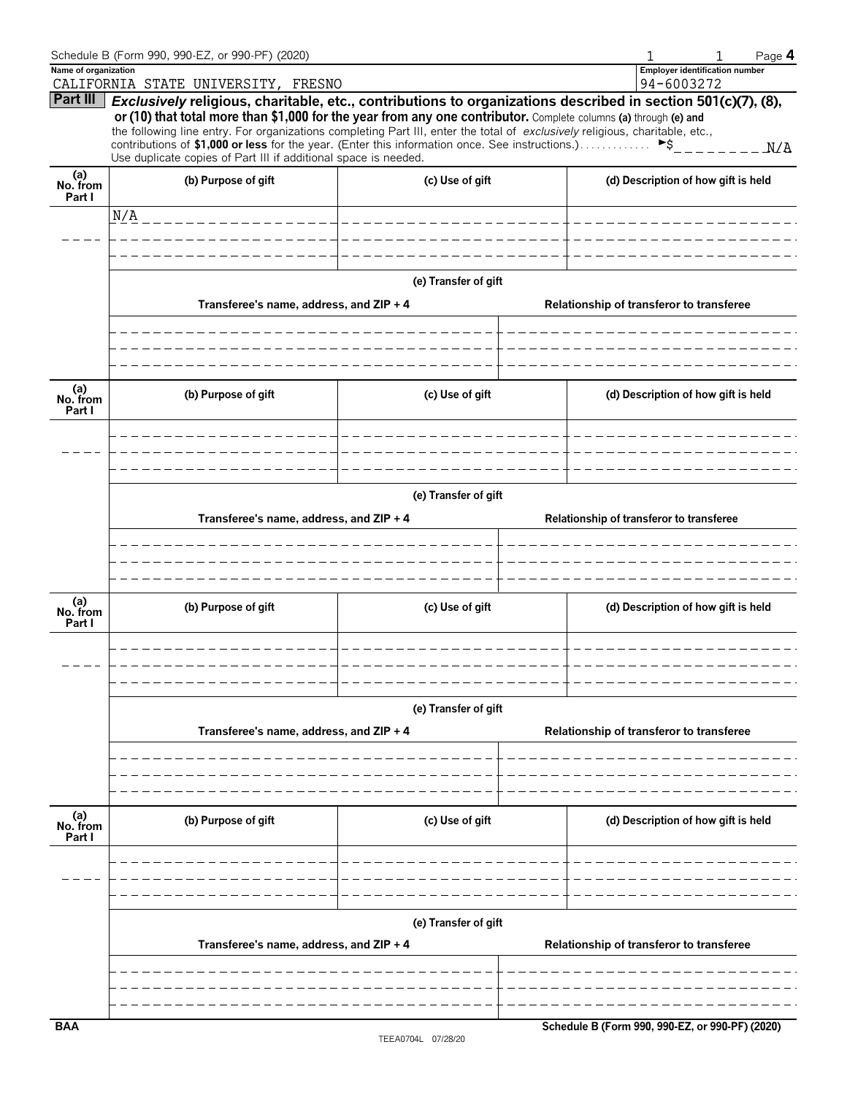|                           | Schedule B (Form 990, 990-EZ, or 990-PF) (2020)                                                                                                                                                                                                  |                       |                                                                                                                                                                                                                                                                                                                                                                                          | Page 4 |  |  |  |  |  |  |
|---------------------------|--------------------------------------------------------------------------------------------------------------------------------------------------------------------------------------------------------------------------------------------------|-----------------------|------------------------------------------------------------------------------------------------------------------------------------------------------------------------------------------------------------------------------------------------------------------------------------------------------------------------------------------------------------------------------------------|--------|--|--|--|--|--|--|
| Name of organization      |                                                                                                                                                                                                                                                  |                       | <b>Employer identification number</b>                                                                                                                                                                                                                                                                                                                                                    |        |  |  |  |  |  |  |
|                           | CALIFORNIA STATE UNIVERSITY, FRESNO                                                                                                                                                                                                              |                       | 94-6003272                                                                                                                                                                                                                                                                                                                                                                               |        |  |  |  |  |  |  |
|                           | or (10) that total more than \$1,000 for the year from any one contributor. Complete columns (a) through (e) and<br>the following line entry. For organizations completing Part III, enter the total of exclusively religious, charitable, etc., |                       | Part III   Exclusively religious, charitable, etc., contributions to organizations described in section 501(c)(7), (8),                                                                                                                                                                                                                                                                  |        |  |  |  |  |  |  |
|                           | contributions of \$1,000 or less for the year. (Enter this information once. See instructions.)<br>Use duplicate copies of Part III if additional space is needed.                                                                               |                       | $\triangleright$ \$ $\bigcup$ $\bigcup$ $\bigcup$ $\bigcup$ $\bigcup$ $\bigcup$ $\bigcup$ $\bigcup$ $\bigcup$ $\bigcup$ $\bigcup$ $\bigcup$ $\bigcup$ $\bigcup$ $\bigcup$ $\bigcup$ $\bigcup$ $\bigcup$ $\bigcup$ $\bigcup$ $\bigcup$ $\bigcup$ $\bigcup$ $\bigcup$ $\bigcup$ $\bigcup$ $\bigcup$ $\bigcup$ $\bigcup$ $\bigcup$ $\bigcup$ $\bigcup$ $\bigcup$ $\bigcup$ $\bigcup$ $\big$ | N/A    |  |  |  |  |  |  |
| (a)<br>No. from<br>Part I | (b) Purpose of gift                                                                                                                                                                                                                              | (c) Use of gift       | (d) Description of how gift is held                                                                                                                                                                                                                                                                                                                                                      |        |  |  |  |  |  |  |
|                           | N/A<br>_ _ _ _ _ _ _ _ _ _ _ _ _ _ _                                                                                                                                                                                                             | _____________________ |                                                                                                                                                                                                                                                                                                                                                                                          |        |  |  |  |  |  |  |
|                           |                                                                                                                                                                                                                                                  |                       |                                                                                                                                                                                                                                                                                                                                                                                          |        |  |  |  |  |  |  |
|                           |                                                                                                                                                                                                                                                  |                       |                                                                                                                                                                                                                                                                                                                                                                                          |        |  |  |  |  |  |  |
|                           |                                                                                                                                                                                                                                                  | (e) Transfer of gift  |                                                                                                                                                                                                                                                                                                                                                                                          |        |  |  |  |  |  |  |
|                           | Transferee's name, address, and ZIP + 4                                                                                                                                                                                                          |                       | Relationship of transferor to transferee                                                                                                                                                                                                                                                                                                                                                 |        |  |  |  |  |  |  |
|                           |                                                                                                                                                                                                                                                  |                       |                                                                                                                                                                                                                                                                                                                                                                                          |        |  |  |  |  |  |  |
|                           |                                                                                                                                                                                                                                                  |                       |                                                                                                                                                                                                                                                                                                                                                                                          |        |  |  |  |  |  |  |
| (a)<br>No. from<br>Part I | (b) Purpose of gift                                                                                                                                                                                                                              | (c) Use of gift       | (d) Description of how gift is held                                                                                                                                                                                                                                                                                                                                                      |        |  |  |  |  |  |  |
|                           |                                                                                                                                                                                                                                                  |                       |                                                                                                                                                                                                                                                                                                                                                                                          |        |  |  |  |  |  |  |
|                           |                                                                                                                                                                                                                                                  |                       |                                                                                                                                                                                                                                                                                                                                                                                          |        |  |  |  |  |  |  |
|                           |                                                                                                                                                                                                                                                  |                       |                                                                                                                                                                                                                                                                                                                                                                                          |        |  |  |  |  |  |  |
|                           | (e) Transfer of gift                                                                                                                                                                                                                             |                       |                                                                                                                                                                                                                                                                                                                                                                                          |        |  |  |  |  |  |  |
|                           | Transferee's name, address, and ZIP + 4                                                                                                                                                                                                          |                       | Relationship of transferor to transferee                                                                                                                                                                                                                                                                                                                                                 |        |  |  |  |  |  |  |
|                           |                                                                                                                                                                                                                                                  |                       |                                                                                                                                                                                                                                                                                                                                                                                          |        |  |  |  |  |  |  |
|                           |                                                                                                                                                                                                                                                  |                       |                                                                                                                                                                                                                                                                                                                                                                                          |        |  |  |  |  |  |  |
| (a)<br>No. from<br>Part I | (b) Purpose of gift                                                                                                                                                                                                                              | (c) Use of gift       | (d) Description of how gift is held                                                                                                                                                                                                                                                                                                                                                      |        |  |  |  |  |  |  |
|                           |                                                                                                                                                                                                                                                  |                       |                                                                                                                                                                                                                                                                                                                                                                                          |        |  |  |  |  |  |  |
|                           |                                                                                                                                                                                                                                                  | (e) Transfer of gift  |                                                                                                                                                                                                                                                                                                                                                                                          |        |  |  |  |  |  |  |
|                           | Transferee's name, address, and ZIP + 4                                                                                                                                                                                                          |                       | Relationship of transferor to transferee                                                                                                                                                                                                                                                                                                                                                 |        |  |  |  |  |  |  |
|                           |                                                                                                                                                                                                                                                  |                       |                                                                                                                                                                                                                                                                                                                                                                                          |        |  |  |  |  |  |  |
|                           |                                                                                                                                                                                                                                                  |                       |                                                                                                                                                                                                                                                                                                                                                                                          |        |  |  |  |  |  |  |
|                           |                                                                                                                                                                                                                                                  |                       |                                                                                                                                                                                                                                                                                                                                                                                          |        |  |  |  |  |  |  |
| (a)<br>No. from<br>Part I | (b) Purpose of gift                                                                                                                                                                                                                              | (c) Use of gift       | (d) Description of how gift is held                                                                                                                                                                                                                                                                                                                                                      |        |  |  |  |  |  |  |
|                           |                                                                                                                                                                                                                                                  |                       |                                                                                                                                                                                                                                                                                                                                                                                          |        |  |  |  |  |  |  |
|                           |                                                                                                                                                                                                                                                  |                       |                                                                                                                                                                                                                                                                                                                                                                                          |        |  |  |  |  |  |  |
|                           |                                                                                                                                                                                                                                                  |                       |                                                                                                                                                                                                                                                                                                                                                                                          |        |  |  |  |  |  |  |
|                           | Transferee's name, address, and ZIP + 4                                                                                                                                                                                                          | (e) Transfer of gift  |                                                                                                                                                                                                                                                                                                                                                                                          |        |  |  |  |  |  |  |
|                           |                                                                                                                                                                                                                                                  |                       | Relationship of transferor to transferee                                                                                                                                                                                                                                                                                                                                                 |        |  |  |  |  |  |  |
|                           |                                                                                                                                                                                                                                                  |                       |                                                                                                                                                                                                                                                                                                                                                                                          |        |  |  |  |  |  |  |
|                           |                                                                                                                                                                                                                                                  |                       |                                                                                                                                                                                                                                                                                                                                                                                          |        |  |  |  |  |  |  |
| <b>BAA</b>                |                                                                                                                                                                                                                                                  |                       | Schedule B (Form 990, 990-EZ, or 990-PF) (2020)                                                                                                                                                                                                                                                                                                                                          |        |  |  |  |  |  |  |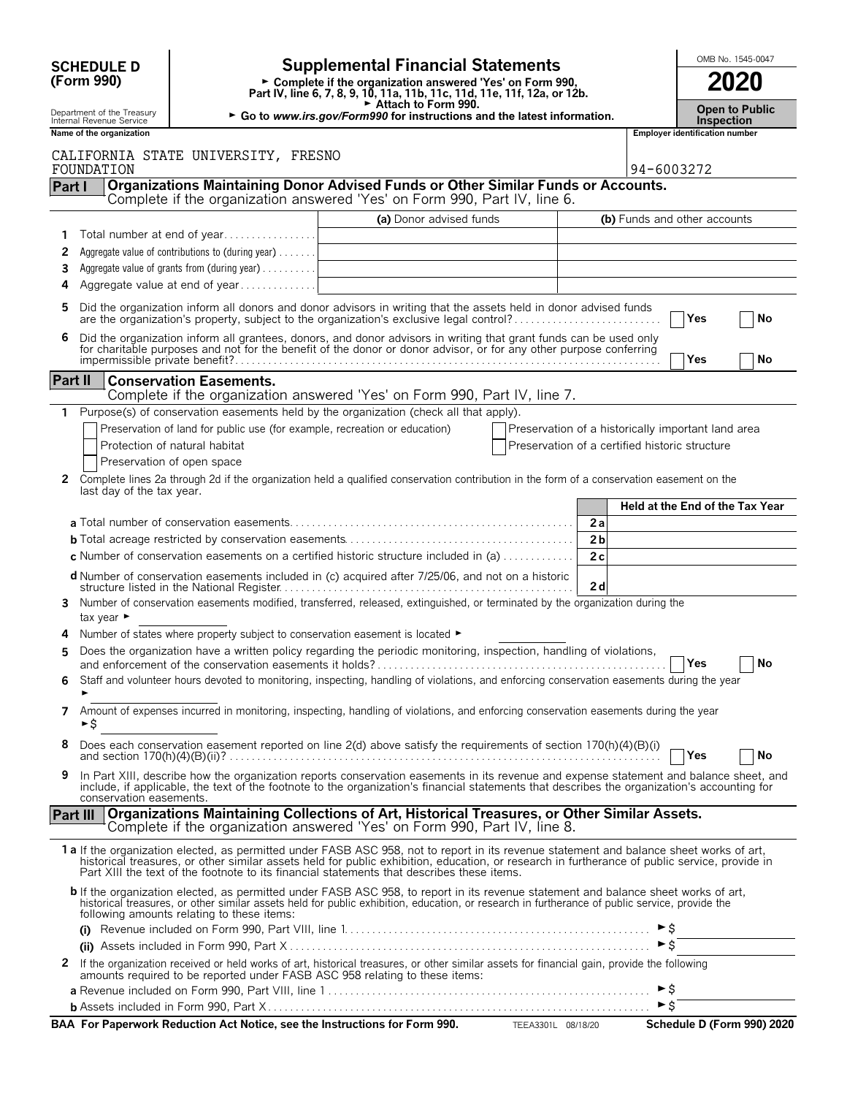|         | <b>Supplemental Financial Statements</b><br><b>SCHEDULE D</b> |                                                                                                   |                                                                                                                                                                                                                                                                                                                                                                                        |                                                    |                |                              | OMB No. 1545-0047              |                                 |  |  |
|---------|---------------------------------------------------------------|---------------------------------------------------------------------------------------------------|----------------------------------------------------------------------------------------------------------------------------------------------------------------------------------------------------------------------------------------------------------------------------------------------------------------------------------------------------------------------------------------|----------------------------------------------------|----------------|------------------------------|--------------------------------|---------------------------------|--|--|
|         | (Form 990)                                                    |                                                                                                   | Complete if the organization answered 'Yes' on Form 990,<br>Part IV, line 6, 7, 8, 9, 10, 11a, 11b, 11c, 11d, 11e, 11f, 12a, or 12b.                                                                                                                                                                                                                                                   |                                                    |                |                              |                                | 2020                            |  |  |
|         | Department of the Treasury<br>Internal Revenue Service        |                                                                                                   | ► Attach to Form 990.<br>► Go to www.irs.gov/Form990 for instructions and the latest information.                                                                                                                                                                                                                                                                                      |                                                    |                |                              | <b>Inspection</b>              | <b>Open to Public</b>           |  |  |
|         | Name of the organization                                      |                                                                                                   |                                                                                                                                                                                                                                                                                                                                                                                        |                                                    |                |                              | Employer identification number |                                 |  |  |
|         | FOUNDATION                                                    | CALIFORNIA STATE UNIVERSITY, FRESNO                                                               |                                                                                                                                                                                                                                                                                                                                                                                        |                                                    |                | 94-6003272                   |                                |                                 |  |  |
| Part I  |                                                               |                                                                                                   | Organizations Maintaining Donor Advised Funds or Other Similar Funds or Accounts.<br>Complete if the organization answered 'Yes' on Form 990, Part IV, line 6.                                                                                                                                                                                                                         |                                                    |                |                              |                                |                                 |  |  |
|         |                                                               |                                                                                                   | (a) Donor advised funds                                                                                                                                                                                                                                                                                                                                                                |                                                    |                | (b) Funds and other accounts |                                |                                 |  |  |
|         |                                                               | Total number at end of year                                                                       |                                                                                                                                                                                                                                                                                                                                                                                        |                                                    |                |                              |                                |                                 |  |  |
| 2       |                                                               | Aggregate value of contributions to (during year)                                                 |                                                                                                                                                                                                                                                                                                                                                                                        |                                                    |                |                              |                                |                                 |  |  |
| 3<br>4  |                                                               | Aggregate value of grants from (during year)<br>Aggregate value at end of year                    |                                                                                                                                                                                                                                                                                                                                                                                        |                                                    |                |                              |                                |                                 |  |  |
| 5       |                                                               |                                                                                                   | Did the organization inform all donors and donor advisors in writing that the assets held in donor advised funds                                                                                                                                                                                                                                                                       |                                                    |                |                              |                                |                                 |  |  |
| 6       |                                                               |                                                                                                   | are the organization's property, subject to the organization's exclusive legal control?<br>Did the organization inform all grantees, donors, and donor advisors in writing that grant funds can be used only                                                                                                                                                                           |                                                    |                |                              | Yes                            | No                              |  |  |
|         |                                                               |                                                                                                   | for charitable purposes and not for the benefit of the donor or donor advisor, or for any other purpose conferring                                                                                                                                                                                                                                                                     |                                                    |                |                              | Yes                            | No                              |  |  |
| Part II |                                                               | <b>Conservation Easements.</b>                                                                    |                                                                                                                                                                                                                                                                                                                                                                                        |                                                    |                |                              |                                |                                 |  |  |
|         |                                                               |                                                                                                   | Complete if the organization answered 'Yes' on Form 990, Part IV, line 7.                                                                                                                                                                                                                                                                                                              |                                                    |                |                              |                                |                                 |  |  |
| 1.      |                                                               |                                                                                                   | Purpose(s) of conservation easements held by the organization (check all that apply).                                                                                                                                                                                                                                                                                                  |                                                    |                |                              |                                |                                 |  |  |
|         |                                                               | Preservation of land for public use (for example, recreation or education)                        |                                                                                                                                                                                                                                                                                                                                                                                        | Preservation of a historically important land area |                |                              |                                |                                 |  |  |
|         |                                                               | Protection of natural habitat                                                                     |                                                                                                                                                                                                                                                                                                                                                                                        | Preservation of a certified historic structure     |                |                              |                                |                                 |  |  |
| 2       |                                                               | Preservation of open space                                                                        | Complete lines 2a through 2d if the organization held a qualified conservation contribution in the form of a conservation easement on the                                                                                                                                                                                                                                              |                                                    |                |                              |                                |                                 |  |  |
|         | last day of the tax year.                                     |                                                                                                   |                                                                                                                                                                                                                                                                                                                                                                                        |                                                    |                |                              |                                | Held at the End of the Tax Year |  |  |
|         |                                                               |                                                                                                   |                                                                                                                                                                                                                                                                                                                                                                                        |                                                    | 2a             |                              |                                |                                 |  |  |
|         |                                                               |                                                                                                   |                                                                                                                                                                                                                                                                                                                                                                                        |                                                    | 2 <sub>b</sub> |                              |                                |                                 |  |  |
|         |                                                               |                                                                                                   | <b>c</b> Number of conservation easements on a certified historic structure included in (a) $\dots$                                                                                                                                                                                                                                                                                    |                                                    | 2c             |                              |                                |                                 |  |  |
|         |                                                               |                                                                                                   | <b>d</b> Number of conservation easements included in (c) acquired after 7/25/06, and not on a historic                                                                                                                                                                                                                                                                                |                                                    | 2d             |                              |                                |                                 |  |  |
| 3       | tax year $\blacktriangleright$                                |                                                                                                   | Number of conservation easements modified, transferred, released, extinguished, or terminated by the organization during the                                                                                                                                                                                                                                                           |                                                    |                |                              |                                |                                 |  |  |
| 4       |                                                               | Number of states where property subject to conservation easement is located $\blacktriangleright$ |                                                                                                                                                                                                                                                                                                                                                                                        |                                                    |                |                              |                                |                                 |  |  |
|         |                                                               |                                                                                                   | Does the organization have a written policy regarding the periodic monitoring, inspection, handling of violations,                                                                                                                                                                                                                                                                     |                                                    |                |                              | <b>Yes</b>                     | No                              |  |  |
| 6       |                                                               |                                                                                                   | Staff and volunteer hours devoted to monitoring, inspecting, handling of violations, and enforcing conservation easements during the year                                                                                                                                                                                                                                              |                                                    |                |                              |                                |                                 |  |  |
| 7       | ►\$                                                           |                                                                                                   | Amount of expenses incurred in monitoring, inspecting, handling of violations, and enforcing conservation easements during the year                                                                                                                                                                                                                                                    |                                                    |                |                              |                                |                                 |  |  |
| 8       |                                                               |                                                                                                   | Does each conservation easement reported on line 2(d) above satisfy the requirements of section 170(h)(4)(B)(i)                                                                                                                                                                                                                                                                        |                                                    |                |                              | $\mathsf{Yes}$                 | No                              |  |  |
| 9       | conservation easements.                                       |                                                                                                   | In Part XIII, describe how the organization reports conservation easements in its revenue and expense statement and balance sheet, and<br>include, if applicable, the text of the footnote to the organization's financial statements that describes the organization's accounting for                                                                                                 |                                                    |                |                              |                                |                                 |  |  |
|         | <b>Part III</b>                                               |                                                                                                   | Organizations Maintaining Collections of Art, Historical Treasures, or Other Similar Assets.<br>Complete if the organization answered 'Yes' on Form 990, Part IV, line 8.                                                                                                                                                                                                              |                                                    |                |                              |                                |                                 |  |  |
|         |                                                               |                                                                                                   | 1a If the organization elected, as permitted under FASB ASC 958, not to report in its revenue statement and balance sheet works of art,<br>historical treasures, or other similar assets held for public exhibition, education, or research in furtherance of public service, provide in<br>Part XIII the text of the footnote to its financial statements that describes these items. |                                                    |                |                              |                                |                                 |  |  |
|         |                                                               | following amounts relating to these items:                                                        | b If the organization elected, as permitted under FASB ASC 958, to report in its revenue statement and balance sheet works of art,<br>historical treasures, or other similar assets held for public exhibition, education, or research in furtherance of public service, provide the                                                                                                   |                                                    |                |                              |                                |                                 |  |  |
|         |                                                               |                                                                                                   |                                                                                                                                                                                                                                                                                                                                                                                        |                                                    |                |                              |                                |                                 |  |  |
|         |                                                               |                                                                                                   |                                                                                                                                                                                                                                                                                                                                                                                        |                                                    |                | $\triangleright$ \$          |                                |                                 |  |  |
| 2       |                                                               |                                                                                                   | If the organization received or held works of art, historical treasures, or other similar assets for financial gain, provide the following<br>amounts required to be reported under FASB ASC 958 relating to these items:                                                                                                                                                              |                                                    |                | $\blacktriangleright$ \$     |                                |                                 |  |  |
|         |                                                               |                                                                                                   |                                                                                                                                                                                                                                                                                                                                                                                        |                                                    |                | $\triangleright$ \$          |                                |                                 |  |  |
|         |                                                               |                                                                                                   | BAA For Paperwork Reduction Act Notice, see the Instructions for Form 990.                                                                                                                                                                                                                                                                                                             |                                                    |                |                              |                                | Schedule D (Form 990) 2020      |  |  |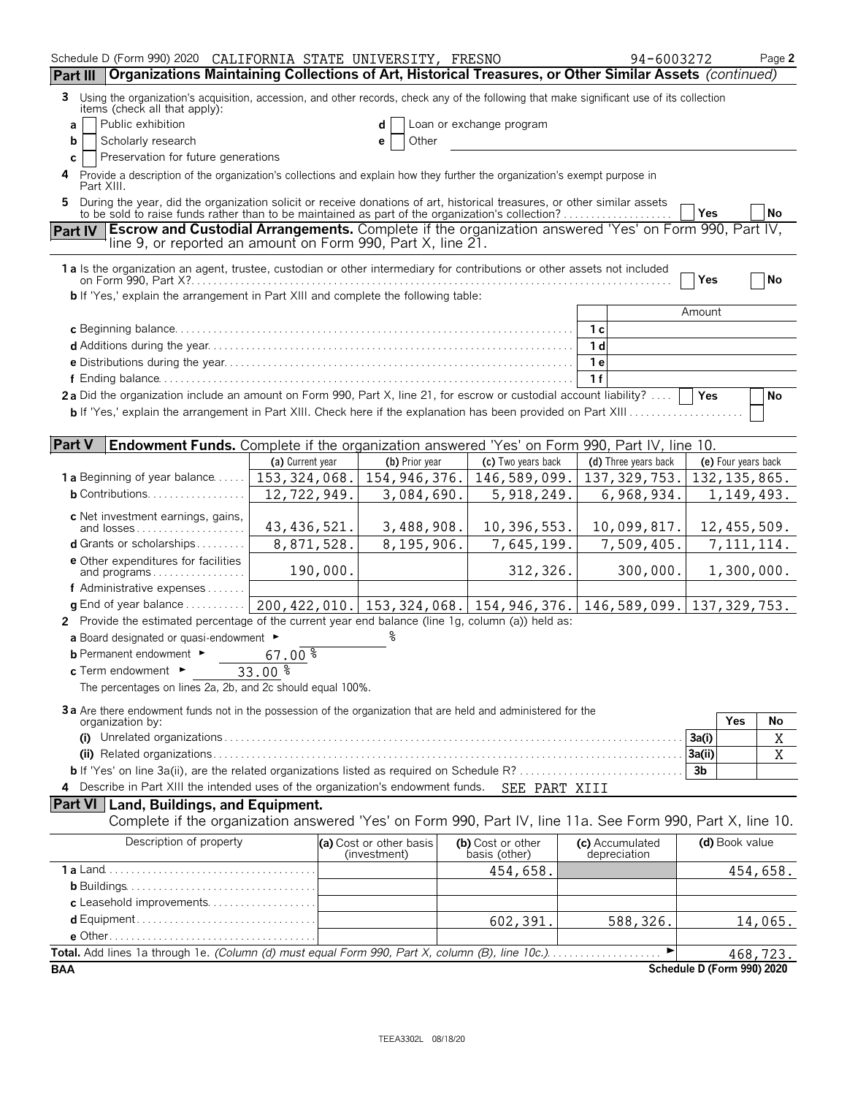| Schedule D (Form 990) 2020 CALIFORNIA STATE UNIVERSITY, FRESNO                                                                                                                               |                  |                                         |                                    | 94-6003272                      | Page 2                     |
|----------------------------------------------------------------------------------------------------------------------------------------------------------------------------------------------|------------------|-----------------------------------------|------------------------------------|---------------------------------|----------------------------|
| Organizations Maintaining Collections of Art, Historical Treasures, or Other Similar Assets (continued)<br><b>Part III</b>                                                                   |                  |                                         |                                    |                                 |                            |
| Using the organization's acquisition, accession, and other records, check any of the following that make significant use of its collection<br>3                                              |                  |                                         |                                    |                                 |                            |
| items (check all that apply):<br>Public exhibition<br>a                                                                                                                                      |                  |                                         | Loan or exchange program           |                                 |                            |
| Scholarly research<br>b                                                                                                                                                                      |                  | Other<br>е                              |                                    |                                 |                            |
| Preservation for future generations<br>С                                                                                                                                                     |                  |                                         |                                    |                                 |                            |
| Provide a description of the organization's collections and explain how they further the organization's exempt purpose in<br>4<br>Part XIII.                                                 |                  |                                         |                                    |                                 |                            |
| During the year, did the organization solicit or receive donations of art, historical treasures, or other similar assets<br>5.                                                               |                  |                                         |                                    |                                 |                            |
| to be sold to raise funds rather than to be maintained as part of the organization's collection?                                                                                             |                  |                                         |                                    |                                 | Yes<br>No                  |
| <b>Escrow and Custodial Arrangements.</b> Complete if the organization answered 'Yes' on Form 990, Part IV,<br><b>Part IV</b><br>line 9, or reported an amount on Form 990, Part X, line 21. |                  |                                         |                                    |                                 |                            |
| 1 a Is the organization an agent, trustee, custodian or other intermediary for contributions or other assets not included                                                                    |                  |                                         |                                    |                                 |                            |
|                                                                                                                                                                                              |                  |                                         |                                    |                                 | Yes<br>No                  |
| <b>b</b> If 'Yes,' explain the arrangement in Part XIII and complete the following table:                                                                                                    |                  |                                         |                                    |                                 |                            |
|                                                                                                                                                                                              |                  |                                         |                                    |                                 | Amount                     |
|                                                                                                                                                                                              |                  |                                         |                                    | 1 с                             |                            |
|                                                                                                                                                                                              |                  |                                         |                                    | 1 d<br>1 <sub>e</sub>           |                            |
|                                                                                                                                                                                              |                  |                                         |                                    | 1f                              |                            |
| 2a Did the organization include an amount on Form 990, Part X, line 21, for escrow or custodial account liability?                                                                           |                  |                                         |                                    |                                 | Yes<br>No                  |
| <b>b</b> If 'Yes,' explain the arrangement in Part XIII. Check here if the explanation has been provided on Part XIII                                                                        |                  |                                         |                                    |                                 |                            |
|                                                                                                                                                                                              |                  |                                         |                                    |                                 |                            |
| <b>Part V</b><br><b>Endowment Funds.</b> Complete if the organization answered 'Yes' on Form 990, Part IV, line 10.                                                                          |                  |                                         |                                    |                                 |                            |
|                                                                                                                                                                                              | (a) Current year | (b) Prior year                          | (c) Two years back                 | (d) Three years back            | (e) Four years back        |
| <b>1 a</b> Beginning of year balance<br><b>b</b> Contributions.                                                                                                                              | 153, 324, 068.   | 154, 946, 376.                          | 146,589,099.                       | 137, 329, 753.                  | 132, 135, 865.             |
|                                                                                                                                                                                              | 12,722,949.      | 3,084,690.                              | 5, 918, 249.                       | 6,968,934.                      | 1, 149, 493.               |
| c Net investment earnings, gains,<br>and losses                                                                                                                                              | 43, 436, 521.    | 3,488,908.                              | 10,396,553.                        | 10,099,817.                     | 12, 455, 509.              |
| <b>d</b> Grants or scholarships                                                                                                                                                              | 8,871,528.       | 8,195,906.                              | 7,645,199.                         | 7,509,405.                      | 7, 111, 114.               |
| e Other expenditures for facilities                                                                                                                                                          |                  |                                         |                                    |                                 |                            |
| and programs                                                                                                                                                                                 | 190,000.         |                                         | 312,326.                           | 300,000.                        | 1,300,000.                 |
| f Administrative expenses<br><b>q</b> End of year balance $\dots\dots\dots\dots$                                                                                                             |                  |                                         |                                    |                                 |                            |
| 2 Provide the estimated percentage of the current year end balance (line 1g, column (a)) held as:                                                                                            |                  | 200, 422, 010. 153, 324, 068.           | 154, 946, 376.                     | 146,589,099.                    | 137, 329, 753.             |
| a Board designated or quasi-endowment $\blacktriangleright$                                                                                                                                  |                  |                                         |                                    |                                 |                            |
| <b>b</b> Permanent endowment ►                                                                                                                                                               | $67.00*$         |                                         |                                    |                                 |                            |
| $c$ Term endowment $\blacktriangleright$                                                                                                                                                     | $33.00*$         |                                         |                                    |                                 |                            |
| The percentages on lines 2a, 2b, and 2c should equal 100%.                                                                                                                                   |                  |                                         |                                    |                                 |                            |
| 3a Are there endowment funds not in the possession of the organization that are held and administered for the                                                                                |                  |                                         |                                    |                                 |                            |
| organization by:                                                                                                                                                                             |                  |                                         |                                    |                                 | Yes<br>No                  |
|                                                                                                                                                                                              |                  |                                         |                                    |                                 | 3a(i)<br>Χ                 |
|                                                                                                                                                                                              |                  |                                         |                                    |                                 | 3a(ii)<br>X<br>3b          |
| 4 Describe in Part XIII the intended uses of the organization's endowment funds. SEE PART XIII                                                                                               |                  |                                         |                                    |                                 |                            |
| <b>Part VI</b> Land, Buildings, and Equipment.                                                                                                                                               |                  |                                         |                                    |                                 |                            |
| Complete if the organization answered 'Yes' on Form 990, Part IV, line 11a. See Form 990, Part X, line 10.                                                                                   |                  |                                         |                                    |                                 |                            |
| Description of property                                                                                                                                                                      |                  | (a) Cost or other basis<br>(investment) | (b) Cost or other<br>basis (other) | (c) Accumulated<br>depreciation | (d) Book value             |
|                                                                                                                                                                                              |                  |                                         | 454,658.                           |                                 | 454,658.                   |
|                                                                                                                                                                                              |                  |                                         |                                    |                                 |                            |
| c Leasehold improvements                                                                                                                                                                     |                  |                                         |                                    |                                 |                            |
|                                                                                                                                                                                              |                  |                                         | 602,391.                           | 588,326.                        | 14,065.                    |
|                                                                                                                                                                                              |                  |                                         |                                    |                                 |                            |
|                                                                                                                                                                                              |                  |                                         |                                    | ▶                               | 468,723.                   |
| <b>BAA</b>                                                                                                                                                                                   |                  |                                         |                                    |                                 | Schedule D (Form 990) 2020 |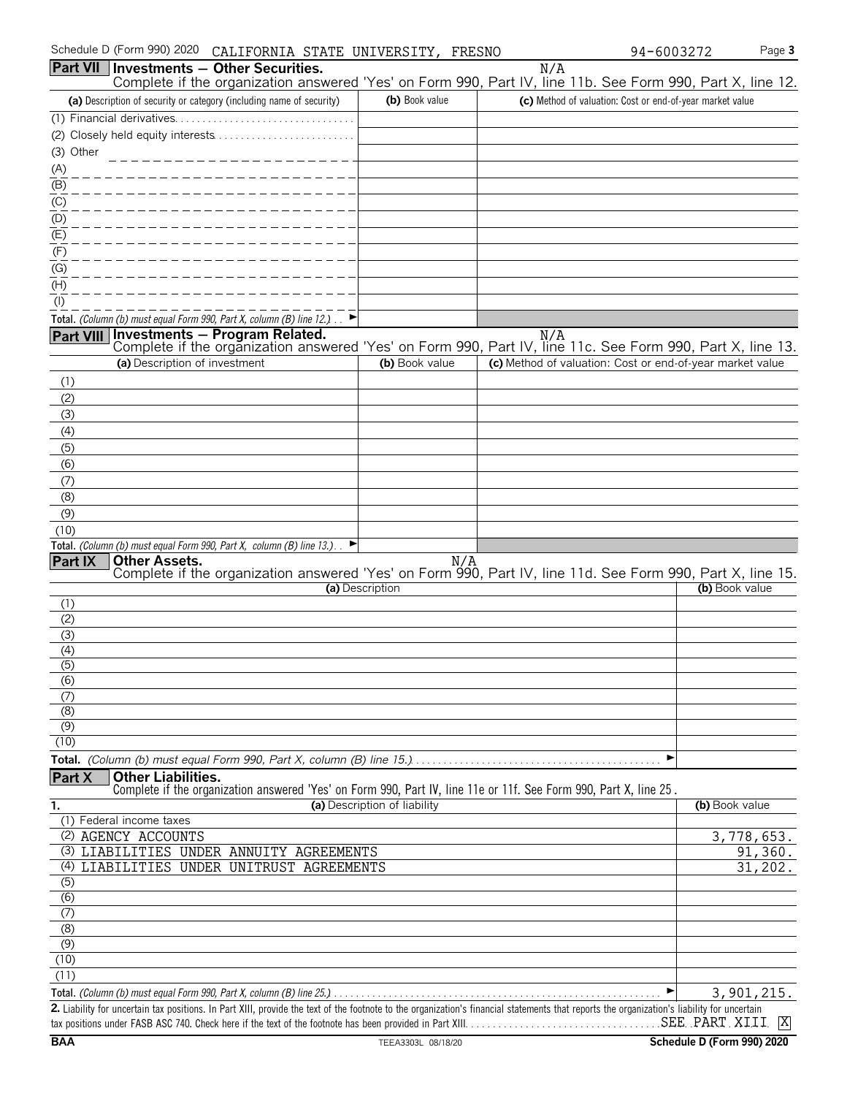| Schedule D (Form 990) 2020 CALIFORNIA STATE UNIVERSITY, FRESNO |  |  |  |  |
|----------------------------------------------------------------|--|--|--|--|
|----------------------------------------------------------------|--|--|--|--|

|                  | Schedule D (Form 990) 2020 CALIFORNIA STATE UNIVERSITY, FRESNO                                                                                                                     |                              |     | 94-6003272                                                | Page 3         |
|------------------|------------------------------------------------------------------------------------------------------------------------------------------------------------------------------------|------------------------------|-----|-----------------------------------------------------------|----------------|
| <b>Part VII</b>  | Investments - Other Securities.                                                                                                                                                    |                              | N/A |                                                           |                |
|                  | Complete if the organization answered 'Yes' on Form 990, Part IV, line 11b. See Form 990, Part X, line 12.<br>(a) Description of security or category (including name of security) | (b) Book value               |     | (c) Method of valuation: Cost or end-of-year market value |                |
|                  |                                                                                                                                                                                    |                              |     |                                                           |                |
|                  |                                                                                                                                                                                    |                              |     |                                                           |                |
| (3) Other        | (2) Closely held equity interests                                                                                                                                                  |                              |     |                                                           |                |
|                  |                                                                                                                                                                                    |                              |     |                                                           |                |
| (A)              |                                                                                                                                                                                    |                              |     |                                                           |                |
| (B)              |                                                                                                                                                                                    |                              |     |                                                           |                |
| (C)              |                                                                                                                                                                                    |                              |     |                                                           |                |
| (D)              |                                                                                                                                                                                    |                              |     |                                                           |                |
| (E)<br>(F)       |                                                                                                                                                                                    |                              |     |                                                           |                |
| (G)              |                                                                                                                                                                                    |                              |     |                                                           |                |
| (H)              |                                                                                                                                                                                    |                              |     |                                                           |                |
| $($ l $)$        |                                                                                                                                                                                    |                              |     |                                                           |                |
|                  | Total. (Column (b) must equal Form 990, Part X, column (B) line 12.).                                                                                                              |                              |     |                                                           |                |
| <b>Part VIII</b> |                                                                                                                                                                                    |                              |     |                                                           |                |
|                  | Investments - Program Related.<br>Complete if the organization answered 'Yes' on Form 990, Part IV, line 11c. See Form 990, Part X, line 13.                                       |                              |     |                                                           |                |
|                  | (a) Description of investment                                                                                                                                                      | (b) Book value               |     | (c) Method of valuation: Cost or end-of-year market value |                |
| (1)              |                                                                                                                                                                                    |                              |     |                                                           |                |
| (2)              |                                                                                                                                                                                    |                              |     |                                                           |                |
| (3)              |                                                                                                                                                                                    |                              |     |                                                           |                |
| (4)              |                                                                                                                                                                                    |                              |     |                                                           |                |
| (5)              |                                                                                                                                                                                    |                              |     |                                                           |                |
| (6)              |                                                                                                                                                                                    |                              |     |                                                           |                |
| (7)              |                                                                                                                                                                                    |                              |     |                                                           |                |
| (8)              |                                                                                                                                                                                    |                              |     |                                                           |                |
| (9)              |                                                                                                                                                                                    |                              |     |                                                           |                |
| (10)             |                                                                                                                                                                                    |                              |     |                                                           |                |
|                  | Total. (Column (b) must equal Form 990, Part X, column (B) line 13.)                                                                                                               |                              |     |                                                           |                |
| Part IX          | <b>Other Assets.</b><br>Complete if the organization answered 'Yes' on Form 990, Part IV, line 11d. See Form 990, Part X, line 15.                                                 | N/A                          |     |                                                           |                |
|                  |                                                                                                                                                                                    | (a) Description              |     |                                                           | (b) Book value |
| (1)              |                                                                                                                                                                                    |                              |     |                                                           |                |
| (2)              |                                                                                                                                                                                    |                              |     |                                                           |                |
| (3)              |                                                                                                                                                                                    |                              |     |                                                           |                |
| (4)              |                                                                                                                                                                                    |                              |     |                                                           |                |
| (5)              |                                                                                                                                                                                    |                              |     |                                                           |                |
| (6)              |                                                                                                                                                                                    |                              |     |                                                           |                |
| (7)<br>(8)       |                                                                                                                                                                                    |                              |     |                                                           |                |
| (9)              |                                                                                                                                                                                    |                              |     |                                                           |                |
| (10)             |                                                                                                                                                                                    |                              |     |                                                           |                |
|                  | Total. (Column (b) must equal Form 990, Part X, column (B) line 15.)                                                                                                               |                              |     | ▶                                                         |                |
| Part X           | <b>Other Liabilities.</b><br>Complete if the organization answered 'Yes' on Form 990, Part IV, line 11e or 11f. See Form 990, Part X, line 25.                                     |                              |     |                                                           |                |
| 1.               |                                                                                                                                                                                    | (a) Description of liability |     |                                                           | (b) Book value |
|                  | (1) Federal income taxes                                                                                                                                                           |                              |     |                                                           |                |
|                  | (2) AGENCY ACCOUNTS                                                                                                                                                                |                              |     |                                                           | 3,778,653.     |
|                  | (3) LIABILITIES UNDER ANNUITY AGREEMENTS                                                                                                                                           |                              |     |                                                           | 91,360.        |
|                  | (4) LIABILITIES UNDER UNITRUST AGREEMENTS                                                                                                                                          |                              |     |                                                           | 31,202.        |
| (5)              |                                                                                                                                                                                    |                              |     |                                                           |                |
| (6)<br>(7)       |                                                                                                                                                                                    |                              |     |                                                           |                |

| (ხ)                                                                                                                                                                                         |            |
|---------------------------------------------------------------------------------------------------------------------------------------------------------------------------------------------|------------|
|                                                                                                                                                                                             |            |
| (8)                                                                                                                                                                                         |            |
| (9)                                                                                                                                                                                         |            |
| (10)                                                                                                                                                                                        |            |
| (11)                                                                                                                                                                                        |            |
|                                                                                                                                                                                             | 3,901,215. |
| 2. Liability for uncertain tax positions. In Part XIII, provide the text of the footnote to the organization's financial statements that reports the organization's liability for uncertain |            |

tax positions under FASB ASC 740. Check here if the text of the footnote has been provided in Part XIII. . . . . . . . . . . . . . . . . . . . . . . . . . . . . . . . . . . . . . . . . . . . . . . . . . . . . . . . **BAA** TEEA3303L 08/18/20 **Schedule D (Form 990) 2020** SEE PART XIII X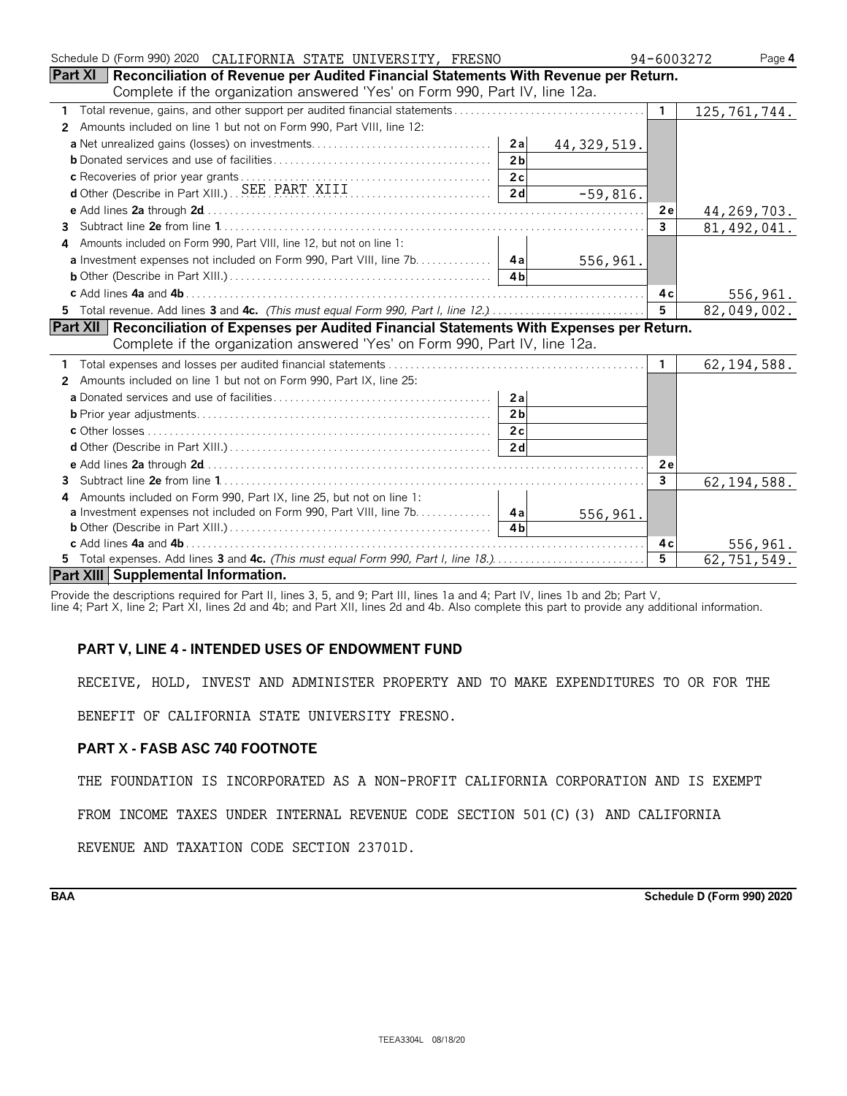| Schedule D (Form 990) 2020 CALIFORNIA STATE UNIVERSITY, FRESNO                                          | 94-6003272   | Page 4         |
|---------------------------------------------------------------------------------------------------------|--------------|----------------|
| Part XI   Reconciliation of Revenue per Audited Financial Statements With Revenue per Return.           |              |                |
| Complete if the organization answered 'Yes' on Form 990, Part IV, line 12a.                             |              |                |
|                                                                                                         | $\mathbf{1}$ | 125, 761, 744. |
| Amounts included on line 1 but not on Form 990, Part VIII, line 12:<br>$\mathbf{2}$                     |              |                |
| a Net unrealized gains (losses) on investments<br>2a<br>44, 329, 519.                                   |              |                |
| 2 <sub>b</sub>                                                                                          |              |                |
| 2c                                                                                                      |              |                |
| c Recoveries of prior year grants<br>d'Other (Describe in Part XIII.) SEE PART XIII<br>2d<br>$-59,816.$ |              |                |
|                                                                                                         | 2e           | 44, 269, 703.  |
| 3                                                                                                       | $\mathbf{3}$ | 81, 492, 041.  |
| Amounts included on Form 990, Part VIII, line 12, but not on line 1:<br>4                               |              |                |
| 556,961.                                                                                                |              |                |
| 4 <sub>h</sub>                                                                                          |              |                |
|                                                                                                         | 4 c          | 556,961.       |
|                                                                                                         | 5            | 82,049,002.    |
| Part XII   Reconciliation of Expenses per Audited Financial Statements With Expenses per Return.        |              |                |
| Complete if the organization answered 'Yes' on Form 990, Part IV, line 12a.                             |              |                |
|                                                                                                         | $\mathbf{1}$ | 62, 194, 588.  |
| Amounts included on line 1 but not on Form 990, Part IX, line 25:<br>$\mathbf{2}$                       |              |                |
| 2a                                                                                                      |              |                |
| 2 <sub>b</sub>                                                                                          |              |                |
| 2c                                                                                                      |              |                |
| 2d                                                                                                      |              |                |
|                                                                                                         | 2e           |                |
|                                                                                                         | $\mathbf{3}$ | 62, 194, 588.  |
| Amounts included on Form 990, Part IX, line 25, but not on line 1:<br>4                                 |              |                |
| <b>a</b> Investment expenses not included on Form 990, Part VIII, line 7b. 4a<br>556,961.               |              |                |
| 4 <sub>h</sub>                                                                                          |              |                |
|                                                                                                         | 4 c          | 556,961.       |
| 5 Total expenses. Add lines 3 and 4c. (This must equal Form 990, Part I, line 18.)                      | 5            | 62,751,549.    |
| Part XIII Supplemental Information.                                                                     |              |                |

Provide the descriptions required for Part II, lines 3, 5, and 9; Part III, lines 1a and 4; Part IV, lines 1b and 2b; Part V, line 4; Part X, line 2; Part XI, lines 2d and 4b; and Part XII, lines 2d and 4b. Also complete this part to provide any additional information.

#### **PART V, LINE 4 - INTENDED USES OF ENDOWMENT FUND**

RECEIVE, HOLD, INVEST AND ADMINISTER PROPERTY AND TO MAKE EXPENDITURES TO OR FOR THE

BENEFIT OF CALIFORNIA STATE UNIVERSITY FRESNO.

#### **PART X - FASB ASC 740 FOOTNOTE**

THE FOUNDATION IS INCORPORATED AS A NON-PROFIT CALIFORNIA CORPORATION AND IS EXEMPT

FROM INCOME TAXES UNDER INTERNAL REVENUE CODE SECTION 501(C)(3) AND CALIFORNIA

REVENUE AND TAXATION CODE SECTION 23701D.

**BAA Schedule D (Form 990) 2020**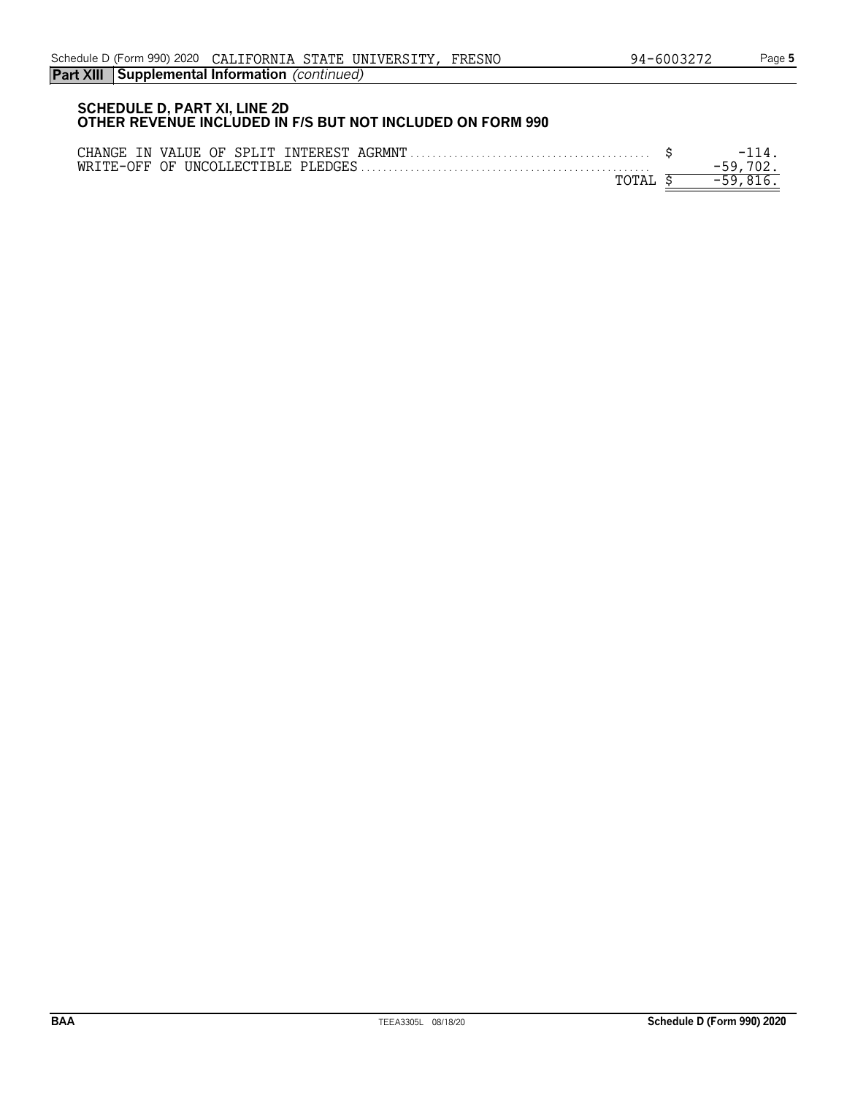#### **SCHEDULE D, PART XI, LINE 2D OTHER REVENUE INCLUDED IN F/S BUT NOT INCLUDED ON FORM 990**

| CHANGE IN VALUE OF SPLIT INTEREST AGRMNT | - 1 |
|------------------------------------------|-----|
| WRITE-OFF OF UNCOLLECTIBLE PLEDGES       |     |
| ጥለጥአ                                     |     |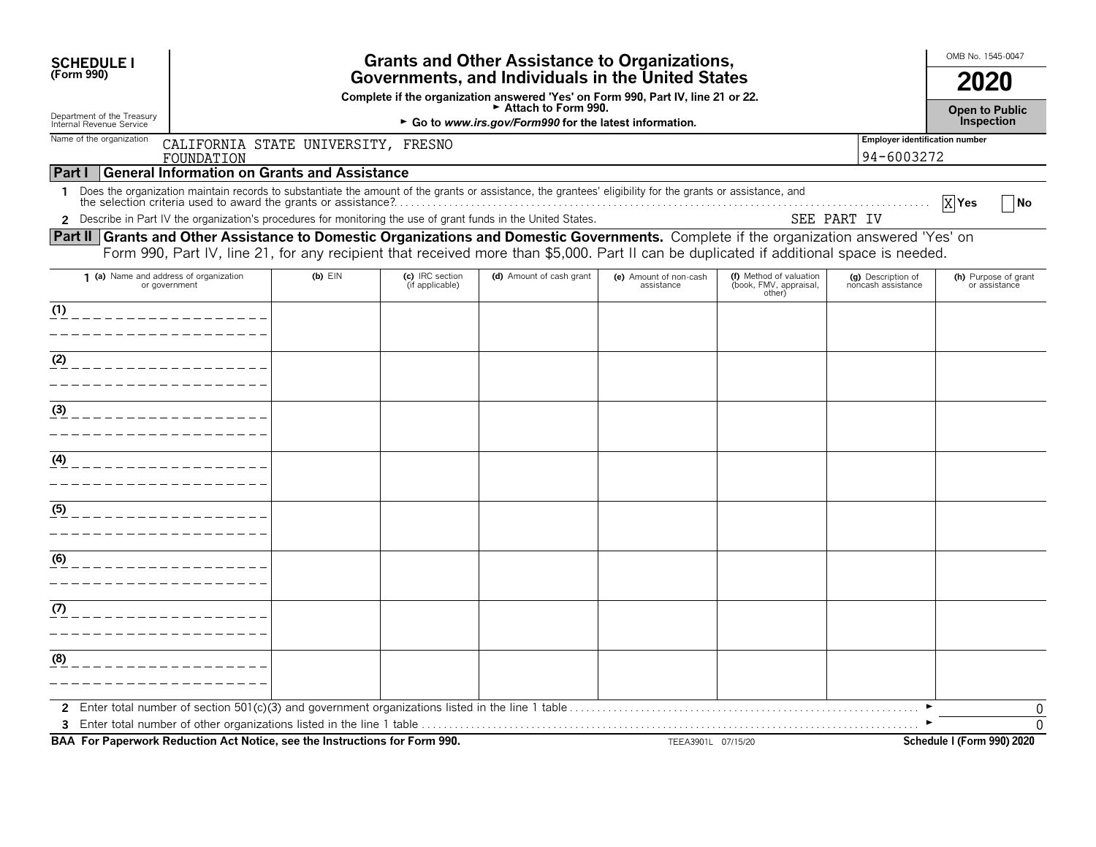|                                                     |                                                                                                                                                                    |                                                                            |                                      |                                                                                                               |                                                                                                                                                                                  | 2020                                                                                                                                                                                                                                                                                                                             |  |  |  |  |  |
|-----------------------------------------------------|--------------------------------------------------------------------------------------------------------------------------------------------------------------------|----------------------------------------------------------------------------|--------------------------------------|---------------------------------------------------------------------------------------------------------------|----------------------------------------------------------------------------------------------------------------------------------------------------------------------------------|----------------------------------------------------------------------------------------------------------------------------------------------------------------------------------------------------------------------------------------------------------------------------------------------------------------------------------|--|--|--|--|--|
|                                                     |                                                                                                                                                                    |                                                                            |                                      |                                                                                                               | <b>Grants and Other Assistance to Organizations,</b><br>Governments, and Individuals in the United States                                                                        |                                                                                                                                                                                                                                                                                                                                  |  |  |  |  |  |
|                                                     | Complete if the organization answered 'Yes' on Form 990, Part IV, line 21 or 22.<br>Attach to Form 990.<br>► Go to www.irs.gov/Form990 for the latest information. |                                                                            |                                      |                                                                                                               |                                                                                                                                                                                  |                                                                                                                                                                                                                                                                                                                                  |  |  |  |  |  |
| CALIFORNIA STATE UNIVERSITY, FRESNO<br>FOUNDATION   |                                                                                                                                                                    |                                                                            |                                      |                                                                                                               | <b>Employer identification number</b><br>94-6003272                                                                                                                              |                                                                                                                                                                                                                                                                                                                                  |  |  |  |  |  |
| <b>General Information on Grants and Assistance</b> |                                                                                                                                                                    |                                                                            |                                      |                                                                                                               |                                                                                                                                                                                  |                                                                                                                                                                                                                                                                                                                                  |  |  |  |  |  |
|                                                     |                                                                                                                                                                    |                                                                            |                                      |                                                                                                               |                                                                                                                                                                                  | $X$ Yes<br>∣No                                                                                                                                                                                                                                                                                                                   |  |  |  |  |  |
|                                                     |                                                                                                                                                                    |                                                                            |                                      |                                                                                                               |                                                                                                                                                                                  |                                                                                                                                                                                                                                                                                                                                  |  |  |  |  |  |
|                                                     |                                                                                                                                                                    |                                                                            |                                      |                                                                                                               |                                                                                                                                                                                  |                                                                                                                                                                                                                                                                                                                                  |  |  |  |  |  |
| $(b)$ $EIN$                                         | (c) IRC section<br>(if applicable)                                                                                                                                 | (d) Amount of cash grant                                                   | (e) Amount of non-cash<br>assistance | (f) Method of valuation<br>(book, FMV, appraisal,<br>other)                                                   | (g) Description of<br>noncash assistance                                                                                                                                         | (h) Purpose of grant<br>or assistance                                                                                                                                                                                                                                                                                            |  |  |  |  |  |
|                                                     |                                                                                                                                                                    |                                                                            |                                      |                                                                                                               |                                                                                                                                                                                  |                                                                                                                                                                                                                                                                                                                                  |  |  |  |  |  |
|                                                     |                                                                                                                                                                    |                                                                            |                                      |                                                                                                               |                                                                                                                                                                                  |                                                                                                                                                                                                                                                                                                                                  |  |  |  |  |  |
|                                                     |                                                                                                                                                                    |                                                                            |                                      |                                                                                                               |                                                                                                                                                                                  |                                                                                                                                                                                                                                                                                                                                  |  |  |  |  |  |
|                                                     |                                                                                                                                                                    |                                                                            |                                      |                                                                                                               |                                                                                                                                                                                  |                                                                                                                                                                                                                                                                                                                                  |  |  |  |  |  |
|                                                     |                                                                                                                                                                    |                                                                            |                                      |                                                                                                               |                                                                                                                                                                                  |                                                                                                                                                                                                                                                                                                                                  |  |  |  |  |  |
|                                                     |                                                                                                                                                                    |                                                                            |                                      |                                                                                                               |                                                                                                                                                                                  |                                                                                                                                                                                                                                                                                                                                  |  |  |  |  |  |
|                                                     |                                                                                                                                                                    |                                                                            |                                      |                                                                                                               |                                                                                                                                                                                  |                                                                                                                                                                                                                                                                                                                                  |  |  |  |  |  |
|                                                     |                                                                                                                                                                    |                                                                            |                                      |                                                                                                               |                                                                                                                                                                                  |                                                                                                                                                                                                                                                                                                                                  |  |  |  |  |  |
|                                                     |                                                                                                                                                                    |                                                                            |                                      |                                                                                                               |                                                                                                                                                                                  |                                                                                                                                                                                                                                                                                                                                  |  |  |  |  |  |
|                                                     |                                                                                                                                                                    |                                                                            |                                      |                                                                                                               |                                                                                                                                                                                  |                                                                                                                                                                                                                                                                                                                                  |  |  |  |  |  |
|                                                     |                                                                                                                                                                    |                                                                            |                                      |                                                                                                               |                                                                                                                                                                                  |                                                                                                                                                                                                                                                                                                                                  |  |  |  |  |  |
|                                                     |                                                                                                                                                                    |                                                                            |                                      |                                                                                                               |                                                                                                                                                                                  |                                                                                                                                                                                                                                                                                                                                  |  |  |  |  |  |
|                                                     |                                                                                                                                                                    |                                                                            |                                      |                                                                                                               |                                                                                                                                                                                  |                                                                                                                                                                                                                                                                                                                                  |  |  |  |  |  |
|                                                     |                                                                                                                                                                    |                                                                            |                                      |                                                                                                               |                                                                                                                                                                                  |                                                                                                                                                                                                                                                                                                                                  |  |  |  |  |  |
|                                                     |                                                                                                                                                                    |                                                                            |                                      |                                                                                                               |                                                                                                                                                                                  |                                                                                                                                                                                                                                                                                                                                  |  |  |  |  |  |
|                                                     |                                                                                                                                                                    |                                                                            |                                      |                                                                                                               |                                                                                                                                                                                  |                                                                                                                                                                                                                                                                                                                                  |  |  |  |  |  |
|                                                     |                                                                                                                                                                    |                                                                            |                                      |                                                                                                               |                                                                                                                                                                                  |                                                                                                                                                                                                                                                                                                                                  |  |  |  |  |  |
|                                                     |                                                                                                                                                                    |                                                                            |                                      |                                                                                                               |                                                                                                                                                                                  | 0                                                                                                                                                                                                                                                                                                                                |  |  |  |  |  |
|                                                     | 1 (a) Name and address of organization                                                                                                                             | BAA For Paperwork Reduction Act Notice, see the Instructions for Form 990. |                                      | Describe in Part IV the organization's procedures for monitoring the use of grant funds in the United States. | Does the organization maintain records to substantiate the amount of the grants or assistance, the grantees' eligibility for the grants or assistance, and<br>TEEA3901L 07/15/20 | SEE PART IV<br>Part II   Grants and Other Assistance to Domestic Organizations and Domestic Governments. Complete if the organization answered 'Yes' on<br>Form 990, Part IV, line 21, for any recipient that received more than \$5,000. Part II can be duplicated if additional space is needed.<br>Schedule I (Form 990) 2020 |  |  |  |  |  |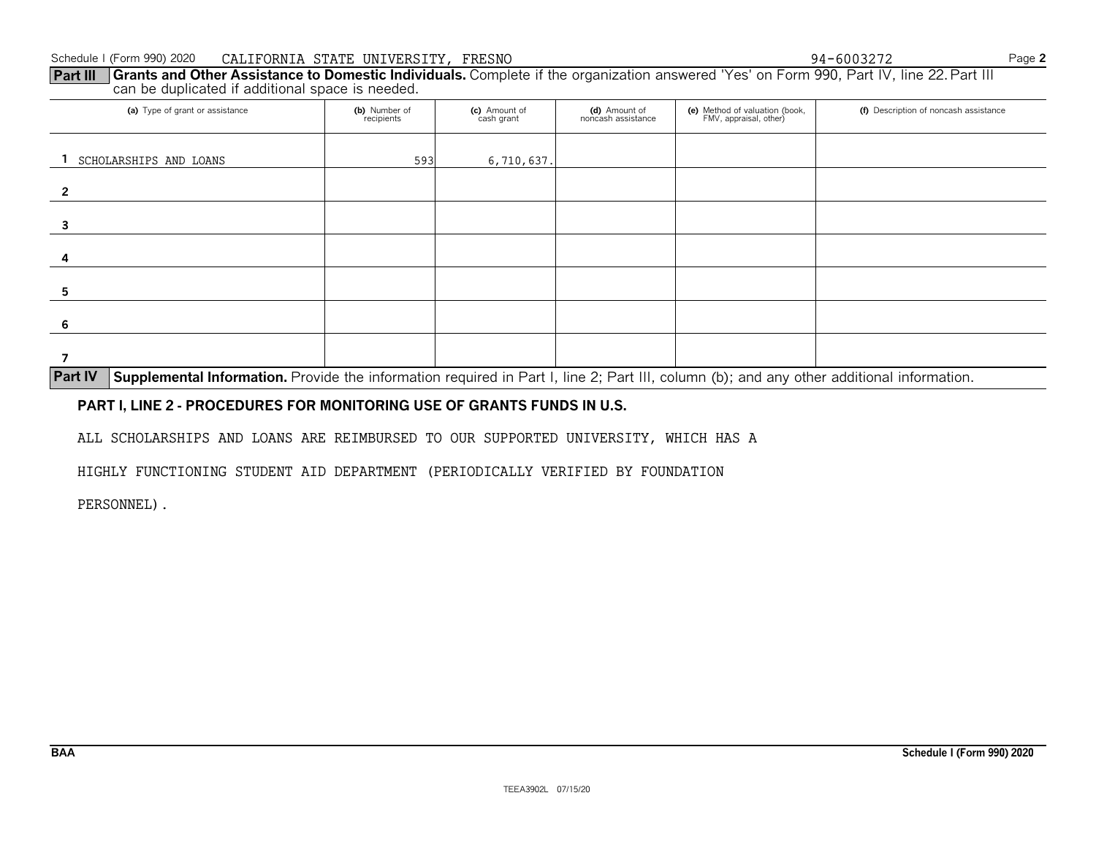#### Schedule I (Form 990) 2020Page **<sup>2</sup>** CALIFORNIA STATE UNIVERSITY, FRESNO

**Part III Grants and Other Assistance to Domestic Individuals.** Complete if the organization answered 'Yes' on Form 990, Part IV, line 22. Part III can be duplicated if additional space is needed. $\frac{94-6003272}{100}$ 

| (a) Type of grant or assistance                                                                                      | (b) Number of<br>recipients | (c) Amount of<br>cash grant | (d) Amount of<br>noncash assistance | (e) Method of valuation (book,<br>FMV, appraisal, other) | (f) Description of noncash assistance |
|----------------------------------------------------------------------------------------------------------------------|-----------------------------|-----------------------------|-------------------------------------|----------------------------------------------------------|---------------------------------------|
| SCHOLARSHIPS AND LOANS                                                                                               | 593                         | 6,710,637.                  |                                     |                                                          |                                       |
| $\mathcal{P}$                                                                                                        |                             |                             |                                     |                                                          |                                       |
|                                                                                                                      |                             |                             |                                     |                                                          |                                       |
| 4                                                                                                                    |                             |                             |                                     |                                                          |                                       |
|                                                                                                                      |                             |                             |                                     |                                                          |                                       |
|                                                                                                                      |                             |                             |                                     |                                                          |                                       |
| المستحدث والمستحدث والمستحدث والمستحدث والمحافظ والمحافظة والمحافظة والمحافظة والمحافظة والمحافظة المحافظة والمحافظة |                             |                             |                                     |                                                          |                                       |

**Part IV Supplemental Information.** Provide the information required in Part I, line 2; Part III, column (b); and any other additional information.

#### **PART I, LINE 2 - PROCEDURES FOR MONITORING USE OF GRANTS FUNDS IN U.S.**

ALL SCHOLARSHIPS AND LOANS ARE REIMBURSED TO OUR SUPPORTED UNIVERSITY, WHICH HAS A

HIGHLY FUNCTIONING STUDENT AID DEPARTMENT (PERIODICALLY VERIFIED BY FOUNDATION

PERSONNEL).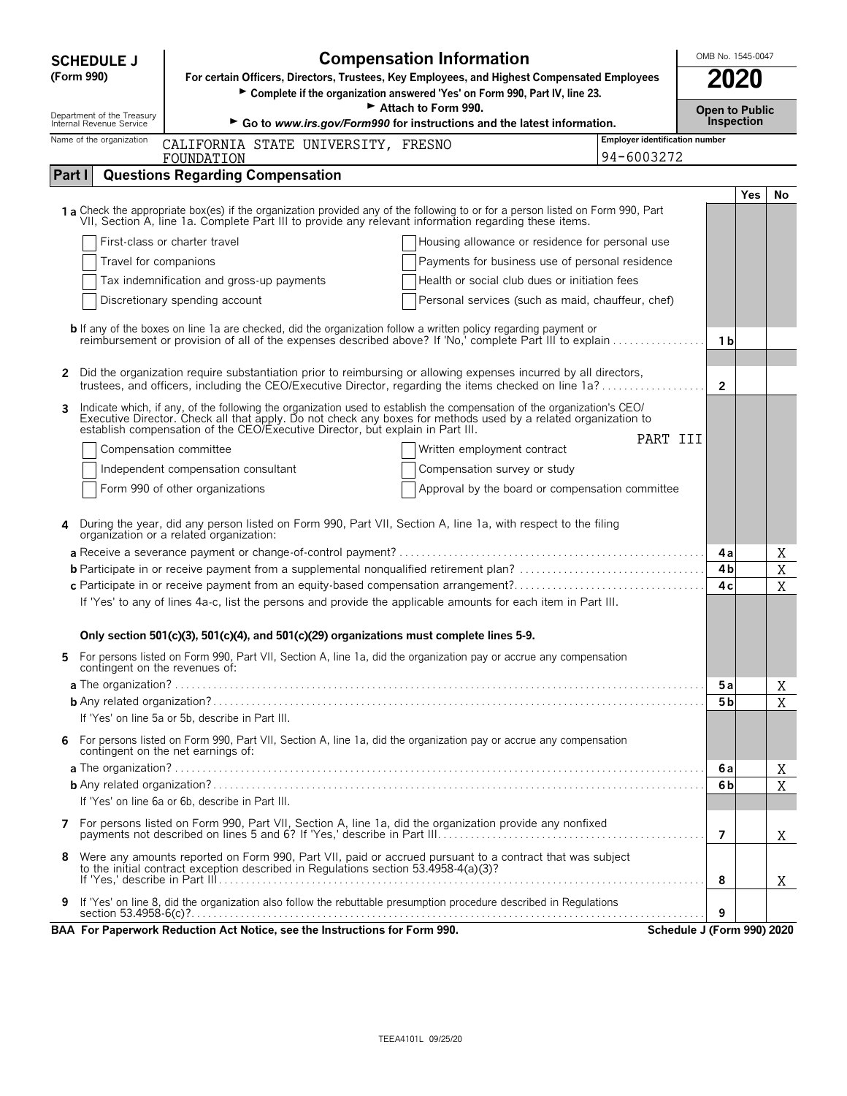| <b>SCHEDULE J</b> |                                                        | <b>Compensation Information</b>                                                                                                                                                                                                         | OMB No. 1545-0047              |                                     |     |             |
|-------------------|--------------------------------------------------------|-----------------------------------------------------------------------------------------------------------------------------------------------------------------------------------------------------------------------------------------|--------------------------------|-------------------------------------|-----|-------------|
|                   | (Form 990)                                             | For certain Officers, Directors, Trustees, Key Employees, and Highest Compensated Employees                                                                                                                                             |                                | 2020                                |     |             |
|                   |                                                        | ► Complete if the organization answered 'Yes' on Form 990, Part IV, line 23.                                                                                                                                                            |                                |                                     |     |             |
|                   | Department of the Treasury<br>Internal Revenue Service | Attach to Form 990.<br>Go to www.irs.gov/Form990 for instructions and the latest information.                                                                                                                                           |                                | <b>Open to Public</b><br>Inspection |     |             |
|                   | Name of the organization                               |                                                                                                                                                                                                                                         | Employer identification number |                                     |     |             |
|                   |                                                        | CALIFORNIA STATE UNIVERSITY, FRESNO<br>FOUNDATION                                                                                                                                                                                       | 94-6003272                     |                                     |     |             |
| Part I            |                                                        | <b>Questions Regarding Compensation</b>                                                                                                                                                                                                 |                                |                                     |     |             |
|                   |                                                        |                                                                                                                                                                                                                                         |                                |                                     | Yes | No          |
|                   |                                                        | 1a Check the appropriate box(es) if the organization provided any of the following to or for a person listed on Form 990, Part<br>VII, Section A, line 1a. Complete Part III to provide any relevant information regarding these items. |                                |                                     |     |             |
|                   |                                                        | First-class or charter travel<br>Housing allowance or residence for personal use                                                                                                                                                        |                                |                                     |     |             |
|                   | Travel for companions                                  | Payments for business use of personal residence                                                                                                                                                                                         |                                |                                     |     |             |
|                   |                                                        | Tax indemnification and gross-up payments<br>Health or social club dues or initiation fees                                                                                                                                              |                                |                                     |     |             |
|                   |                                                        | Personal services (such as maid, chauffeur, chef)<br>Discretionary spending account                                                                                                                                                     |                                |                                     |     |             |
|                   |                                                        | <b>b</b> If any of the boxes on line 1a are checked, did the organization follow a written policy regarding payment or                                                                                                                  |                                |                                     |     |             |
|                   |                                                        | reimbursement or provision of all of the expenses described above? If 'No,' complete Part III to explain                                                                                                                                |                                | 1 b                                 |     |             |
| 2                 |                                                        | Did the organization require substantiation prior to reimbursing or allowing expenses incurred by all directors,                                                                                                                        |                                |                                     |     |             |
|                   |                                                        | trustees, and officers, including the CEO/Executive Director, regarding the items checked on line 1a?                                                                                                                                   |                                | $\overline{2}$                      |     |             |
|                   |                                                        | Indicate which, if any, of the following the organization used to establish the compensation of the organization's CEO/                                                                                                                 |                                |                                     |     |             |
|                   |                                                        | Executive Director. Check all that apply. Do not check any boxes for methods used by a related organization to<br>establish compensation of the CEO/Executive Director, but explain in Part III.                                        |                                |                                     |     |             |
|                   |                                                        | Compensation committee<br>Written employment contract                                                                                                                                                                                   | PART III                       |                                     |     |             |
|                   |                                                        | Independent compensation consultant<br>Compensation survey or study                                                                                                                                                                     |                                |                                     |     |             |
|                   |                                                        | Form 990 of other organizations<br>Approval by the board or compensation committee                                                                                                                                                      |                                |                                     |     |             |
|                   |                                                        |                                                                                                                                                                                                                                         |                                |                                     |     |             |
|                   |                                                        | During the year, did any person listed on Form 990, Part VII, Section A, line 1a, with respect to the filing<br>organization or a related organization:                                                                                 |                                |                                     |     |             |
|                   |                                                        |                                                                                                                                                                                                                                         |                                | 4а                                  |     | X           |
|                   |                                                        | <b>b</b> Participate in or receive payment from a supplemental nonqualified retirement plan?                                                                                                                                            |                                | 4 <sub>b</sub>                      |     | $\mathbf X$ |
|                   |                                                        | c Participate in or receive payment from an equity-based compensation arrangement?                                                                                                                                                      |                                | 4с                                  |     | X           |
|                   |                                                        | If 'Yes' to any of lines 4a-c, list the persons and provide the applicable amounts for each item in Part III.                                                                                                                           |                                |                                     |     |             |
|                   |                                                        | Only section 501(c)(3), 501(c)(4), and 501(c)(29) organizations must complete lines 5-9.                                                                                                                                                |                                |                                     |     |             |
|                   |                                                        | For persons listed on Form 990, Part VII, Section A, line 1a, did the organization pay or accrue any compensation                                                                                                                       |                                |                                     |     |             |
|                   | contingent on the revenues of:                         |                                                                                                                                                                                                                                         |                                |                                     |     |             |
|                   |                                                        |                                                                                                                                                                                                                                         |                                | 5a                                  |     | Χ           |
|                   |                                                        |                                                                                                                                                                                                                                         |                                | 5 <sub>b</sub>                      |     | X           |
|                   |                                                        | If 'Yes' on line 5a or 5b, describe in Part III.                                                                                                                                                                                        |                                |                                     |     |             |
| 6                 |                                                        | For persons listed on Form 990, Part VII, Section A, line 1a, did the organization pay or accrue any compensation<br>contingent on the net earnings of:                                                                                 |                                |                                     |     |             |
|                   |                                                        |                                                                                                                                                                                                                                         |                                | 6а                                  |     | Χ           |
|                   |                                                        |                                                                                                                                                                                                                                         |                                | 6 <sub>b</sub>                      |     | X           |
|                   |                                                        | If 'Yes' on line 6a or 6b, describe in Part III.                                                                                                                                                                                        |                                |                                     |     |             |
| 7                 |                                                        | For persons listed on Form 990, Part VII, Section A, line 1a, did the organization provide any nonfixed                                                                                                                                 |                                | $\overline{7}$                      |     | X           |
| 8                 |                                                        | Were any amounts reported on Form 990, Part VII, paid or accrued pursuant to a contract that was subject                                                                                                                                |                                |                                     |     |             |
|                   |                                                        | to the initial contract exception described in Regulations section 53.4958-4(a)(3)?                                                                                                                                                     |                                | 8                                   |     | X           |
|                   |                                                        | If 'Yes' on line 8, did the organization also follow the rebuttable presumption procedure described in Regulations                                                                                                                      |                                |                                     |     |             |
| 9                 |                                                        |                                                                                                                                                                                                                                         |                                | 9                                   |     |             |
|                   |                                                        | BAA For Paperwork Reduction Act Notice, see the Instructions for Form 990.                                                                                                                                                              |                                | Schedule J (Form 990) 2020          |     |             |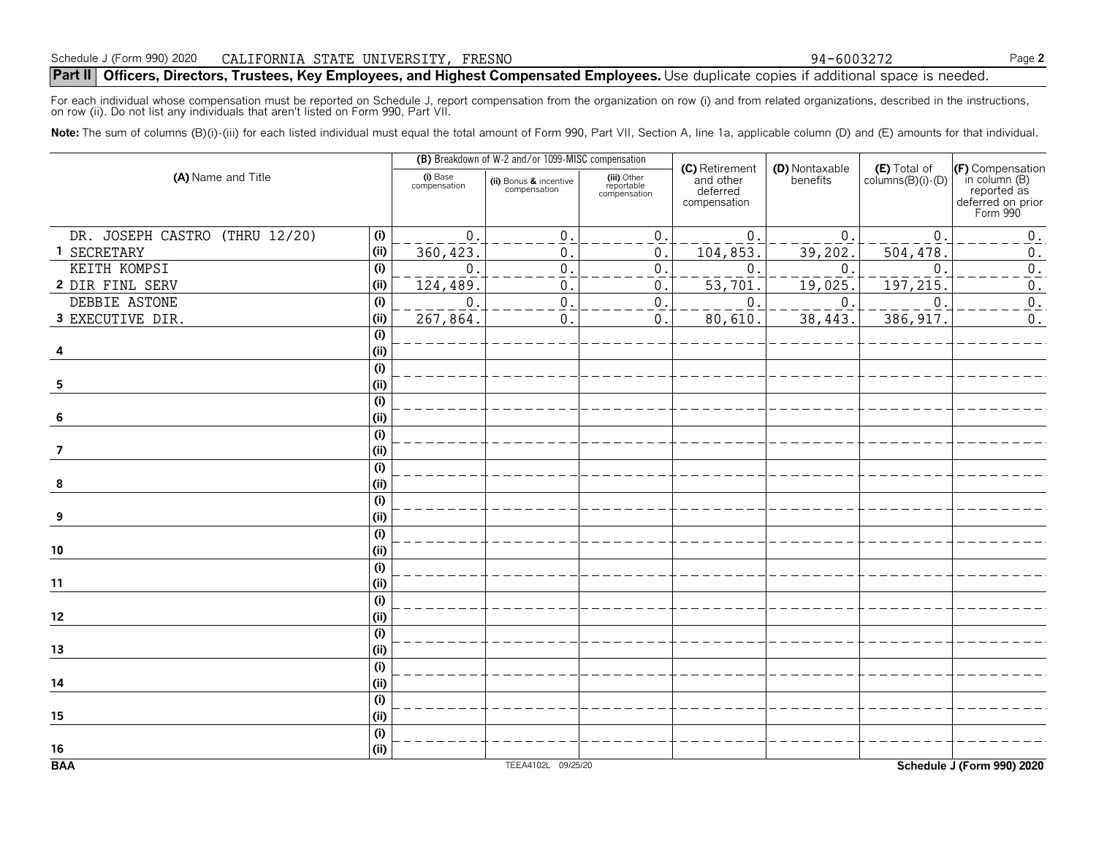For each individual whose compensation must be reported on Schedule J, report compensation from the organization on row (i) and from related organizations, described in the instructions,<br>on row (ii). Do not list any indivi

Note: The sum of columns (B)(i)-(iii) for each listed individual must equal the total amount of Form 990, Part VII, Section A, line 1a, applicable column (D) and (E) amounts for that individual.

|                                       |                          | (B) Breakdown of W-2 and/or 1099-MISC compensation |                                           |                                                         |                            |                                            |                                                                                  |
|---------------------------------------|--------------------------|----------------------------------------------------|-------------------------------------------|---------------------------------------------------------|----------------------------|--------------------------------------------|----------------------------------------------------------------------------------|
| (A) Name and Title                    | (i) Base<br>compensation | (ii) Bonus & incentive<br>compensation             | (iii) Other<br>reportable<br>compensation | (C) Retirement<br>and other<br>deferred<br>compensation | (D) Nontaxable<br>benefits | $(E)$ Total of<br>columns $(B)(i)$ - $(D)$ | (F) Compensation<br>in column(B)<br>reported as<br>deferred on prior<br>Form 990 |
|                                       |                          |                                                    |                                           |                                                         |                            |                                            |                                                                                  |
| DR. JOSEPH CASTRO (THRU 12/20)<br>(i) | $\overline{0}$           | $\mathsf{O}\xspace$                                | $0$ .                                     | $\mathfrak 0$ .                                         | $\mathbf{0}$               | $\mathbf{0}$                               | $\boldsymbol{0}$ .                                                               |
| 1 SECRETARY<br>(i)                    | 360,423                  | 0                                                  | 0.                                        | 104,853.                                                | 39,202.                    | 504,478.                                   | $0$ .                                                                            |
| (i)<br>KEITH KOMPSI                   | $\mathbf 0$              | $\overline{0}$                                     | $\overline{0}$ .                          | $\boldsymbol{0}$                                        | $\Omega$                   | $\mathbf{0}$                               | $\overline{0}$ .                                                                 |
| 2 DIR FINL SERV<br>(i)                | 124,489                  | 0                                                  | 0.                                        | 53,701                                                  | 19,025.                    | 197,215                                    | $\boldsymbol{0}$ .                                                               |
| (i)<br>DEBBIE ASTONE                  | $\mathbf 0$              | $\overline{0}$                                     | $\overline{0}$ .                          | $\mathbf 0$                                             | $\overline{0}$ .           | $\Omega$                                   | $\overline{0}$ .                                                                 |
| 3 EXECUTIVE DIR.<br>(i)               | 267,864.                 | 0                                                  | 0.                                        | 80,610                                                  | 38,443.                    | 386, 917                                   | $0$ .                                                                            |
| (i)                                   |                          |                                                    |                                           |                                                         |                            |                                            |                                                                                  |
| (i)<br>4                              |                          |                                                    |                                           |                                                         |                            |                                            |                                                                                  |
| (i)                                   |                          |                                                    |                                           |                                                         |                            |                                            |                                                                                  |
| ${\bf 5}$<br>(i)                      |                          |                                                    |                                           |                                                         |                            |                                            |                                                                                  |
| (i)                                   |                          |                                                    |                                           |                                                         |                            |                                            |                                                                                  |
| (i)<br>$6\phantom{.}6$                |                          |                                                    |                                           |                                                         |                            |                                            |                                                                                  |
| (i)                                   |                          |                                                    |                                           |                                                         |                            |                                            |                                                                                  |
| 7<br>(i)                              |                          |                                                    |                                           |                                                         |                            |                                            |                                                                                  |
| (i)<br>(i)<br>$\pmb{8}$               |                          |                                                    |                                           |                                                         |                            |                                            |                                                                                  |
| (i)                                   |                          |                                                    |                                           |                                                         |                            |                                            |                                                                                  |
| (i)<br>$\boldsymbol{9}$               |                          |                                                    |                                           |                                                         |                            |                                            |                                                                                  |
| (i)                                   |                          |                                                    |                                           |                                                         |                            |                                            |                                                                                  |
| (i)<br>10                             |                          |                                                    |                                           |                                                         |                            |                                            |                                                                                  |
| (i)                                   |                          |                                                    |                                           |                                                         |                            |                                            |                                                                                  |
| (i)<br>11                             |                          |                                                    |                                           |                                                         |                            |                                            |                                                                                  |
| (i)                                   |                          |                                                    |                                           |                                                         |                            |                                            |                                                                                  |
| (i)<br>12                             |                          |                                                    |                                           |                                                         |                            |                                            |                                                                                  |
| (i)                                   |                          |                                                    |                                           |                                                         |                            |                                            |                                                                                  |
| (i)<br>13                             |                          |                                                    |                                           |                                                         |                            |                                            |                                                                                  |
| (i)                                   |                          |                                                    |                                           |                                                         |                            |                                            |                                                                                  |
| (i)<br>14                             |                          |                                                    |                                           |                                                         |                            |                                            |                                                                                  |
| (i)                                   |                          |                                                    |                                           |                                                         |                            |                                            |                                                                                  |
| (i)<br>15                             |                          |                                                    |                                           |                                                         |                            |                                            |                                                                                  |
| (i)                                   |                          |                                                    |                                           |                                                         |                            |                                            |                                                                                  |
| (i)<br>16                             |                          |                                                    |                                           |                                                         |                            |                                            |                                                                                  |
| <b>BAA</b>                            |                          | TEEA4102L 09/25/20                                 |                                           |                                                         |                            |                                            | Schedule J (Form 990) 2020                                                       |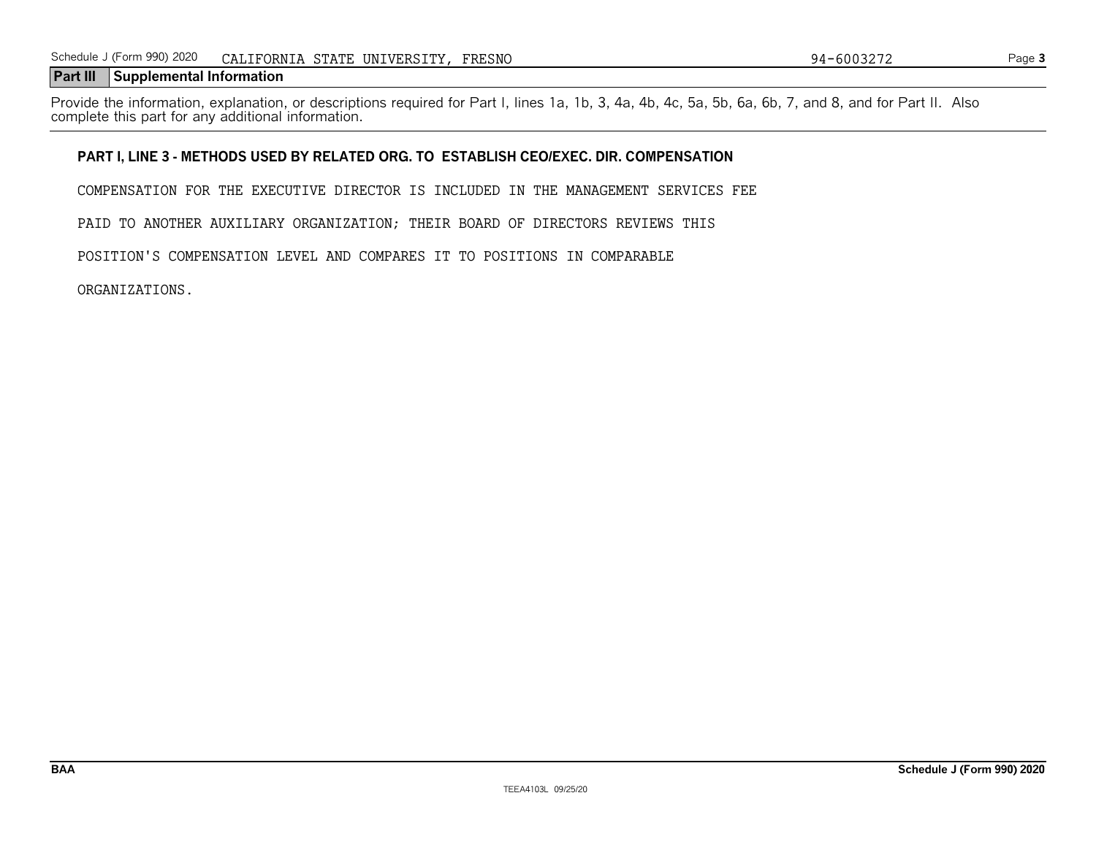#### **Part III Supplemental Information**

Provide the information, explanation, or descriptions required for Part I, lines 1a, 1b, 3, 4a, 4b, 4c, 5a, 5b, 6a, 6b, 7, and 8, and for Part II. Also complete this part for any additional information.

#### **PART I, LINE 3 - METHODS USED BY RELATED ORG. TO ESTABLISH CEO/EXEC. DIR. COMPENSATION**

COMPENSATION FOR THE EXECUTIVE DIRECTOR IS INCLUDED IN THE MANAGEMENT SERVICES FEE

PAID TO ANOTHER AUXILIARY ORGANIZATION; THEIR BOARD OF DIRECTORS REVIEWS THIS

POSITION'S COMPENSATION LEVEL AND COMPARES IT TO POSITIONS IN COMPARABLE

ORGANIZATIONS.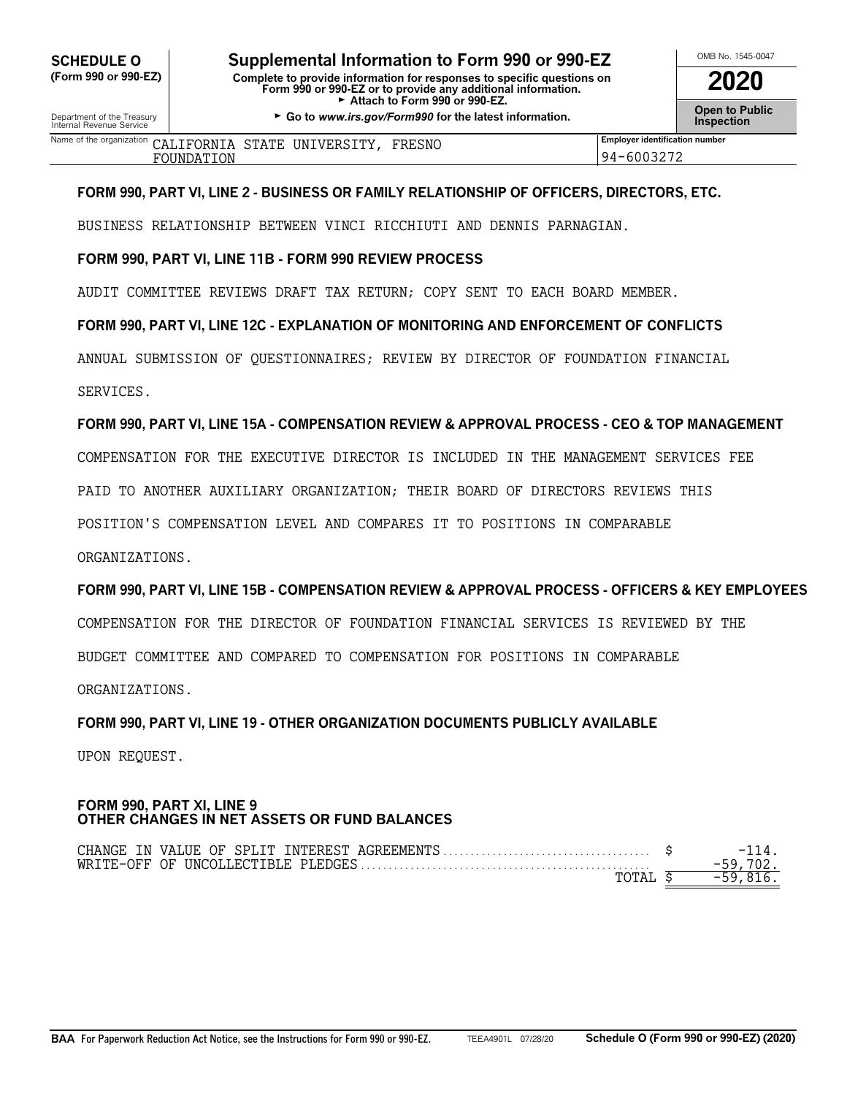**OMB No. 1545-0047 <b>Supplemental Information to Form 990 or 990-EZ** North MB No. 1545-0047 **(Form 990 or 990-EZ) Complete to provide information for responses to specific questions on Form 990 or 990-EZ or to provide any additional information. 2020** Attach to Form 990 or 990-EZ.

Department of the Treasury **Community Constructed By Co to** *www.irs.gov/Form990* **for the latest information. The Treasury Communic Construction <b>Inspection**<br>Internal Revenue Service

| 2020                                 |
|--------------------------------------|
| <b>Open to Public<br/>Inspection</b> |

| Name of the organization | CALIFORNIA STATE UNIVERSITY, 1 | FRESNO | <b>Employer identification number</b> |
|--------------------------|--------------------------------|--------|---------------------------------------|
| TOUNDATION               |                                |        | 94-6003272                            |

#### **FORM 990, PART VI, LINE 2 - BUSINESS OR FAMILY RELATIONSHIP OF OFFICERS, DIRECTORS, ETC.**

BUSINESS RELATIONSHIP BETWEEN VINCI RICCHIUTI AND DENNIS PARNAGIAN.

#### **FORM 990, PART VI, LINE 11B - FORM 990 REVIEW PROCESS**

AUDIT COMMITTEE REVIEWS DRAFT TAX RETURN; COPY SENT TO EACH BOARD MEMBER.

#### **FORM 990, PART VI, LINE 12C - EXPLANATION OF MONITORING AND ENFORCEMENT OF CONFLICTS**

ANNUAL SUBMISSION OF QUESTIONNAIRES; REVIEW BY DIRECTOR OF FOUNDATION FINANCIAL

SERVICES.

#### **FORM 990, PART VI, LINE 15A - COMPENSATION REVIEW & APPROVAL PROCESS - CEO & TOP MANAGEMENT**

COMPENSATION FOR THE EXECUTIVE DIRECTOR IS INCLUDED IN THE MANAGEMENT SERVICES FEE

PAID TO ANOTHER AUXILIARY ORGANIZATION; THEIR BOARD OF DIRECTORS REVIEWS THIS

POSITION'S COMPENSATION LEVEL AND COMPARES IT TO POSITIONS IN COMPARABLE

ORGANIZATIONS.

#### **FORM 990, PART VI, LINE 15B - COMPENSATION REVIEW & APPROVAL PROCESS - OFFICERS & KEY EMPLOYEES**

COMPENSATION FOR THE DIRECTOR OF FOUNDATION FINANCIAL SERVICES IS REVIEWED BY THE

BUDGET COMMITTEE AND COMPARED TO COMPENSATION FOR POSITIONS IN COMPARABLE

ORGANIZATIONS.

#### **FORM 990, PART VI, LINE 19 - OTHER ORGANIZATION DOCUMENTS PUBLICLY AVAILABLE**

UPON REQUEST.

#### **FORM 990, PART XI, LINE 9 OTHER CHANGES IN NET ASSETS OR FUND BALANCES**

| TOTAL | -59 816 |
|-------|---------|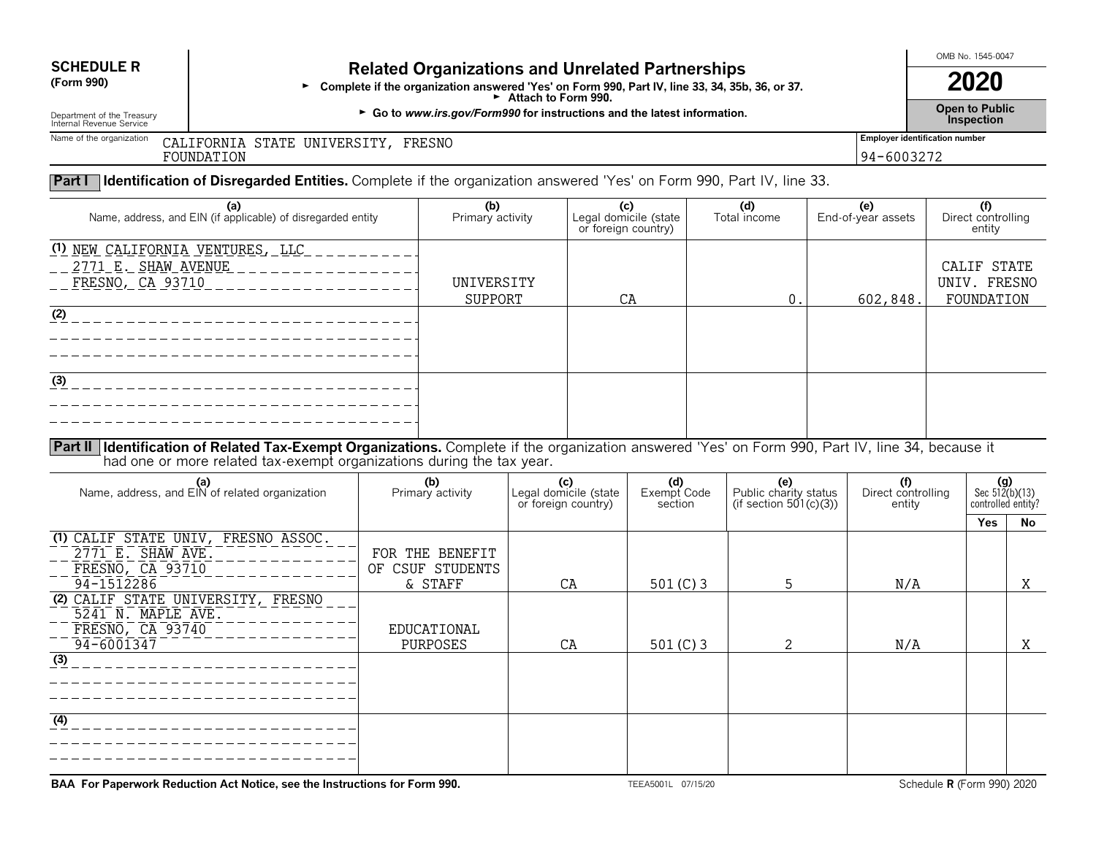# **SCHEDULE R**

## **Related Organizations and Unrelated Partnerships**

**(Form 990)** <sup>G</sup>**Complete if the organization answered 'Yes' on Form 990, Part IV, line 33, 34, 35b, 36, or 37.**G **Attach to Form 990.**

G **Go to** *www.irs.gov/Form990* **Open to Public** Department of the Treasury **for instructions and the latest information.** e and the continuity of the continuity of the continuity of the continuity of the continuity of the continuity of the continuity of the continuity of the continuity of the continuity of the continuity of the continuity of

OMB No. 1545-0047**2020**

**Open to Public** 

Internal Revenue Service

Name of the organization

<sup>n</sup> CALIFORNIA STATE UNIVERSITY, FRESNO FOUNDATION

94-6003272

#### **Part I Identification of Disregarded Entities.** Complete if the organization answered 'Yes' on Form 990, Part IV, line 33.

| (a)<br>Name, address, and EIN (if applicable) of disregarded entity                       | (b)<br>Primary activity | (c)<br>Legal domicile (state<br>or foreign country) | (d)<br>Total income | (e)<br>End-of-year assets | (f)<br>Direct controlling<br>entity       |
|-------------------------------------------------------------------------------------------|-------------------------|-----------------------------------------------------|---------------------|---------------------------|-------------------------------------------|
| <u>(1) NEW CALIFORNIA VENTURES, LLC</u><br>2771 E. SHAW AVENUE<br><u>FRESNO, CA 93710</u> | UNIVERSITY<br>SUPPORT   | СA                                                  |                     | 602,848.                  | CALIF STATE<br>UNIV. FRESNO<br>FOUNDATION |
| (2)                                                                                       |                         |                                                     |                     |                           |                                           |
| (3)                                                                                       |                         |                                                     |                     |                           |                                           |

**Part II Identification of Related Tax-Exempt Organizations.** Complete if the organization answered 'Yes' on Form 990, Part IV, line 34, because ithad one or more related tax-exempt organizations during the tax year.

| (a)<br>Name, address, and EIN of related organization                                                              | (b)<br>Primary activity             | (c)<br>Legal domicile (state<br>or foreign country) | (d)<br>Exempt Code<br>section | (e)<br>Public charity status<br>(if section 501(c)(3)) | (f)<br>Direct controlling<br>entity |     | $(g)$<br>Sec 512(b)(13)<br>controlled entity? |  |
|--------------------------------------------------------------------------------------------------------------------|-------------------------------------|-----------------------------------------------------|-------------------------------|--------------------------------------------------------|-------------------------------------|-----|-----------------------------------------------|--|
|                                                                                                                    |                                     |                                                     |                               |                                                        |                                     | Yes | No                                            |  |
| (1) CALIF STATE UNIV, FRESNO ASSOC.<br>$2771$ E. SHAW AVE.<br>FRESNO, CA 93710                                     | FOR THE BENEFIT<br>OF CSUF STUDENTS |                                                     |                               |                                                        |                                     |     |                                               |  |
| 94-1512286                                                                                                         | & STAFF                             | CA                                                  | 501 $(C)$ 3                   | 5                                                      | N/A                                 |     | X                                             |  |
| (2) CALIF STATE UNIVERSITY, FRESNO<br>5241 N. MAPLE AVE.<br>FRESNO, CA 93740<br>$94 - 6001347$<br>$\overline{(3)}$ | EDUCATIONAL<br>PURPOSES             | CA                                                  | 501 $(C)$ 3                   | $\mathcal{L}$                                          | N/A                                 |     | Χ                                             |  |
| $\overline{(4)}$                                                                                                   |                                     |                                                     |                               |                                                        |                                     |     |                                               |  |

**BAA For Paperwork Reduction Act Notice, see the Instructions for Form 990.**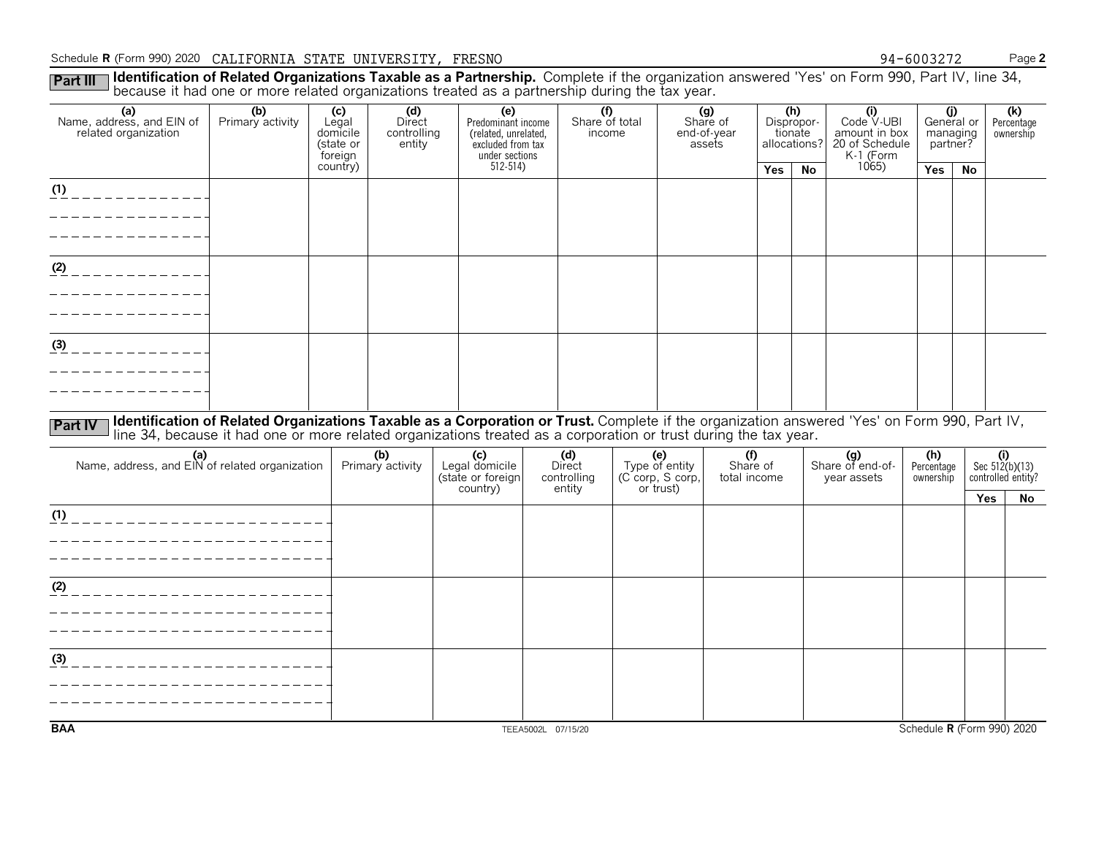#### Schedule **R** (Form 990) 2020 Page**<sup>2</sup>** CALIFORNIA STATE UNIVERSITY, FRESNO

Part III Identification of Related Organizations Taxable as a Partnership. Complete if the organization answered 'Yes' on Form 990, Part IV, line 34,<br>because it had one or more related organizations treated as a partnershi 0 94-6003272

|                                                          |                                                                                                                                                                                                                                                                  | ັ                                                |                                        |                                                                                          |                                 | ັ |                       |                                          |     |                                              |                                                                   |                         |                                           |                                |
|----------------------------------------------------------|------------------------------------------------------------------------------------------------------------------------------------------------------------------------------------------------------------------------------------------------------------------|--------------------------------------------------|----------------------------------------|------------------------------------------------------------------------------------------|---------------------------------|---|-----------------------|------------------------------------------|-----|----------------------------------------------|-------------------------------------------------------------------|-------------------------|-------------------------------------------|--------------------------------|
| (a)<br>Name, address, and EIN of<br>related organization | (b)<br>Primary activity                                                                                                                                                                                                                                          | (c)<br>Legal<br>domicile<br>(state or<br>foreign | (d)<br>Direct<br>controlling<br>entity | (e)<br>Predominant income<br>(related, unrelated,<br>excluded from tax<br>under sections | (f)<br>Share of total<br>income |   |                       | (g)<br>Share of<br>end-of-year<br>assets |     | (h)<br>Dispropor-<br>tionate<br>allocations? | (i)<br>Code V-UBI<br>amount in box<br>20 of Schedule<br>K-1 (Form |                         | (j)<br>General or<br>managing<br>partner? | (k)<br>Percentage<br>ownership |
|                                                          |                                                                                                                                                                                                                                                                  | country)                                         |                                        | $512 - 514$                                                                              |                                 |   |                       |                                          | Yes | <b>No</b>                                    | 1065                                                              | Yes                     | <b>No</b>                                 |                                |
| (1)<br>___________                                       |                                                                                                                                                                                                                                                                  |                                                  |                                        |                                                                                          |                                 |   |                       |                                          |     |                                              |                                                                   |                         |                                           |                                |
|                                                          |                                                                                                                                                                                                                                                                  |                                                  |                                        |                                                                                          |                                 |   |                       |                                          |     |                                              |                                                                   |                         |                                           |                                |
|                                                          |                                                                                                                                                                                                                                                                  |                                                  |                                        |                                                                                          |                                 |   |                       |                                          |     |                                              |                                                                   |                         |                                           |                                |
|                                                          |                                                                                                                                                                                                                                                                  |                                                  |                                        |                                                                                          |                                 |   |                       |                                          |     |                                              |                                                                   |                         |                                           |                                |
| $(2)$ _ _ _ _ _ _ _ _ _ _ _ _                            |                                                                                                                                                                                                                                                                  |                                                  |                                        |                                                                                          |                                 |   |                       |                                          |     |                                              |                                                                   |                         |                                           |                                |
|                                                          |                                                                                                                                                                                                                                                                  |                                                  |                                        |                                                                                          |                                 |   |                       |                                          |     |                                              |                                                                   |                         |                                           |                                |
|                                                          |                                                                                                                                                                                                                                                                  |                                                  |                                        |                                                                                          |                                 |   |                       |                                          |     |                                              |                                                                   |                         |                                           |                                |
| (3)<br>_ _ _ _ _ _ _ _ _ _ _ _ _                         |                                                                                                                                                                                                                                                                  |                                                  |                                        |                                                                                          |                                 |   |                       |                                          |     |                                              |                                                                   |                         |                                           |                                |
|                                                          |                                                                                                                                                                                                                                                                  |                                                  |                                        |                                                                                          |                                 |   |                       |                                          |     |                                              |                                                                   |                         |                                           |                                |
|                                                          |                                                                                                                                                                                                                                                                  |                                                  |                                        |                                                                                          |                                 |   |                       |                                          |     |                                              |                                                                   |                         |                                           |                                |
|                                                          |                                                                                                                                                                                                                                                                  |                                                  |                                        |                                                                                          |                                 |   |                       |                                          |     |                                              |                                                                   |                         |                                           |                                |
| <b>Part IV</b>                                           | Identification of Related Organizations Taxable as a Corporation or Trust. Complete if the organization answered 'Yes' on Form 990, Part IV,<br>line 34, because it had one or more related organizations treated as a corporation or trust during the tax year. |                                                  |                                        |                                                                                          |                                 |   |                       |                                          |     |                                              |                                                                   |                         |                                           |                                |
| (a)<br>Name, address, and EIN of related organization    |                                                                                                                                                                                                                                                                  |                                                  | (b)                                    | (c)<br>Legal domicile                                                                    | (d)                             |   | (e)<br>Type of entity | (f)                                      |     |                                              | (g)<br>Share of end-of-                                           | (h)                     |                                           | (i)<br>Sec $512(b)(13)$        |
|                                                          |                                                                                                                                                                                                                                                                  |                                                  | Primary activity                       | (state or foreign                                                                        | Direct<br>controlling           |   | (C corp, S corp,      | Share of<br>total income                 |     |                                              | year assets                                                       | Percentage<br>ownership |                                           | controlled entity?             |
|                                                          |                                                                                                                                                                                                                                                                  |                                                  |                                        | country)                                                                                 | entity                          |   | or trust)             |                                          |     |                                              |                                                                   |                         |                                           | Yes<br>No                      |
| (1)<br>______________________                            |                                                                                                                                                                                                                                                                  |                                                  |                                        |                                                                                          |                                 |   |                       |                                          |     |                                              |                                                                   |                         |                                           |                                |
|                                                          |                                                                                                                                                                                                                                                                  |                                                  |                                        |                                                                                          |                                 |   |                       |                                          |     |                                              |                                                                   |                         |                                           |                                |
|                                                          |                                                                                                                                                                                                                                                                  |                                                  |                                        |                                                                                          |                                 |   |                       |                                          |     |                                              |                                                                   |                         |                                           |                                |
| (2)<br>_______________________                           |                                                                                                                                                                                                                                                                  |                                                  |                                        |                                                                                          |                                 |   |                       |                                          |     |                                              |                                                                   |                         |                                           |                                |
|                                                          |                                                                                                                                                                                                                                                                  |                                                  |                                        |                                                                                          |                                 |   |                       |                                          |     |                                              |                                                                   |                         |                                           |                                |
|                                                          |                                                                                                                                                                                                                                                                  |                                                  |                                        |                                                                                          |                                 |   |                       |                                          |     |                                              |                                                                   |                         |                                           |                                |
| (3)                                                      |                                                                                                                                                                                                                                                                  |                                                  |                                        |                                                                                          |                                 |   |                       |                                          |     |                                              |                                                                   |                         |                                           |                                |
|                                                          |                                                                                                                                                                                                                                                                  |                                                  |                                        |                                                                                          |                                 |   |                       |                                          |     |                                              |                                                                   |                         |                                           |                                |
|                                                          |                                                                                                                                                                                                                                                                  |                                                  |                                        |                                                                                          |                                 |   |                       |                                          |     |                                              |                                                                   |                         |                                           |                                |
| <b>BAA</b>                                               |                                                                                                                                                                                                                                                                  |                                                  |                                        |                                                                                          |                                 |   |                       |                                          |     |                                              |                                                                   |                         |                                           | Schedule R (Form 990) 2020     |
|                                                          |                                                                                                                                                                                                                                                                  |                                                  |                                        |                                                                                          | TEEA5002L 07/15/20              |   |                       |                                          |     |                                              |                                                                   |                         |                                           |                                |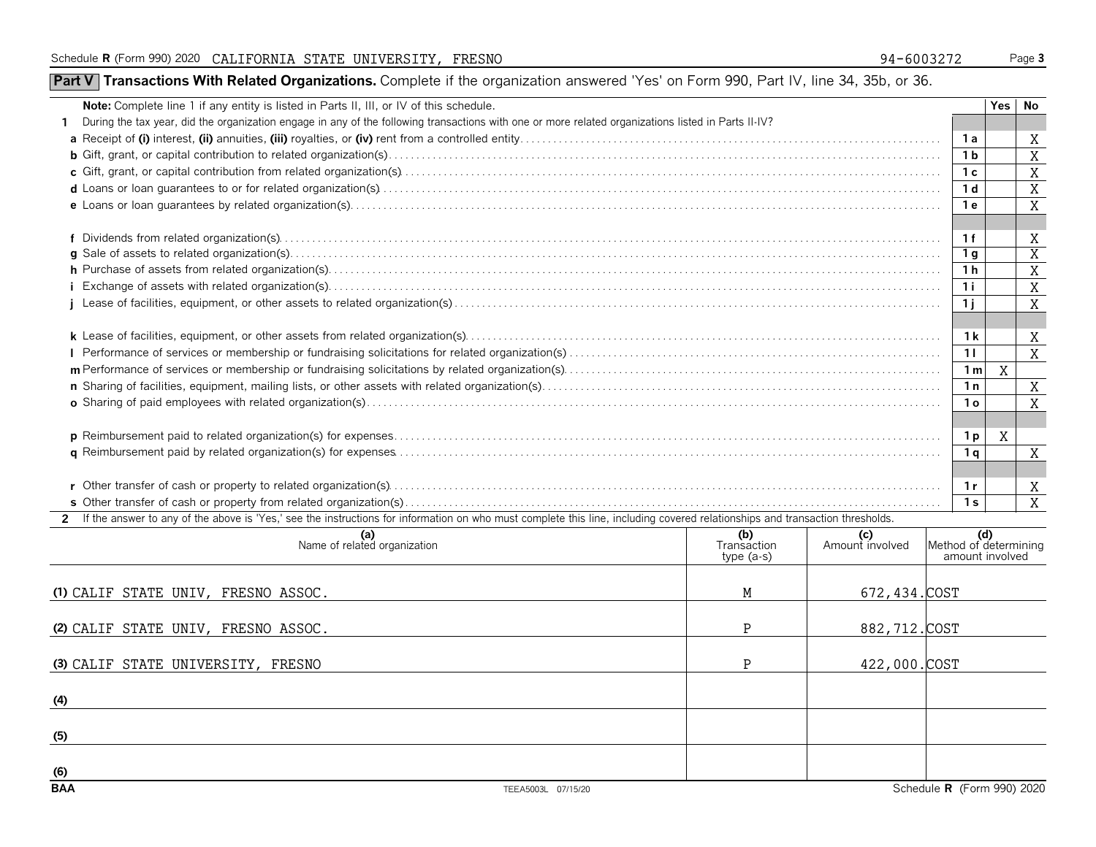## **Part V Transactions With Related Organizations.** Complete if the organization answered 'Yes' on Form 990, Part IV, line 34, 35b, or 36.

| Note: Complete line 1 if any entity is listed in Parts II, III, or IV of this schedule.                                                                                        |                                   |                        |                                          | Yes | No                  |  |  |  |  |  |
|--------------------------------------------------------------------------------------------------------------------------------------------------------------------------------|-----------------------------------|------------------------|------------------------------------------|-----|---------------------|--|--|--|--|--|
| During the tax year, did the organization engage in any of the following transactions with one or more related organizations listed in Parts II-IV?<br>1.                      |                                   |                        |                                          |     |                     |  |  |  |  |  |
|                                                                                                                                                                                |                                   |                        |                                          |     |                     |  |  |  |  |  |
|                                                                                                                                                                                |                                   |                        |                                          |     |                     |  |  |  |  |  |
|                                                                                                                                                                                |                                   |                        |                                          |     |                     |  |  |  |  |  |
|                                                                                                                                                                                |                                   |                        |                                          |     |                     |  |  |  |  |  |
|                                                                                                                                                                                |                                   |                        |                                          |     |                     |  |  |  |  |  |
|                                                                                                                                                                                |                                   |                        |                                          |     |                     |  |  |  |  |  |
|                                                                                                                                                                                |                                   |                        | 1f                                       |     | Χ                   |  |  |  |  |  |
|                                                                                                                                                                                |                                   |                        | 1 <sub>q</sub>                           |     | $\overline{X}$      |  |  |  |  |  |
|                                                                                                                                                                                |                                   |                        | 1 <sub>h</sub>                           |     | X                   |  |  |  |  |  |
|                                                                                                                                                                                |                                   |                        | 1i                                       |     | X                   |  |  |  |  |  |
|                                                                                                                                                                                |                                   |                        | 1 <sub>i</sub>                           |     | $\overline{X}$      |  |  |  |  |  |
|                                                                                                                                                                                |                                   |                        |                                          |     |                     |  |  |  |  |  |
|                                                                                                                                                                                |                                   |                        | 1 k                                      |     | X                   |  |  |  |  |  |
|                                                                                                                                                                                |                                   |                        |                                          |     |                     |  |  |  |  |  |
|                                                                                                                                                                                |                                   |                        |                                          |     |                     |  |  |  |  |  |
|                                                                                                                                                                                |                                   |                        |                                          |     |                     |  |  |  |  |  |
|                                                                                                                                                                                |                                   |                        | 1 <sub>o</sub>                           |     | X<br>$\overline{X}$ |  |  |  |  |  |
|                                                                                                                                                                                |                                   |                        |                                          |     |                     |  |  |  |  |  |
|                                                                                                                                                                                |                                   |                        | 1 p                                      | Χ   |                     |  |  |  |  |  |
|                                                                                                                                                                                |                                   |                        | 1 <sub>q</sub>                           |     | X                   |  |  |  |  |  |
|                                                                                                                                                                                |                                   |                        |                                          |     |                     |  |  |  |  |  |
|                                                                                                                                                                                |                                   |                        | 1 r                                      |     | X                   |  |  |  |  |  |
|                                                                                                                                                                                |                                   |                        | 1 <sub>s</sub>                           |     | $\overline{X}$      |  |  |  |  |  |
| 2 If the answer to any of the above is 'Yes,' see the instructions for information on who must complete this line, including covered relationships and transaction thresholds. |                                   |                        |                                          |     |                     |  |  |  |  |  |
| (a)<br>Name of related organization                                                                                                                                            | (b)<br>Transaction<br>$type(a-s)$ | (c)<br>Amount involved | Method of determining<br>amount involved |     |                     |  |  |  |  |  |
|                                                                                                                                                                                |                                   |                        |                                          |     |                     |  |  |  |  |  |
| (1) CALIF STATE UNIV, FRESNO ASSOC.                                                                                                                                            | M                                 | 672, 434. COST         |                                          |     |                     |  |  |  |  |  |
|                                                                                                                                                                                |                                   |                        |                                          |     |                     |  |  |  |  |  |
| (2) CALIF STATE UNIV, FRESNO ASSOC.                                                                                                                                            | $\mathbf{P}$                      | 882, 712. COST         |                                          |     |                     |  |  |  |  |  |
|                                                                                                                                                                                |                                   |                        |                                          |     |                     |  |  |  |  |  |
| (3) CALIF STATE UNIVERSITY, FRESNO                                                                                                                                             | P                                 | 422,000.COST           |                                          |     |                     |  |  |  |  |  |
|                                                                                                                                                                                |                                   |                        |                                          |     |                     |  |  |  |  |  |

**(4)**

**(5)**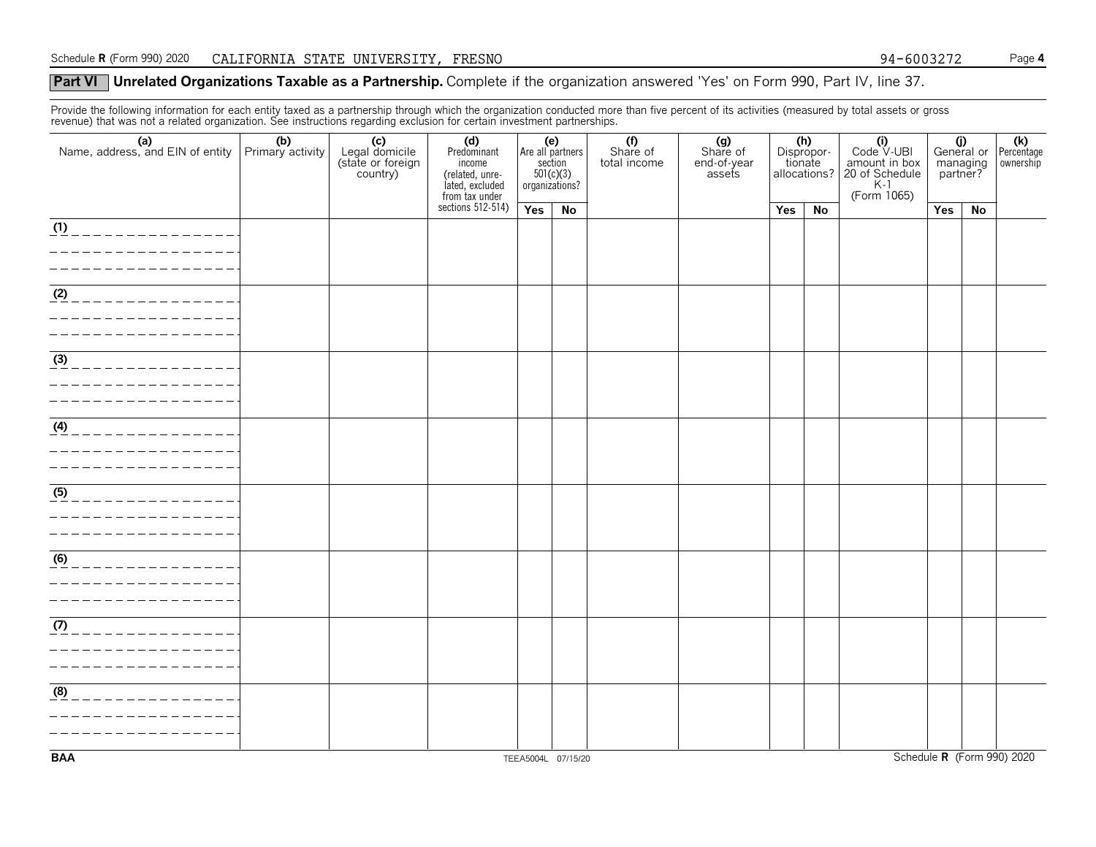#### **Part VI** Unrelated Organizations Taxable as a Partnership. Complete if the organization answered 'Yes' on Form 990, Part IV, line 37.

Provide the following information for each entity taxed as a partnership through which the organization conducted more than five percent of its activities (measured by total assets or gross<br>revenue) that was not a related

| (a) (b)<br>Name, address, and EIN of entity Primary activity | (c)<br>Legal domicile<br>(state or foreign<br>country) | (d)<br>Predominant<br>income<br>(related, unrelated, excluded<br>lated, excluded<br>from tax under<br>sections 512-514) | (e) | Are all partners<br>$\frac{\text{section}}{501(c)(3)}$<br>organizations? | (f)<br>Share of<br>total income | (g)<br>Share of<br>end-of-year<br>assets |     | (h)<br>Dispropor-<br>tionate<br>allocations? | $\begin{matrix} \textbf{(i)} \\ \text{Code V-UBI} \end{matrix}$<br>amount in box<br>20 of Schedule<br>K-1 | managing<br>partner? |    | General or <b>(k)</b><br>managing www.ership |
|--------------------------------------------------------------|--------------------------------------------------------|-------------------------------------------------------------------------------------------------------------------------|-----|--------------------------------------------------------------------------|---------------------------------|------------------------------------------|-----|----------------------------------------------|-----------------------------------------------------------------------------------------------------------|----------------------|----|----------------------------------------------|
|                                                              |                                                        |                                                                                                                         | Yes | No                                                                       |                                 |                                          | Yes | No                                           | (Form 1065)                                                                                               | Yes                  | No |                                              |
|                                                              |                                                        |                                                                                                                         |     |                                                                          |                                 |                                          |     |                                              |                                                                                                           |                      |    |                                              |
| $\frac{(1)}{2}$<br>____________                              |                                                        |                                                                                                                         |     |                                                                          |                                 |                                          |     |                                              |                                                                                                           |                      |    |                                              |
|                                                              |                                                        |                                                                                                                         |     |                                                                          |                                 |                                          |     |                                              |                                                                                                           |                      |    |                                              |
|                                                              |                                                        |                                                                                                                         |     |                                                                          |                                 |                                          |     |                                              |                                                                                                           |                      |    |                                              |
|                                                              |                                                        |                                                                                                                         |     |                                                                          |                                 |                                          |     |                                              |                                                                                                           |                      |    |                                              |
| (2)                                                          |                                                        |                                                                                                                         |     |                                                                          |                                 |                                          |     |                                              |                                                                                                           |                      |    |                                              |
|                                                              |                                                        |                                                                                                                         |     |                                                                          |                                 |                                          |     |                                              |                                                                                                           |                      |    |                                              |
|                                                              |                                                        |                                                                                                                         |     |                                                                          |                                 |                                          |     |                                              |                                                                                                           |                      |    |                                              |
|                                                              |                                                        |                                                                                                                         |     |                                                                          |                                 |                                          |     |                                              |                                                                                                           |                      |    |                                              |
| (3)                                                          |                                                        |                                                                                                                         |     |                                                                          |                                 |                                          |     |                                              |                                                                                                           |                      |    |                                              |
|                                                              |                                                        |                                                                                                                         |     |                                                                          |                                 |                                          |     |                                              |                                                                                                           |                      |    |                                              |
|                                                              |                                                        |                                                                                                                         |     |                                                                          |                                 |                                          |     |                                              |                                                                                                           |                      |    |                                              |
|                                                              |                                                        |                                                                                                                         |     |                                                                          |                                 |                                          |     |                                              |                                                                                                           |                      |    |                                              |
| $\frac{4}{4}$<br>$= - -$                                     |                                                        |                                                                                                                         |     |                                                                          |                                 |                                          |     |                                              |                                                                                                           |                      |    |                                              |
|                                                              |                                                        |                                                                                                                         |     |                                                                          |                                 |                                          |     |                                              |                                                                                                           |                      |    |                                              |
|                                                              |                                                        |                                                                                                                         |     |                                                                          |                                 |                                          |     |                                              |                                                                                                           |                      |    |                                              |
|                                                              |                                                        |                                                                                                                         |     |                                                                          |                                 |                                          |     |                                              |                                                                                                           |                      |    |                                              |
| $\frac{(5)}{2}$<br>_____________                             |                                                        |                                                                                                                         |     |                                                                          |                                 |                                          |     |                                              |                                                                                                           |                      |    |                                              |
|                                                              |                                                        |                                                                                                                         |     |                                                                          |                                 |                                          |     |                                              |                                                                                                           |                      |    |                                              |
|                                                              |                                                        |                                                                                                                         |     |                                                                          |                                 |                                          |     |                                              |                                                                                                           |                      |    |                                              |
|                                                              |                                                        |                                                                                                                         |     |                                                                          |                                 |                                          |     |                                              |                                                                                                           |                      |    |                                              |
| $\overline{(6)}$                                             |                                                        |                                                                                                                         |     |                                                                          |                                 |                                          |     |                                              |                                                                                                           |                      |    |                                              |
|                                                              |                                                        |                                                                                                                         |     |                                                                          |                                 |                                          |     |                                              |                                                                                                           |                      |    |                                              |
|                                                              |                                                        |                                                                                                                         |     |                                                                          |                                 |                                          |     |                                              |                                                                                                           |                      |    |                                              |
|                                                              |                                                        |                                                                                                                         |     |                                                                          |                                 |                                          |     |                                              |                                                                                                           |                      |    |                                              |
| $\sqrt{(7)}$                                                 |                                                        |                                                                                                                         |     |                                                                          |                                 |                                          |     |                                              |                                                                                                           |                      |    |                                              |
|                                                              |                                                        |                                                                                                                         |     |                                                                          |                                 |                                          |     |                                              |                                                                                                           |                      |    |                                              |
|                                                              |                                                        |                                                                                                                         |     |                                                                          |                                 |                                          |     |                                              |                                                                                                           |                      |    |                                              |
|                                                              |                                                        |                                                                                                                         |     |                                                                          |                                 |                                          |     |                                              |                                                                                                           |                      |    |                                              |
| $\frac{1}{(8)}$<br>_____________                             |                                                        |                                                                                                                         |     |                                                                          |                                 |                                          |     |                                              |                                                                                                           |                      |    |                                              |
|                                                              |                                                        |                                                                                                                         |     |                                                                          |                                 |                                          |     |                                              |                                                                                                           |                      |    |                                              |
|                                                              |                                                        |                                                                                                                         |     |                                                                          |                                 |                                          |     |                                              |                                                                                                           |                      |    |                                              |
|                                                              |                                                        |                                                                                                                         |     |                                                                          |                                 |                                          |     |                                              |                                                                                                           |                      |    |                                              |
|                                                              |                                                        |                                                                                                                         |     |                                                                          |                                 |                                          |     |                                              |                                                                                                           |                      |    |                                              |

**BAA**